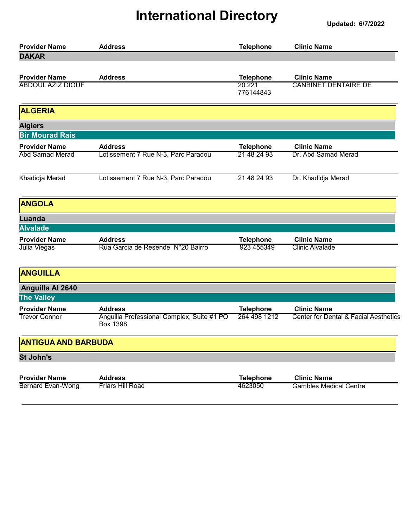| <b>Provider Name</b>                         | <b>Address</b>                                                                  | <b>Telephone</b>                 | <b>Clinic Name</b>                                          |
|----------------------------------------------|---------------------------------------------------------------------------------|----------------------------------|-------------------------------------------------------------|
| <b>DAKAR</b>                                 |                                                                                 |                                  |                                                             |
| <b>Provider Name</b>                         | <b>Address</b>                                                                  | <b>Telephone</b>                 | <b>Clinic Name</b>                                          |
| <b>ABDOUL AZIZ DIOUF</b>                     |                                                                                 | 20 221<br>776144843              | <b>CANBINET DENTAIRE DE</b>                                 |
| <b>ALGERIA</b>                               |                                                                                 |                                  |                                                             |
| <b>Algiers</b>                               |                                                                                 |                                  |                                                             |
| <b>Bir Mourad Rais</b>                       |                                                                                 |                                  |                                                             |
| <b>Provider Name</b>                         | <b>Address</b>                                                                  | <b>Telephone</b>                 | <b>Clinic Name</b>                                          |
| <b>Abd Samad Merad</b>                       | Lotissement 7 Rue N-3, Parc Paradou                                             | 21 48 24 93                      | Dr. Abd Samad Merad                                         |
| Khadidja Merad                               | Lotissement 7 Rue N-3, Parc Paradou                                             | 21 48 24 93                      | Dr. Khadidja Merad                                          |
| <b>ANGOLA</b>                                |                                                                                 |                                  |                                                             |
| <b>Luanda</b>                                |                                                                                 |                                  |                                                             |
| <b>Alvalade</b>                              |                                                                                 |                                  |                                                             |
| <b>Provider Name</b>                         | <b>Address</b>                                                                  | <b>Telephone</b>                 | <b>Clinic Name</b>                                          |
| Julia Viegas                                 | Rua Garcia de Resende N°20 Bairro                                               | 923 455349                       | <b>Clinic Alvalade</b>                                      |
| <b>ANGUILLA</b>                              |                                                                                 |                                  |                                                             |
| Anguilla Al 2640<br><b>The Valley</b>        |                                                                                 |                                  |                                                             |
|                                              |                                                                                 |                                  |                                                             |
| <b>Provider Name</b><br><b>Trevor Connor</b> | <b>Address</b><br>Anguilla Professional Complex, Suite #1 PO<br><b>Box 1398</b> | <b>Telephone</b><br>264 498 1212 | <b>Clinic Name</b><br>Center for Dental & Facial Aesthetics |
| <b>ANTIGUA AND BARBUDA</b>                   |                                                                                 |                                  |                                                             |
| <b>St John's</b>                             |                                                                                 |                                  |                                                             |
| <b>Provider Name</b>                         | <b>Address</b>                                                                  | <b>Telephone</b>                 | <b>Clinic Name</b>                                          |
| <b>Bernard Evan-Wong</b>                     | <b>Friars Hill Road</b>                                                         | 4623050                          | <b>Gambles Medical Centre</b>                               |
|                                              |                                                                                 |                                  |                                                             |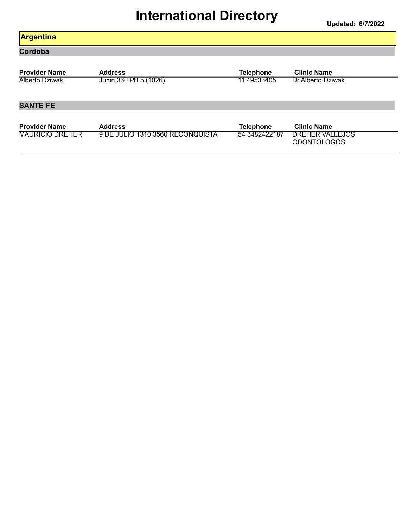#### Argentina

Cordoba

| <b>Provider Name</b>  | <b>Address</b>        | Telephone   | <b>Clinic Name</b> |
|-----------------------|-----------------------|-------------|--------------------|
| <b>Alberto Dziwak</b> | Junin 360 PB 5 (1026) | 11 49533405 | Dr Alberto Dziwak  |

#### SANTE FE

| <b>Provider Name</b>   | <b>Address</b>                   | <b>Telephone</b> | Clinic Name                           |
|------------------------|----------------------------------|------------------|---------------------------------------|
| <b>MAURICIO DREHER</b> | 9 DE JULIO 1310 3560 RECONQUISTA | 54 3482422187    | DREHER VALLEJOS<br><b>ODONTOLOGOS</b> |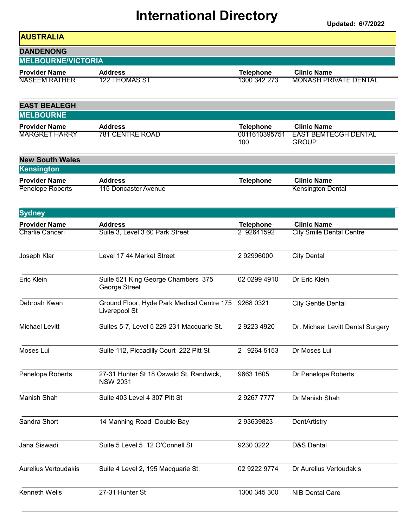| <b>AUSTRALIA</b>            |                                                                       |                      |                                             |
|-----------------------------|-----------------------------------------------------------------------|----------------------|---------------------------------------------|
| <b>DANDENONG</b>            |                                                                       |                      |                                             |
| <b>MELBOURNE/VICTORIA</b>   |                                                                       |                      |                                             |
| <b>Provider Name</b>        | <b>Address</b>                                                        | <b>Telephone</b>     | <b>Clinic Name</b>                          |
| <b>NASEEM RATHER</b>        | <b>122 THOMAS ST</b>                                                  | 1300 342 273         | <b>MONASH PRIVATE DENTAL</b>                |
| <b>EAST BEALEGH</b>         |                                                                       |                      |                                             |
| <b>MELBOURNE</b>            |                                                                       |                      |                                             |
| <b>Provider Name</b>        | <b>Address</b>                                                        | <b>Telephone</b>     | <b>Clinic Name</b>                          |
| <b>MARGRET HARRY</b>        | 781 CENTRE ROAD                                                       | 0011610395751<br>100 | <b>EAST BEMTECGH DENTAL</b><br><b>GROUP</b> |
| <b>New South Wales</b>      |                                                                       |                      |                                             |
| Kensington                  |                                                                       |                      |                                             |
| <b>Provider Name</b>        | <b>Address</b>                                                        | <b>Telephone</b>     | <b>Clinic Name</b>                          |
| Penelope Roberts            | 115 Doncaster Avenue                                                  |                      | <b>Kensington Dental</b>                    |
| <b>Sydney</b>               |                                                                       |                      |                                             |
| <b>Provider Name</b>        | <b>Address</b>                                                        | <b>Telephone</b>     | <b>Clinic Name</b>                          |
| Charlie Canceri             | Suite 3, Level 3 60 Park Street                                       | 2 92641592           | <b>City Smile Dental Centre</b>             |
| Joseph Klar                 | Level 17 44 Market Street                                             | 292996000            | <b>City Dental</b>                          |
| Eric Klein                  | Suite 521 King George Chambers 375<br>George Street                   | 02 0299 4910         | Dr Eric Klein                               |
| Debroah Kwan                | Ground Floor, Hyde Park Medical Centre 175 9268 0321<br>Liverepool St |                      | <b>City Gentle Dental</b>                   |
| <b>Michael Levitt</b>       | Suites 5-7, Level 5 229-231 Macquarie St.                             | 2 9223 4920          | Dr. Michael Levitt Dental Surgery           |
| Moses Lui                   | Suite 112, Piccadilly Court 222 Pitt St                               | 2 9264 5153          | Dr Moses Lui                                |
| Penelope Roberts            | 27-31 Hunter St 18 Oswald St, Randwick,<br><b>NSW 2031</b>            | 9663 1605            | Dr Penelope Roberts                         |
| Manish Shah                 | Suite 403 Level 4 307 Pitt St                                         | 2 9267 7777          | Dr Manish Shah                              |
| Sandra Short                | 14 Manning Road Double Bay                                            | 293639823            | DentArtistry                                |
| Jana Siswadi                | Suite 5 Level 5 12 O'Connell St                                       | 9230 0222            | D&S Dental                                  |
| <b>Aurelius Vertoudakis</b> | Suite 4 Level 2, 195 Macquarie St.                                    | 02 9222 9774         | Dr Aurelius Vertoudakis                     |
| Kenneth Wells               | 27-31 Hunter St                                                       | 1300 345 300         | <b>NIB Dental Care</b>                      |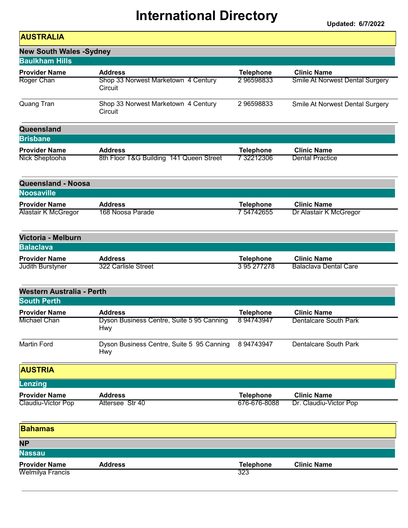| <b>AUSTRALIA</b>                 |                                                         |                  |                                        |
|----------------------------------|---------------------------------------------------------|------------------|----------------------------------------|
| <b>New South Wales -Sydney</b>   |                                                         |                  |                                        |
| <b>Baulkham Hills</b>            |                                                         |                  |                                        |
| <b>Provider Name</b>             | <b>Address</b>                                          | <b>Telephone</b> | <b>Clinic Name</b>                     |
| Roger Chan                       | Shop 33 Norwest Marketown 4 Century<br>Circuit          | 296598833        | <b>Smile At Norwest Dental Surgery</b> |
| Quang Tran                       | Shop 33 Norwest Marketown 4 Century<br>Circuit          | 296598833        | Smile At Norwest Dental Surgery        |
| Queensland                       |                                                         |                  |                                        |
| <b>Brisbane</b>                  |                                                         |                  |                                        |
| <b>Provider Name</b>             | <b>Address</b>                                          | <b>Telephone</b> | <b>Clinic Name</b>                     |
| Nick Sheptooha                   | 8th Floor T&G Building 141 Queen Street                 | 7 32212306       | <b>Dental Practice</b>                 |
| <b>Queensland - Noosa</b>        |                                                         |                  |                                        |
| <b>Noosaville</b>                |                                                         |                  |                                        |
| <b>Provider Name</b>             | <b>Address</b>                                          | <b>Telephone</b> | <b>Clinic Name</b>                     |
| <b>Alastair K McGregor</b>       | 168 Noosa Parade                                        | 7 54742655       | Dr Alastair K McGregor                 |
| Victoria - Melburn               |                                                         |                  |                                        |
| <b>Balaclava</b>                 |                                                         |                  |                                        |
| <b>Provider Name</b>             | <b>Address</b>                                          | <b>Telephone</b> | <b>Clinic Name</b>                     |
| Judith Burstyner                 | 322 Carlisle Street                                     | 3 95 277 278     | <b>Balaclava Dental Care</b>           |
| <b>Western Australia - Perth</b> |                                                         |                  |                                        |
| <b>South Perth</b>               |                                                         |                  |                                        |
| <b>Provider Name</b>             | <b>Address</b>                                          | <b>Telephone</b> | <b>Clinic Name</b>                     |
| <b>Michael Chan</b>              | Dyson Business Centre, Suite 5 95 Canning<br><b>Hwy</b> | 894743947        | <b>Dentalcare South Park</b>           |
| <b>Martin Ford</b>               | Dyson Business Centre, Suite 5 95 Canning<br><b>Hwy</b> | 8 94743947       | <b>Dentalcare South Park</b>           |
| <b>AUSTRIA</b>                   |                                                         |                  |                                        |
| Lenzing                          |                                                         |                  |                                        |
| <b>Provider Name</b>             | <b>Address</b>                                          | <b>Telephone</b> | <b>Clinic Name</b>                     |
| Claudiu-Victor Pop               | Attersee Str 40                                         | 676-676-8088     | Dr. Claudiu-Victor Pop                 |
| <b>Bahamas</b>                   |                                                         |                  |                                        |
| <b>NP</b>                        |                                                         |                  |                                        |
| <b>Nassau</b>                    |                                                         |                  |                                        |
| <b>Provider Name</b>             | <b>Address</b>                                          | <b>Telephone</b> | <b>Clinic Name</b>                     |
| <b>Welmilya Francis</b>          |                                                         | 323              |                                        |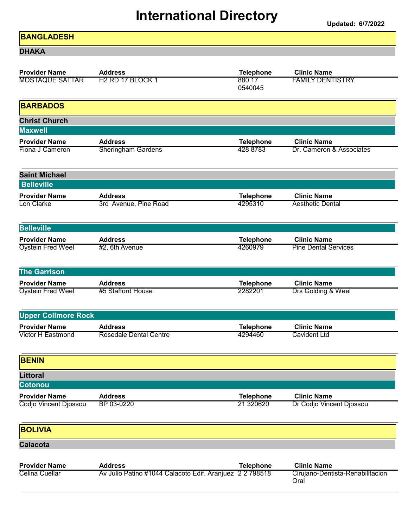Updated: 6/7/2022

#### **BANGLADESH**

DHAKA

| <b>Provider Name</b>                   | <b>Address</b>                                           | <b>Telephone</b>  | <b>Clinic Name</b>                       |
|----------------------------------------|----------------------------------------------------------|-------------------|------------------------------------------|
| <b>MOSTAQUE SATTAR</b>                 | H <sub>2</sub> RD 17 BLOCK 1                             | 880 17<br>0540045 | <b>FAMILY DENTISTRY</b>                  |
| <b>BARBADOS</b>                        |                                                          |                   |                                          |
| <b>Christ Church</b><br><b>Maxwell</b> |                                                          |                   |                                          |
| <b>Provider Name</b>                   | <b>Address</b>                                           | <b>Telephone</b>  | <b>Clinic Name</b>                       |
| Fiona J Cameron                        | <b>Sheringham Gardens</b>                                | 428 8783          | Dr. Cameron & Associates                 |
| <b>Saint Michael</b>                   |                                                          |                   |                                          |
| <b>Belleville</b>                      |                                                          |                   |                                          |
| <b>Provider Name</b><br>Lon Clarke     | <b>Address</b>                                           | <b>Telephone</b>  | <b>Clinic Name</b>                       |
|                                        | 3rd Avenue, Pine Road                                    | 4295310           | <b>Aesthetic Dental</b>                  |
| <b>Belleville</b>                      |                                                          |                   |                                          |
| <b>Provider Name</b>                   | <b>Address</b>                                           | <b>Telephone</b>  | <b>Clinic Name</b>                       |
| <b>Oystein Fred Weel</b>               | #2, 6th Avenue                                           | 4260979           | <b>Pine Dental Services</b>              |
| <b>The Garrison</b>                    |                                                          |                   |                                          |
| <b>Provider Name</b>                   | <b>Address</b>                                           | <b>Telephone</b>  | <b>Clinic Name</b>                       |
| <b>Oystein Fred Weel</b>               | #5 Stafford House                                        | 2282201           | Drs Golding & Weel                       |
| <b>Upper Collmore Rock</b>             |                                                          |                   |                                          |
| <b>Provider Name</b>                   | <b>Address</b>                                           | <b>Telephone</b>  | <b>Clinic Name</b>                       |
| <b>Victor H Eastmond</b>               | <b>Rosedale Dental Centre</b>                            | 4294460           | <b>Cavident Ltd</b>                      |
| <b>BENIN</b>                           |                                                          |                   |                                          |
| <b>Littoral</b>                        |                                                          |                   |                                          |
| <b>Cotonou</b>                         |                                                          |                   |                                          |
| <b>Provider Name</b>                   | <b>Address</b>                                           | <b>Telephone</b>  | <b>Clinic Name</b>                       |
| Codjo Vincent Djossou                  | BP 03-0220                                               | 21 320620         | Dr Codjo Vincent Djossou                 |
| <b>BOLIVIA</b>                         |                                                          |                   |                                          |
| <b>Calacota</b>                        |                                                          |                   |                                          |
|                                        |                                                          |                   |                                          |
| <b>Provider Name</b>                   | <b>Address</b>                                           | <b>Telephone</b>  | <b>Clinic Name</b>                       |
| Celina Cuellar                         | Av Julio Patino #1044 Calacoto Edif. Aranjuez 2 2 798518 |                   | Cirujano-Dentista-Renabilitacion<br>Oral |
|                                        |                                                          |                   |                                          |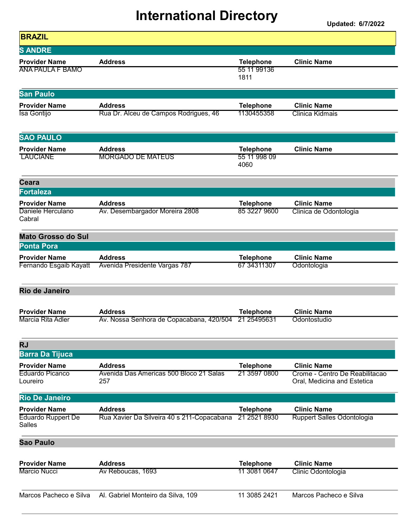| <b>BRAZIL</b>                                   |                                                      |                                         |                                                               |
|-------------------------------------------------|------------------------------------------------------|-----------------------------------------|---------------------------------------------------------------|
| <b>SANDRE</b>                                   |                                                      |                                         |                                                               |
| <b>Provider Name</b><br><b>ANA PAULA F BAMO</b> | <b>Address</b>                                       | <b>Telephone</b><br>55 11 99136<br>1811 | <b>Clinic Name</b>                                            |
| <b>San Paulo</b>                                |                                                      |                                         |                                                               |
| <b>Provider Name</b>                            | <b>Address</b>                                       | <b>Telephone</b>                        | <b>Clinic Name</b>                                            |
| Isa Gontijo                                     | Rua Dr. Alceu de Campos Rodrigues, 46                | 1130455358                              | Clinica Kidmais                                               |
| <b>SAO PAULO</b>                                |                                                      |                                         |                                                               |
| <b>Provider Name</b>                            | <b>Address</b>                                       | <b>Telephone</b>                        | <b>Clinic Name</b>                                            |
| <b>LAUCIANE</b>                                 | <b>MORGADO DE MATEUS</b>                             | 55 11 998 09<br>4060                    |                                                               |
| <b>Ceara</b>                                    |                                                      |                                         |                                                               |
| <b>Fortaleza</b>                                |                                                      |                                         |                                                               |
| <b>Provider Name</b>                            | <b>Address</b>                                       | <b>Telephone</b>                        | <b>Clinic Name</b>                                            |
| Daniele Herculano<br>Cabral                     | Av. Desembargador Moreira 2808                       | 85 3227 9600                            | Clinica de Odontologia                                        |
| <b>Mato Grosso do Sul</b>                       |                                                      |                                         |                                                               |
| <b>Ponta Pora</b>                               |                                                      |                                         |                                                               |
| <b>Provider Name</b>                            | <b>Address</b>                                       | <b>Telephone</b>                        | <b>Clinic Name</b>                                            |
| Fernando Esgaib Kayatt                          | Avenida Presidente Vargas 787                        | 67 34311307                             | Odontologia                                                   |
| <b>Rio de Janeiro</b>                           |                                                      |                                         |                                                               |
| <b>Provider Name</b>                            | <b>Address</b>                                       | <b>Telephone</b>                        | <b>Clinic Name</b>                                            |
| Marcia Rita Adler                               | Av. Nossa Senhora de Copacabana, 420/504 21 25495631 |                                         | Odontostudio                                                  |
| <b>RJ</b>                                       |                                                      |                                         |                                                               |
| <b>Barra Da Tijuca</b>                          |                                                      |                                         |                                                               |
| <b>Provider Name</b>                            | <b>Address</b>                                       | <b>Telephone</b>                        | <b>Clinic Name</b>                                            |
| Eduardo Picanco<br>Loureiro                     | Avenida Das Americas 500 Bloco 21 Salas<br>257       | 21 3597 0800                            | Crome - Centro De Reabilitacao<br>Oral, Medicina and Estetica |
| <b>Rio De Janeiro</b>                           |                                                      |                                         |                                                               |
| <b>Provider Name</b>                            | <b>Address</b>                                       | <b>Telephone</b>                        | <b>Clinic Name</b>                                            |
| <b>Eduardo Ruppert De</b><br>Salles             | Rua Xavier Da Silveira 40 s 211-Copacabana           | 21 2521 8930                            | <b>Ruppert Salles Odontologia</b>                             |
| <b>Sao Paulo</b>                                |                                                      |                                         |                                                               |
| <b>Provider Name</b>                            | <b>Address</b>                                       | <b>Telephone</b>                        | <b>Clinic Name</b>                                            |
| <b>Marcio Nucci</b>                             | Av Reboucas, 1693                                    | 11 3081 0647                            | Clinic Odontologia                                            |
|                                                 |                                                      |                                         |                                                               |
| Marcos Pacheco e Silva                          | Al. Gabriel Monteiro da Silva, 109                   | 11 3085 2421                            | Marcos Pacheco e Silva                                        |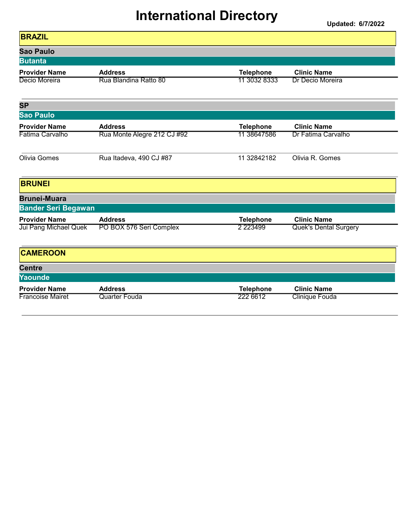| <b>BRAZIL</b>                 |                             |                  |                              |
|-------------------------------|-----------------------------|------------------|------------------------------|
| <b>Sao Paulo</b>              |                             |                  |                              |
| <b>Butanta</b>                |                             |                  |                              |
| <b>Provider Name</b>          | <b>Address</b>              | <b>Telephone</b> | <b>Clinic Name</b>           |
| Decio Moreira                 | Rua Blandina Ratto 80       | 11 3032 8333     | Dr Decio Moreira             |
| <b>SP</b><br><b>Sao Paulo</b> |                             |                  |                              |
| <b>Provider Name</b>          | <b>Address</b>              | <b>Telephone</b> | <b>Clinic Name</b>           |
| Fatima Carvalho               | Rua Monte Alegre 212 CJ #92 | 11 38647586      | Dr Fatima Carvalho           |
| Olivia Gomes                  | Rua Itadeva, 490 CJ #87     | 11 32842182      | Olivia R. Gomes              |
| <b>BRUNEI</b>                 |                             |                  |                              |
| <b>Brunei-Muara</b>           |                             |                  |                              |
| <b>Bander Seri Begawan</b>    |                             |                  |                              |
| <b>Provider Name</b>          | <b>Address</b>              | <b>Telephone</b> | <b>Clinic Name</b>           |
| Jui Pang Michael Quek         | PO BOX 576 Seri Complex     | 2 2 2 3 4 9 9    | <b>Quek's Dental Surgery</b> |
| <b>CAMEROON</b>               |                             |                  |                              |
| <b>Centre</b>                 |                             |                  |                              |
| Yaounde                       |                             |                  |                              |
| <b>Provider Name</b>          | <b>Address</b>              | <b>Telephone</b> | <b>Clinic Name</b>           |
| <b>Francoise Mairet</b>       | <b>Quarter Fouda</b>        | 222 6612         | Clinique Fouda               |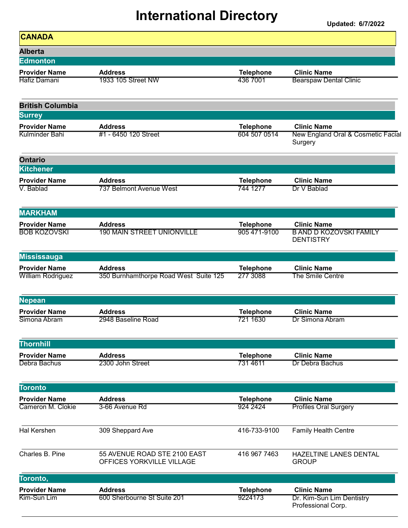| <b>CANADA</b>                                    |                                                           |                                  |                                                                          |
|--------------------------------------------------|-----------------------------------------------------------|----------------------------------|--------------------------------------------------------------------------|
| <b>Alberta</b>                                   |                                                           |                                  |                                                                          |
| <b>Edmonton</b>                                  |                                                           |                                  |                                                                          |
| <b>Provider Name</b>                             | <b>Address</b>                                            | <b>Telephone</b>                 | <b>Clinic Name</b>                                                       |
| Hafiz Damani                                     | 1933 105 Street NW                                        | 436 7001                         | <b>Bearspaw Dental Clinic</b>                                            |
| <b>British Columbia</b>                          |                                                           |                                  |                                                                          |
| <b>Surrey</b>                                    |                                                           |                                  |                                                                          |
| <b>Provider Name</b><br>Kulminder Bahi           | <b>Address</b><br>#1 - 6450 120 Street                    | <b>Telephone</b><br>604 507 0514 | <b>Clinic Name</b><br>New England Oral & Cosmetic Facial<br>Surgery      |
| <b>Ontario</b><br><b>Kitchener</b>               |                                                           |                                  |                                                                          |
| <b>Provider Name</b><br>V. Bablad                | <b>Address</b><br>737 Belmont Avenue West                 | <b>Telephone</b><br>744 1277     | <b>Clinic Name</b><br>Dr V Bablad                                        |
| <b>MARKHAM</b>                                   |                                                           |                                  |                                                                          |
| <b>Provider Name</b><br><b>BOB KOZOVSKI</b>      | <b>Address</b><br><b>190 MAIN STREET UNIONVILLE</b>       | <b>Telephone</b><br>905 471-9100 | <b>Clinic Name</b><br><b>B AND D KOZOVSKI FAMILY</b><br><b>DENTISTRY</b> |
| <b>Mississauga</b>                               |                                                           |                                  |                                                                          |
| <b>Provider Name</b><br><b>William Rodriguez</b> | <b>Address</b><br>350 Burnhamthorpe Road West Suite 125   | <b>Telephone</b><br>277 3088     | <b>Clinic Name</b><br>The Smile Centre                                   |
| <b>Nepean</b>                                    |                                                           |                                  |                                                                          |
| <b>Provider Name</b>                             | <b>Address</b>                                            | <b>Telephone</b>                 | <b>Clinic Name</b>                                                       |
| Simona Abram                                     | 2948 Baseline Road                                        | 721 1630                         | Dr Simona Abram                                                          |
| <b>Thornhill</b>                                 |                                                           |                                  |                                                                          |
| <b>Provider Name</b>                             | <b>Address</b>                                            | <b>Telephone</b>                 | <b>Clinic Name</b>                                                       |
| Debra Bachus                                     | 2300 John Street                                          | 731 4611                         | Dr Debra Bachus                                                          |
| <b>Toronto</b>                                   |                                                           |                                  |                                                                          |
| <b>Provider Name</b>                             | <b>Address</b>                                            | <b>Telephone</b>                 | <b>Clinic Name</b>                                                       |
| Cameron M. Clokie                                | 3-66 Avenue Rd                                            | 924 2424                         | <b>Profiles Oral Surgery</b>                                             |
| <b>Hal Kershen</b>                               | 309 Sheppard Ave                                          | 416-733-9100                     | <b>Family Health Centre</b>                                              |
| Charles B. Pine                                  | 55 AVENUE ROAD STE 2100 EAST<br>OFFICES YORKVILLE VILLAGE | 416 967 7463                     | HAZELTINE LANES DENTAL<br><b>GROUP</b>                                   |
| Toronto,                                         |                                                           |                                  |                                                                          |
| <b>Provider Name</b><br>Kim-Sun Lim              | <b>Address</b><br>600 Sherbourne St Suite 201             | <b>Telephone</b><br>9224173      | <b>Clinic Name</b><br>Dr. Kim-Sun Lim Dentistry                          |
|                                                  |                                                           |                                  | Professional Corp.                                                       |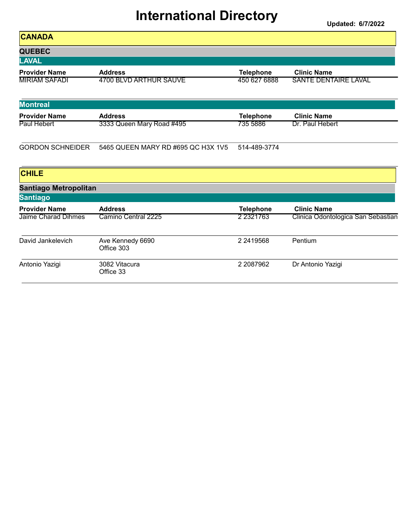| <b>CANADA</b>                |                                    |                  |                                    |
|------------------------------|------------------------------------|------------------|------------------------------------|
| <b>QUEBEC</b>                |                                    |                  |                                    |
| <b>LAVAL</b>                 |                                    |                  |                                    |
| <b>Provider Name</b>         | <b>Address</b>                     | <b>Telephone</b> | <b>Clinic Name</b>                 |
| <b>MIRIAM SAFADI</b>         | <b>4700 BLVD ARTHUR SAUVE</b>      | 450 627 6888     | <b>SANTE DENTAIRE LAVAL</b>        |
| <b>Montreal</b>              |                                    |                  |                                    |
| <b>Provider Name</b>         | <b>Address</b>                     | <b>Telephone</b> | <b>Clinic Name</b>                 |
| Paul Hebert                  | 3333 Queen Mary Road #495          | 735 5886         | Dr. Paul Hebert                    |
| <b>GORDON SCHNEIDER</b>      | 5465 QUEEN MARY RD #695 QC H3X 1V5 | 514-489-3774     |                                    |
| <b>CHILE</b>                 |                                    |                  |                                    |
| <b>Santiago Metropolitan</b> |                                    |                  |                                    |
| <b>Santiago</b>              |                                    |                  |                                    |
| <b>Provider Name</b>         | <b>Address</b>                     | <b>Telephone</b> | <b>Clinic Name</b>                 |
| Jaime Charad Dihmes          | Camino Central 2225                | 2 2 3 2 1 7 6 3  | Clinica Odontologica San Sebastian |
| David Jankelevich            | Ave Kennedy 6690<br>Office 303     | 2 2419568        | Pentium                            |
| Antonio Yazigi               | 3082 Vitacura<br>Office 33         | 2 2087962        | Dr Antonio Yazigi                  |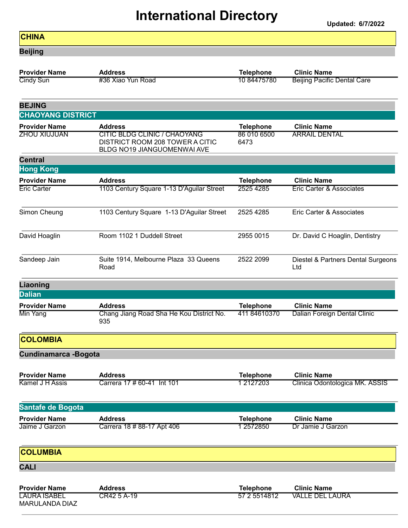#### **CHINA** Beijing Provider Name **Address** And Address **Telephone** Clinic Name Cindy Sun **10 84475780** Beijing Pacific Dental Care BEJING CHAOYANG DISTRICT Provider Name **Address** And Address **Telephone** Clinic Name ZHOU XIUJUAN 86 010 6500 CITIC BLDG CLINIC / CHAOYANG ARRAIL DENTAL 6473 DISTRICT ROOM 208 TOWER A CITIC BLDG NO19 JIANGUOMENWAI AVE Central Hong Kong Provider Name **Address** And Address **Telephone** Clinic Name Eric Carter 2525 4285 1103 Century Square 1-13 D'Aguilar Street 2525 4285 1110 Carter & Associates Simon Cheung 2525 4285 1103 Century Square 1-13 D'Aguilar Street 2525 4285 Eric Carter & Associates David Hoaglin 200 Room 1102 1 Duddell Street 2955 0015 Dr. David C Hoaglin, Dentistry Sandeep Jain Suite 1914, Melbourne Plaza 33 Queens 2522 2099 Diestel & Partners Dental Surgeons Ltd Road Liaoning **Dalian** Provider Name **Address** And Address **Telephone** Clinic Name Min Yang **411 84610370** Chang Jiang Road Sha He Kou District No. 411 84610370 Dalian Foreign Dental Clinic 935 **COLOMBIA** Cundinamarca -Bogota Provider Name **Address** And Address **Telephone** Clinic Name Kamel J H Assis Carrera 17 # 60-41 Int 101 12127203 Clinica Odontologica MK. ASSIS Santafe de Bogota Provider Name **Address** And Address **Telephone** Clinic Name Jaime J Garzon Carrera 18 # 88-17 Apt 406 1 2572850 Dr Jamie J Garzon **COLUMBIA CALI** Provider Name **Address** And Address **Telephone** Clinic Name LAURA ISABEL CR42 5 A-19 57 2 5514812 VALLE DEL LAURA

MARULANDA DIAZ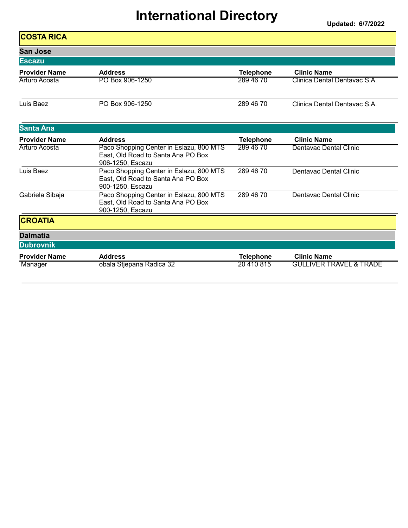| <b>COSTA RICA</b>    |                                                                                                   |                  |                                    |
|----------------------|---------------------------------------------------------------------------------------------------|------------------|------------------------------------|
| <b>San Jose</b>      |                                                                                                   |                  |                                    |
| <b>Escazu</b>        |                                                                                                   |                  |                                    |
| <b>Provider Name</b> | <b>Address</b>                                                                                    | <b>Telephone</b> | <b>Clinic Name</b>                 |
| Arturo Acosta        | PO Box 906-1250                                                                                   | 289 46 70        | Clinica Dental Dentavac S.A.       |
| Luis Baez            | PO Box 906-1250                                                                                   | 289 46 70        | Clinica Dental Dentavac S.A.       |
| <b>Santa Ana</b>     |                                                                                                   |                  |                                    |
| <b>Provider Name</b> | <b>Address</b>                                                                                    | <b>Telephone</b> | <b>Clinic Name</b>                 |
| Arturo Acosta        | Paco Shopping Center in Eslazu, 800 MTS<br>East, Old Road to Santa Ana PO Box<br>906-1250, Escazu | 289 46 70        | Dentavac Dental Clinic             |
| Luis Baez            | Paco Shopping Center in Eslazu, 800 MTS<br>East, Old Road to Santa Ana PO Box<br>900-1250, Escazu | 289 46 70        | Dentavac Dental Clinic             |
| Gabriela Sibaja      | Paco Shopping Center in Eslazu, 800 MTS<br>East, Old Road to Santa Ana PO Box<br>900-1250, Escazu | 289 46 70        | Dentavac Dental Clinic             |
| <b>CROATIA</b>       |                                                                                                   |                  |                                    |
| <b>Dalmatia</b>      |                                                                                                   |                  |                                    |
| <b>Dubrovnik</b>     |                                                                                                   |                  |                                    |
| <b>Provider Name</b> | <b>Address</b>                                                                                    | <b>Telephone</b> | <b>Clinic Name</b>                 |
| Manager              | obala Stjepana Radica 32                                                                          | 20 410 815       | <b>GULLIVER TRAVEL &amp; TRADE</b> |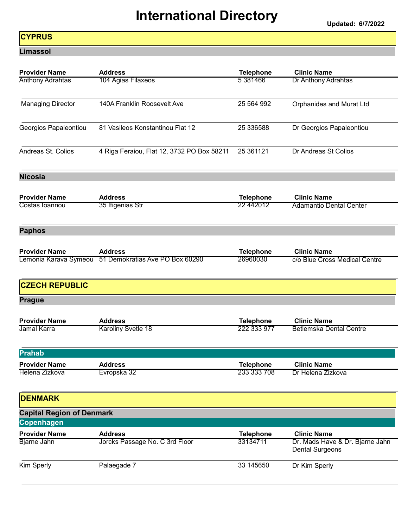Updated: 6/7/2022

#### **CYPRUS**

Limassol

| <b>Provider Name</b>             | <b>Address</b>                                        | <b>Telephone</b> | <b>Clinic Name</b>                                        |
|----------------------------------|-------------------------------------------------------|------------------|-----------------------------------------------------------|
| <b>Anthony Adrahtas</b>          | 104 Agias Filaxeos                                    | 5 381466         | Dr Anthony Adrahtas                                       |
| <b>Managing Director</b>         | 140A Franklin Roosevelt Ave                           | 25 564 992       | <b>Orphanides and Murat Ltd</b>                           |
| Georgios Papaleontiou            | 81 Vasileos Konstantinou Flat 12                      | 25 336588        | Dr Georgios Papaleontiou                                  |
| Andreas St. Colios               | 4 Riga Feraiou, Flat 12, 3732 PO Box 58211            | 25 36 11 21      | Dr Andreas St Colios                                      |
| <b>Nicosia</b>                   |                                                       |                  |                                                           |
| <b>Provider Name</b>             | <b>Address</b>                                        | <b>Telephone</b> | <b>Clinic Name</b>                                        |
| Costas Ioannou                   | 35 Ifigenias Str                                      | 22 44 2012       | <b>Adamantio Dental Center</b>                            |
| <b>Paphos</b>                    |                                                       |                  |                                                           |
| <b>Provider Name</b>             | <b>Address</b>                                        | <b>Telephone</b> | <b>Clinic Name</b>                                        |
|                                  | Lemonia Karava Symeou 51 Demokratias Ave PO Box 60290 | 26960030         | c/o Blue Cross Medical Centre                             |
| <b>CZECH REPUBLIC</b>            |                                                       |                  |                                                           |
| <b>Prague</b>                    |                                                       |                  |                                                           |
| <b>Provider Name</b>             | <b>Address</b>                                        | <b>Telephone</b> | <b>Clinic Name</b>                                        |
| Jamal Karra                      | Karoliny Svetle 18                                    | 222 333 977      | <b>Betlemska Dental Centre</b>                            |
| <b>Prahab</b>                    |                                                       |                  |                                                           |
| <b>Provider Name</b>             | <b>Address</b>                                        | <b>Telephone</b> | <b>Clinic Name</b>                                        |
| Helena Zizkova                   | Evropska 32                                           | 233 333 708      | Dr Helena Zizkova                                         |
| <b>DENMARK</b>                   |                                                       |                  |                                                           |
| <b>Capital Region of Denmark</b> |                                                       |                  |                                                           |
| <b>Copenhagen</b>                |                                                       |                  |                                                           |
| <b>Provider Name</b>             | <b>Address</b>                                        | <b>Telephone</b> | <b>Clinic Name</b>                                        |
| <b>Bjarne Jahn</b>               | Jorcks Passage No. C 3rd Floor                        | 33134711         | Dr. Mads Have & Dr. Bjarne Jahn<br><b>Dental Surgeons</b> |
| Kim Sperly                       | Palaegade 7                                           | 33 145 650       | Dr Kim Sperly                                             |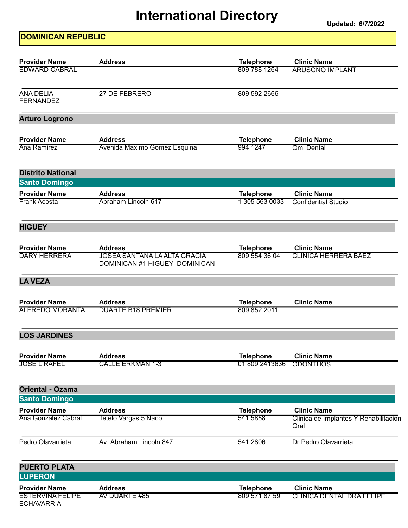Updated: 6/7/2022

#### DOMINICAN REPUBLIC

| <b>Provider Name</b>                         | <b>Address</b>                                                       | <b>Telephone</b>                   | <b>Clinic Name</b>                               |
|----------------------------------------------|----------------------------------------------------------------------|------------------------------------|--------------------------------------------------|
| <b>EDWARD CABRAL</b>                         |                                                                      | 809 788 1264                       | <b>ARUSONO IMPLANT</b>                           |
| <b>ANA DELIA</b><br><b>FERNANDEZ</b>         | 27 DE FEBRERO                                                        | 809 592 2666                       |                                                  |
| <b>Arturo Logrono</b>                        |                                                                      |                                    |                                                  |
| <b>Provider Name</b><br>Ana Ramirez          | <b>Address</b><br>Avenida Maximo Gomez Esquina                       | <b>Telephone</b><br>994 1247       | <b>Clinic Name</b><br>Omi Dental                 |
| <b>Distrito National</b>                     |                                                                      |                                    |                                                  |
| <b>Santo Domingo</b>                         |                                                                      |                                    |                                                  |
| <b>Provider Name</b><br>Frank Acosta         | <b>Address</b><br>Abraham Lincoln 617                                | <b>Telephone</b><br>1 305 563 0033 | <b>Clinic Name</b><br><b>Confidential Studio</b> |
| <b>HIGUEY</b>                                |                                                                      |                                    |                                                  |
| <b>Provider Name</b>                         | <b>Address</b>                                                       | <b>Telephone</b>                   | <b>Clinic Name</b>                               |
| <b>DARY HERRERA</b>                          | <b>JOSEA SANTANA LA ALTA GRACIA</b><br>DOMINICAN #1 HIGUEY DOMINICAN | 809 554 36 04                      | <b>CLINICA HERRERA BAEZ</b>                      |
| <b>LA VEZA</b>                               |                                                                      |                                    |                                                  |
| <b>Provider Name</b>                         | <b>Address</b>                                                       | <b>Telephone</b>                   | <b>Clinic Name</b>                               |
| <b>ALFREDO MORANTA</b>                       | <b>DUARTE B18 PREMIER</b>                                            | 809 852 2011                       |                                                  |
| <b>LOS JARDINES</b>                          |                                                                      |                                    |                                                  |
| <b>Provider Name</b>                         | <b>Address</b>                                                       | <b>Telephone</b>                   | <b>Clinic Name</b>                               |
| <b>JOSE L RAFEL</b>                          | <b>CALLE ERKMAN 1-3</b>                                              | 01 809 2413636                     | <b>ODONTHOS</b>                                  |
| <b>Oriental - Ozama</b>                      |                                                                      |                                    |                                                  |
| <b>Santo Domingo</b>                         |                                                                      |                                    |                                                  |
| <b>Provider Name</b>                         | <b>Address</b>                                                       | <b>Telephone</b>                   | <b>Clinic Name</b>                               |
| Ana Gonzalez Cabral                          | Tetelo Vargas 5 Naco                                                 | 541 5858                           | Clinica de Implantes Y Rehabilitacion<br>Oral    |
| Pedro Olavarrieta                            | Av. Abraham Lincoln 847                                              | 541 2806                           | Dr Pedro Olavarrieta                             |
| <b>PUERTO PLATA</b>                          |                                                                      |                                    |                                                  |
| <b>LUPERON</b>                               |                                                                      |                                    |                                                  |
| <b>Provider Name</b>                         | <b>Address</b>                                                       | <b>Telephone</b>                   | <b>Clinic Name</b>                               |
| <b>ESTERVINA FELIPE</b><br><b>ECHAVARRIA</b> | AV DUARTE #85                                                        | 809 571 87 59                      | <b>CLINICA DENTAL DRA FELIPE</b>                 |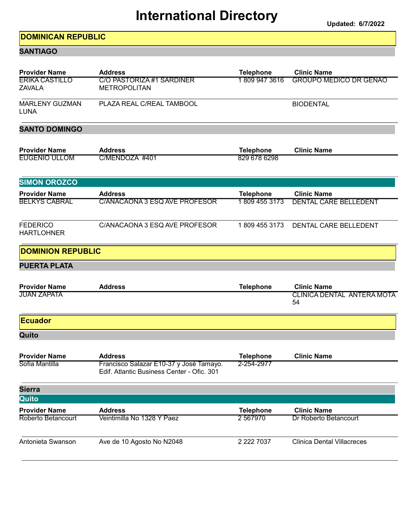Updated: 6/7/2022

#### DOMINICAN REPUBLIC

#### **SANTIAGO**

|                                              | <b>Address</b>                                                                        | <b>Telephone</b>                 | <b>Clinic Name</b>                                      |
|----------------------------------------------|---------------------------------------------------------------------------------------|----------------------------------|---------------------------------------------------------|
| <b>ERIKA CASTILLO</b><br><b>ZAVALA</b>       | <b>C/O PASTORIZA #1 SARDINER</b><br><b>METROPOLITAN</b>                               | 18099473616                      | <b>GROUPO MEDICO DR GENAO</b>                           |
| <b>MARLENY GUZMAN</b><br><b>LUNA</b>         | PLAZA REAL C/REAL TAMBOOL                                                             |                                  | <b>BIODENTAL</b>                                        |
| <b>SANTO DOMINGO</b>                         |                                                                                       |                                  |                                                         |
| <b>Provider Name</b><br><b>EUGENIO ULLOM</b> | <b>Address</b><br>C/MENDOZA #401                                                      | <b>Telephone</b><br>829 678 6298 | <b>Clinic Name</b>                                      |
| <b>SIMON OROZCO</b>                          |                                                                                       |                                  |                                                         |
| <b>Provider Name</b>                         | <b>Address</b>                                                                        | <b>Telephone</b>                 | <b>Clinic Name</b>                                      |
| <b>BELKYS CABRAL</b>                         | C/ANACAONA 3 ESQ AVE PROFESOR                                                         | 1809 455 3173                    | <b>DENTAL CARE BELLEDENT</b>                            |
| <b>FEDERICO</b><br><b>HARTLOHNER</b>         | C/ANACAONA 3 ESQ AVE PROFESOR                                                         | 1809 455 3173                    | DENTAL CARE BELLEDENT                                   |
| <b>DOMINION REPUBLIC</b>                     |                                                                                       |                                  |                                                         |
| <b>PUERTA PLATA</b>                          |                                                                                       |                                  |                                                         |
| <b>Provider Name</b><br><b>JUAN ZAPATA</b>   | <b>Address</b>                                                                        | <b>Telephone</b>                 | <b>Clinic Name</b><br><b>CLINICA DENTAL ANTERA MOTA</b> |
|                                              |                                                                                       |                                  | 54                                                      |
| <b>Ecuador</b>                               |                                                                                       |                                  |                                                         |
| Quito                                        |                                                                                       |                                  |                                                         |
| <b>Provider Name</b>                         | <b>Address</b>                                                                        | <b>Telephone</b>                 | <b>Clinic Name</b>                                      |
| Sofia Mantilla                               | Francisco Salazar E10-37 y José Tamayo.<br>Edif. Atlantic Business Center - Ofic. 301 | 2-254-2977                       |                                                         |
| <b>Sierra</b>                                |                                                                                       |                                  |                                                         |
| Quito                                        |                                                                                       |                                  |                                                         |
| <b>Provider Name</b><br>Roberto Betancourt   | <b>Address</b><br>Veintimilla No 1328 Y Paez                                          | <b>Telephone</b><br>2567970      | <b>Clinic Name</b><br>Dr Roberto Betancourt             |
| Antonieta Swanson                            | Ave de 10 Agosto No N2048                                                             | 2 2 2 7 0 3 7                    | <b>Clinica Dental Villacreces</b>                       |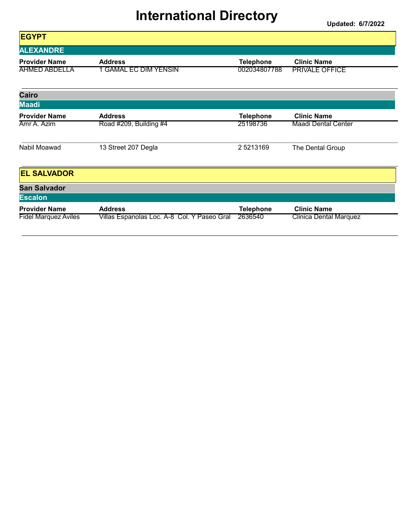| <b>EGYPT</b>                |                                             |                  |                               |
|-----------------------------|---------------------------------------------|------------------|-------------------------------|
| <b>ALEXANDRE</b>            |                                             |                  |                               |
| <b>Provider Name</b>        | <b>Address</b>                              | <b>Telephone</b> | <b>Clinic Name</b>            |
| <b>AHMED ABDELLA</b>        | <u>1 GAMAL EC DIM YENSIN</u>                | 002034807788     | <b>PRIVALE OFFICE</b>         |
| Cairo                       |                                             |                  |                               |
| <b>Maadi</b>                |                                             |                  |                               |
| <b>Provider Name</b>        | <b>Address</b>                              | <b>Telephone</b> | <b>Clinic Name</b>            |
| Amr A. Azim                 | Road #209, Building #4                      | 25198736         | <b>Maadi Dental Center</b>    |
| Nabil Moawad                | 13 Street 207 Degla                         | 25213169         | The Dental Group              |
| <b>EL SALVADOR</b>          |                                             |                  |                               |
| <b>San Salvador</b>         |                                             |                  |                               |
| <b>Escalon</b>              |                                             |                  |                               |
| <b>Provider Name</b>        | <b>Address</b>                              | <b>Telephone</b> | <b>Clinic Name</b>            |
| <b>Fidel Marquez Aviles</b> | Villas Espanolas Loc. A-8 Col. Y Paseo Gral | 2636540          | <b>Clinica Dental Marquez</b> |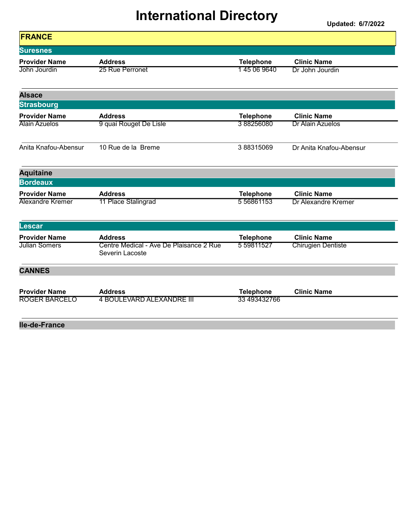| <b>FRANCE</b>        |                                                            |                   |                            |
|----------------------|------------------------------------------------------------|-------------------|----------------------------|
| <b>Suresnes</b>      |                                                            |                   |                            |
| <b>Provider Name</b> | <b>Address</b>                                             | <b>Telephone</b>  | <b>Clinic Name</b>         |
| John Jourdin         | 25 Rue Perronet                                            | 145 06 9640       | Dr John Jourdin            |
| <b>Alsace</b>        |                                                            |                   |                            |
| <b>Strasbourg</b>    |                                                            |                   |                            |
| <b>Provider Name</b> | <b>Address</b>                                             | <b>Telephone</b>  | <b>Clinic Name</b>         |
| <b>Alain Azuelos</b> | 9 quai Rouget De Lisle                                     | 388256080         | <b>Dr Alain Azuelos</b>    |
| Anita Knafou-Abensur | 10 Rue de la Breme                                         | 388315069         | Dr Anita Knafou-Abensur    |
| <b>Aquitaine</b>     |                                                            |                   |                            |
| <b>Bordeaux</b>      |                                                            |                   |                            |
| <b>Provider Name</b> | <b>Address</b>                                             | <b>Telephone</b>  | <b>Clinic Name</b>         |
| Alexandre Kremer     | 11 Place Stalingrad                                        | 5 5 68 6 1 1 5 3  | <b>Dr Alexandre Kremer</b> |
| <b>Lescar</b>        |                                                            |                   |                            |
| <b>Provider Name</b> | <b>Address</b>                                             | <b>Telephone</b>  | <b>Clinic Name</b>         |
| <b>Julian Somers</b> | Centre Medical - Ave De Plaisance 2 Rue<br>Severin Lacoste | 5 5 9 8 1 1 5 2 7 | <b>Chirugien Dentiste</b>  |
| <b>CANNES</b>        |                                                            |                   |                            |
| <b>Provider Name</b> | <b>Address</b>                                             | <b>Telephone</b>  | <b>Clinic Name</b>         |
| <b>ROGER BARCELO</b> | <b>4 BOULEVARD ALEXANDRE III</b>                           | 33 493432766      |                            |
| lle-de-France        |                                                            |                   |                            |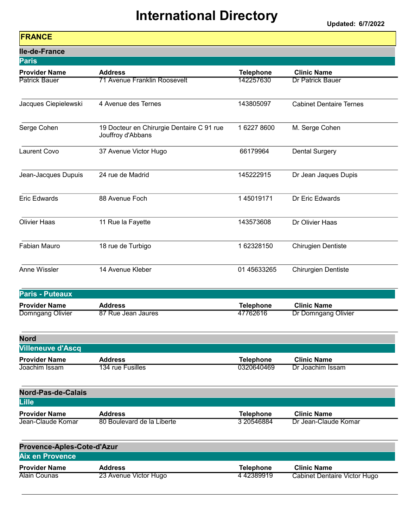Updated: 6/7/2022

#### FRANCE

| <b>Ile-de-France</b>                  |                                                                |                                |                                        |
|---------------------------------------|----------------------------------------------------------------|--------------------------------|----------------------------------------|
| <b>Paris</b>                          |                                                                |                                |                                        |
| <b>Provider Name</b>                  | <b>Address</b>                                                 | <b>Telephone</b>               | <b>Clinic Name</b>                     |
| <b>Patrick Bauer</b>                  | <b>71 Avenue Franklin Roosevelt</b>                            | 142257630                      | <b>Dr Patrick Bauer</b>                |
| Jacques Ciepielewski                  | 4 Avenue des Ternes                                            | 143805097                      | <b>Cabinet Dentaire Ternes</b>         |
| Serge Cohen                           | 19 Docteur en Chirurgie Dentaire C 91 rue<br>Jouffroy d'Abbans | 1 6227 8600                    | M. Serge Cohen                         |
| <b>Laurent Covo</b>                   | 37 Avenue Victor Hugo                                          | 66179964                       | <b>Dental Surgery</b>                  |
| Jean-Jacques Dupuis                   | 24 rue de Madrid                                               | 145222915                      | Dr Jean Jaques Dupis                   |
| <b>Eric Edwards</b>                   | 88 Avenue Foch                                                 | 145019171                      | Dr Eric Edwards                        |
| <b>Olivier Haas</b>                   | 11 Rue la Fayette                                              | 143573608                      | Dr Olivier Haas                        |
| <b>Fabian Mauro</b>                   | 18 rue de Turbigo                                              | 162328150                      | <b>Chirugien Dentiste</b>              |
| Anne Wissler                          | 14 Avenue Kleber                                               | 01 45633265                    | Chirurgien Dentiste                    |
| <b>Paris - Puteaux</b>                |                                                                |                                |                                        |
| <b>Provider Name</b>                  | <b>Address</b>                                                 | <b>Telephone</b>               | <b>Clinic Name</b>                     |
| Domngang Olivier                      | 87 Rue Jean Jaures                                             | 47762616                       | Dr Domngang Olivier                    |
| <b>Nord</b>                           |                                                                |                                |                                        |
| <b>Villeneuve d'Ascq</b>              |                                                                |                                |                                        |
| <b>Provider Name</b><br>Joachim Issam | <b>Address</b><br>134 rue Fusilles                             | <b>Telephone</b><br>0320640469 | <b>Clinic Name</b><br>Dr Joachim Issam |
|                                       |                                                                |                                |                                        |
| <b>Nord-Pas-de-Calais</b>             |                                                                |                                |                                        |
| Lille                                 |                                                                |                                |                                        |
| <b>Provider Name</b>                  | <b>Address</b>                                                 | <b>Telephone</b>               | <b>Clinic Name</b>                     |
| Jean-Claude Komar                     | 80 Boulevard de la Liberte                                     | 3 20546884                     | Dr Jean-Claude Komar                   |
| Provence-Aples-Cote-d'Azur            |                                                                |                                |                                        |
| <b>Aix en Provence</b>                |                                                                |                                |                                        |
| <b>Provider Name</b>                  | <b>Address</b>                                                 | <b>Telephone</b>               | <b>Clinic Name</b>                     |

Alain Counas 23 Avenue Victor Hugo 14 42389919 Cabinet Dentaire Victor Hugo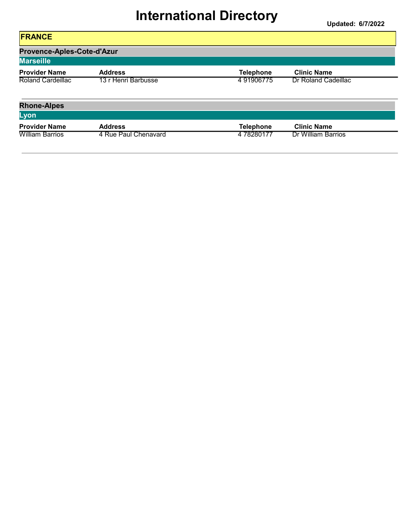| <b>FRANCE</b>                                  |                      |                  |                     |
|------------------------------------------------|----------------------|------------------|---------------------|
| Provence-Aples-Cote-d'Azur<br><b>Marseille</b> |                      |                  |                     |
| <b>Provider Name</b>                           | <b>Address</b>       | <b>Telephone</b> | <b>Clinic Name</b>  |
| Roland Cardeillac                              | 13 r Henri Barbusse  | 491906775        | Dr Roland Cadeillac |
| <b>Rhone-Alpes</b>                             |                      |                  |                     |
| Lyon                                           |                      |                  |                     |
| <b>Provider Name</b>                           | <b>Address</b>       | <b>Telephone</b> | <b>Clinic Name</b>  |
| <b>William Barrios</b>                         | 4 Rue Paul Chenavard | 478280177        | Dr William Barrios  |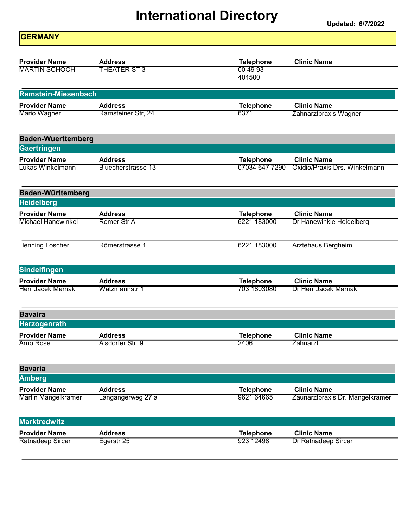Updated: 6/7/2022

| <b>GERMANY</b>                                    |                               |                                 |                                 |
|---------------------------------------------------|-------------------------------|---------------------------------|---------------------------------|
| <b>Provider Name</b>                              | <b>Address</b>                | <b>Telephone</b>                | <b>Clinic Name</b>              |
| <b>MARTIN SCHOCH</b>                              | <b>THEATER ST 3</b>           | 00 49 93<br>404500              |                                 |
| Ramstein-Miesenbach                               |                               |                                 |                                 |
| <b>Provider Name</b>                              | <b>Address</b>                | <b>Telephone</b>                | <b>Clinic Name</b>              |
| Mario Wagner                                      | Ramsteiner Str, 24            | 6371                            | Zahnarztpraxis Wagner           |
| <b>Baden-Wuerttemberg</b>                         |                               |                                 |                                 |
| Gaertringen                                       |                               |                                 |                                 |
| <b>Provider Name</b>                              | <b>Address</b>                | <b>Telephone</b>                | <b>Clinic Name</b>              |
| Lukas Winkelmann                                  | <b>Bluecherstrasse 13</b>     | 07034 647 7290                  | Oxidio/Praxis Drs. Winkelmann   |
| <b>Baden-Württemberg</b>                          |                               |                                 |                                 |
| <b>Heidelberg</b>                                 |                               |                                 |                                 |
| <b>Provider Name</b><br><b>Michael Hanewinkel</b> | <b>Address</b><br>Romer Str A | <b>Telephone</b><br>6221 183000 | <b>Clinic Name</b>              |
|                                                   |                               |                                 | Dr Hanewinkle Heidelberg        |
| Henning Loscher                                   | Römerstrasse 1                | 6221 183000                     | Arztehaus Bergheim              |
| <b>Sindelfingen</b>                               |                               |                                 |                                 |
| <b>Provider Name</b>                              | <b>Address</b>                | <b>Telephone</b>                | <b>Clinic Name</b>              |
| <b>Herr Jacek Mamak</b>                           | Watzmannstr 1                 | 703 1803080                     | Dr Herr Jacek Mamak             |
| <b>Bavaira</b>                                    |                               |                                 |                                 |
| <b>Herzogenrath</b>                               |                               |                                 |                                 |
| <b>Provider Name</b>                              | <b>Address</b>                | <b>Telephone</b>                | <b>Clinic Name</b>              |
| <b>Arno Rose</b>                                  | Alsdorfer Str. 9              | 2406                            | Zahnarzt                        |
| <b>Bavaria</b>                                    |                               |                                 |                                 |
| <b>Amberg</b>                                     |                               |                                 |                                 |
| <b>Provider Name</b>                              | <b>Address</b>                | <b>Telephone</b><br>9621 64665  | <b>Clinic Name</b>              |
| <b>Martin Mangelkramer</b>                        | Langangerweg 27 a             |                                 | Zaunarztpraxis Dr. Mangelkramer |
| <b>Marktredwitz</b>                               |                               |                                 |                                 |
| <b>Provider Name</b>                              | <b>Address</b>                | <b>Telephone</b>                | <b>Clinic Name</b>              |
| Ratnadeep Sircar                                  | Egerstr 25                    | 923 12498                       | Dr Ratnadeep Sircar             |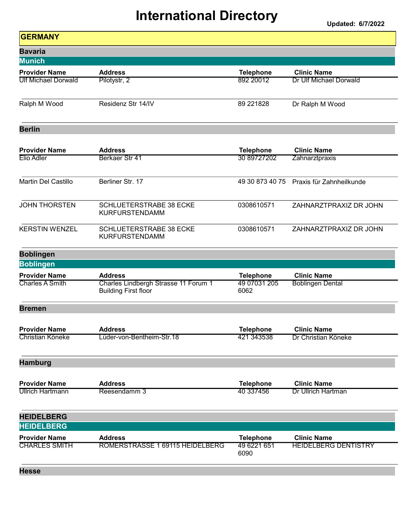| <b>GERMANY</b>             |                                                                     |                      |                             |
|----------------------------|---------------------------------------------------------------------|----------------------|-----------------------------|
| <b>Bavaria</b>             |                                                                     |                      |                             |
| <b>Munich</b>              |                                                                     |                      |                             |
| <b>Provider Name</b>       | <b>Address</b>                                                      | <b>Telephone</b>     | <b>Clinic Name</b>          |
| <b>Ulf Michael Dorwald</b> | Pilotystr, 2                                                        | 892 20012            | Dr Ulf Michael Dorwald      |
| Ralph M Wood               | Residenz Str 14/IV                                                  | 89 221828            | Dr Ralph M Wood             |
| <b>Berlin</b>              |                                                                     |                      |                             |
| <b>Provider Name</b>       | <b>Address</b>                                                      | <b>Telephone</b>     | <b>Clinic Name</b>          |
| Elio Adler                 | Berkaer Str 41                                                      | 30 89727202          | Zahnarztpraxis              |
| Martin Del Castillo        | Berliner Str. 17                                                    | 49 30 873 40 75      | Praxis für Zahnheilkunde    |
| <b>JOHN THORSTEN</b>       | <b>SCHLUETERSTRABE 38 ECKE</b><br><b>KURFURSTENDAMM</b>             | 0308610571           | ZAHNARZTPRAXIZ DR JOHN      |
| <b>KERSTIN WENZEL</b>      | <b>SCHLUETERSTRABE 38 ECKE</b><br><b>KURFURSTENDAMM</b>             | 0308610571           | ZAHNARZTPRAXIZ DR JOHN      |
| <b>Boblingen</b>           |                                                                     |                      |                             |
| <b>Boblingen</b>           |                                                                     |                      |                             |
| <b>Provider Name</b>       | <b>Address</b>                                                      | <b>Telephone</b>     | <b>Clinic Name</b>          |
| <b>Charles A Smith</b>     | Charles Lindbergh Strasse 11 Forum 1<br><b>Building First floor</b> | 49 07031 205<br>6062 | <b>Boblingen Dental</b>     |
| <b>Bremen</b>              |                                                                     |                      |                             |
| <b>Provider Name</b>       | <b>Address</b>                                                      | <b>Telephone</b>     | <b>Clinic Name</b>          |
| Christian Köneke           | Lüder-von-Bentheim-Str.18                                           | 421 343538           | Dr Christian Köneke         |
| <b>Hamburg</b>             |                                                                     |                      |                             |
| <b>Provider Name</b>       | <b>Address</b>                                                      | <b>Telephone</b>     | <b>Clinic Name</b>          |
| <b>Ullrich Hartmann</b>    | Reesendamm 3                                                        | 40 337456            | Dr Ullrich Hartman          |
| <b>HEIDELBERG</b>          |                                                                     |                      |                             |
| <b>HEIDELBERG</b>          |                                                                     |                      |                             |
| <b>Provider Name</b>       | <b>Address</b>                                                      | <b>Telephone</b>     | <b>Clinic Name</b>          |
| <b>CHARLES SMITH</b>       | ROMERSTRASSE 1 69115 HEIDELBERG                                     | 49 6221 651<br>6090  | <b>HEIDELBERG DENTISTRY</b> |
| <b>Hesse</b>               |                                                                     |                      |                             |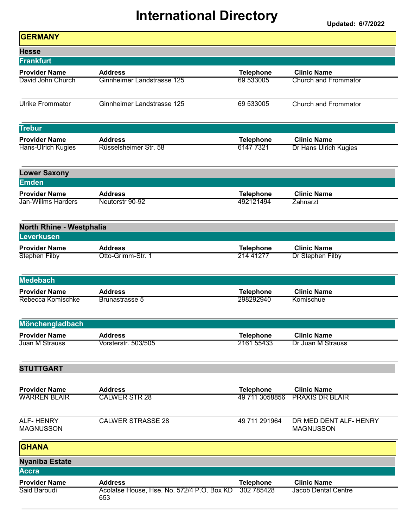| <b>GERMANY</b>                                    |                                                   |                                |                                            |
|---------------------------------------------------|---------------------------------------------------|--------------------------------|--------------------------------------------|
| <b>Hesse</b>                                      |                                                   |                                |                                            |
| Frankfurt                                         |                                                   |                                |                                            |
| <b>Provider Name</b>                              | <b>Address</b>                                    | <b>Telephone</b>               | <b>Clinic Name</b>                         |
| David John Church                                 | Ginnheimer Landstrasse 125                        | 69 533005                      | <b>Church and Frommator</b>                |
| <b>Ulrike Frommator</b>                           | Ginnheimer Landstrasse 125                        | 69 533005                      | <b>Church and Frommator</b>                |
| <b>Trebur</b>                                     |                                                   |                                |                                            |
| <b>Provider Name</b>                              | <b>Address</b>                                    | <b>Telephone</b>               | <b>Clinic Name</b>                         |
| Hans-Ulrich Kugies                                | Rüsselsheimer Str. 58                             | 6147 7321                      | Dr Hans Ulrich Kugies                      |
| <b>Lower Saxony</b>                               |                                                   |                                |                                            |
| <b>Emden</b>                                      |                                                   |                                |                                            |
| <b>Provider Name</b><br><b>Jan-Willms Harders</b> | <b>Address</b><br>Neutorstr 90-92                 | <b>Telephone</b><br>492121494  | <b>Clinic Name</b><br>Zahnarzt             |
| <b>North Rhine - Westphalia</b>                   |                                                   |                                |                                            |
| <b>Leverkusen</b>                                 |                                                   |                                |                                            |
| <b>Provider Name</b>                              | <b>Address</b>                                    | <b>Telephone</b>               | <b>Clinic Name</b>                         |
| <b>Stephen Filby</b>                              | Otto-Grimm-Str. 1                                 | 214 41277                      | Dr Stephen Filby                           |
| <b>Medebach</b>                                   |                                                   |                                |                                            |
| <b>Provider Name</b>                              | <b>Address</b>                                    | <b>Telephone</b>               | <b>Clinic Name</b>                         |
| Rebecca Komischke                                 | Brunastrasse 5                                    | 298292940                      | Komischue                                  |
| Mönchengladbach                                   |                                                   |                                |                                            |
| <b>Provider Name</b>                              | <b>Address</b>                                    | <b>Telephone</b>               | <b>Clinic Name</b>                         |
| Juan M Strauss                                    | Vorsterstr. 503/505                               | 2161 55433                     | Dr Juan M Strauss                          |
| <b>STUTTGART</b>                                  |                                                   |                                |                                            |
| <b>Provider Name</b>                              | <b>Address</b>                                    | <b>Telephone</b>               | <b>Clinic Name</b>                         |
| <b>WARREN BLAIR</b>                               | <b>CALWER STR 28</b>                              | 49 711 3058856                 | <b>PRAXIS DR BLAIR</b>                     |
| <b>ALF-HENRY</b><br><b>MAGNUSSON</b>              | <b>CALWER STRASSE 28</b>                          | 49 711 291964                  | DR MED DENT ALF- HENRY<br><b>MAGNUSSON</b> |
| <b>GHANA</b>                                      |                                                   |                                |                                            |
| <b>Nyaniba Estate</b><br><b>Accra</b>             |                                                   |                                |                                            |
| <b>Provider Name</b>                              | <b>Address</b>                                    |                                | <b>Clinic Name</b>                         |
| Said Baroudi                                      | Acolatse House, Hse. No. 572/4 P.O. Box KD<br>653 | <b>Telephone</b><br>302 785428 | <b>Jacob Dental Centre</b>                 |
|                                                   |                                                   |                                |                                            |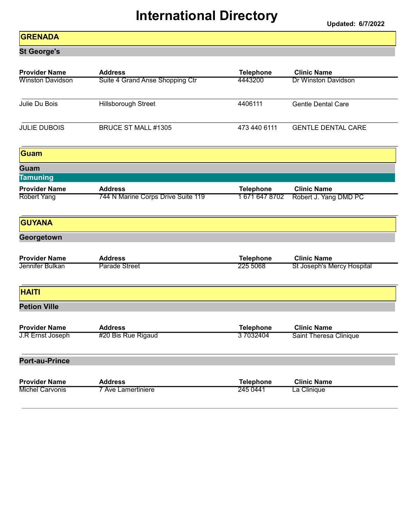Updated: 6/7/2022

#### **GRENADA**

St George's

| <b>Provider Name</b>                    | <b>Address</b>                         | <b>Telephone</b>             | <b>Clinic Name</b>                               |
|-----------------------------------------|----------------------------------------|------------------------------|--------------------------------------------------|
| <b>Winston Davidson</b>                 | Suite 4 Grand Anse Shopping Ctr        | 4443200                      | <b>Dr Winston Davidson</b>                       |
| Julie Du Bois                           | Hillsborough Street                    | 4406111                      | <b>Gentle Dental Care</b>                        |
| <b>JULIE DUBOIS</b>                     | BRUCE ST MALL #1305                    | 473 440 6111                 | <b>GENTLE DENTAL CARE</b>                        |
| Guam                                    |                                        |                              |                                                  |
| Guam                                    |                                        |                              |                                                  |
| <b>Tamuning</b>                         |                                        |                              |                                                  |
| <b>Provider Name</b>                    | <b>Address</b>                         | <b>Telephone</b>             | <b>Clinic Name</b>                               |
| <b>Robert Yang</b>                      | 744 N Marine Corps Drive Suite 119     | 16716478702                  | Robert J. Yang DMD PC                            |
| <b>GUYANA</b>                           |                                        |                              |                                                  |
| Georgetown                              |                                        |                              |                                                  |
|                                         |                                        |                              |                                                  |
| <b>Provider Name</b><br>Jennifer Bulkan | <b>Address</b><br><b>Parade Street</b> | <b>Telephone</b><br>225 5068 | <b>Clinic Name</b><br>St Joseph's Mercy Hospital |
|                                         |                                        |                              |                                                  |
| <b>HAITI</b>                            |                                        |                              |                                                  |
| <b>Petion Ville</b>                     |                                        |                              |                                                  |
| <b>Provider Name</b>                    | <b>Address</b>                         | <b>Telephone</b>             | <b>Clinic Name</b>                               |
| J.R Ernst Joseph                        | #20 Bis Rue Rigaud                     | 37032404                     | <b>Saint Theresa Clinique</b>                    |
| <b>Port-au-Prince</b>                   |                                        |                              |                                                  |
| <b>Provider Name</b>                    | <b>Address</b>                         | <b>Telephone</b>             | <b>Clinic Name</b>                               |
| <b>Michel Carvonis</b>                  | 7 Ave Lamertiniere                     | 245 0441                     | La Clinique                                      |
|                                         |                                        |                              |                                                  |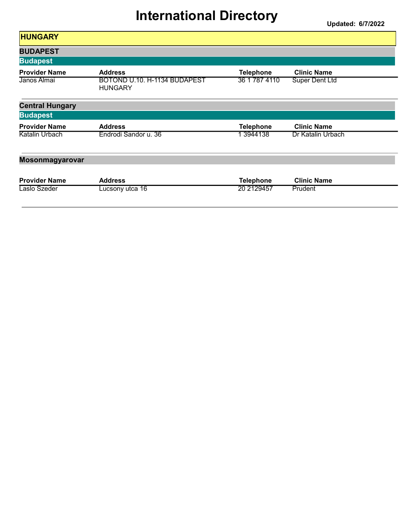| <b>HUNGARY</b>         |                                                |                  |                       |
|------------------------|------------------------------------------------|------------------|-----------------------|
| <b>BUDAPEST</b>        |                                                |                  |                       |
| <b>Budapest</b>        |                                                |                  |                       |
| <b>Provider Name</b>   | <b>Address</b>                                 | <b>Telephone</b> | <b>Clinic Name</b>    |
| Janos Almai            | BOTOND U.10. H-1134 BUDAPEST<br><b>HUNGARY</b> | 36 1 787 4110    | <b>Super Dent Ltd</b> |
| <b>Central Hungary</b> |                                                |                  |                       |
| <b>Budapest</b>        |                                                |                  |                       |
| <b>Provider Name</b>   | <b>Address</b>                                 | <b>Telephone</b> | <b>Clinic Name</b>    |
| Katalin Urbach         | Endrodi Sandor u. 36                           | 1 3944138        | Dr Katalin Urbach     |
| <b>Mosonmagyarovar</b> |                                                |                  |                       |
| <b>Provider Name</b>   | <b>Address</b>                                 | <b>Telephone</b> | <b>Clinic Name</b>    |
| Laslo Szeder           | Lucsony utca 16                                | 20 2129457       | Prudent               |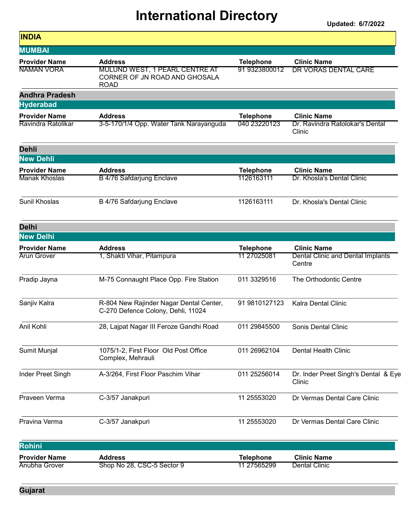| <b>INDIA</b>          |                                                                                       |                  |                                                |
|-----------------------|---------------------------------------------------------------------------------------|------------------|------------------------------------------------|
| <b>MUMBAI</b>         |                                                                                       |                  |                                                |
| <b>Provider Name</b>  | <b>Address</b>                                                                        | <b>Telephone</b> | <b>Clinic Name</b>                             |
| NAMAN VORA            | <b>MULUND WEST, 1 PEARL CENTRE AT</b><br>CORNER OF JN ROAD AND GHOSALA<br><b>ROAD</b> | 91 9323800012    | DR VORAS DENTAL CARE                           |
| <b>Andhra Pradesh</b> |                                                                                       |                  |                                                |
| <b>Hyderabad</b>      |                                                                                       |                  |                                                |
| <b>Provider Name</b>  | <b>Address</b>                                                                        | <b>Telephone</b> | <b>Clinic Name</b>                             |
| Ravindra Ratolikar    | 3-5-170/1/4 Opp. Water Tank Narayanguda                                               | 040 23220123     | Dr. Ravindra Ratolokar's Dental<br>Clinic      |
| <b>Dehli</b>          |                                                                                       |                  |                                                |
| <b>New Dehli</b>      |                                                                                       |                  |                                                |
| <b>Provider Name</b>  | <b>Address</b>                                                                        | <b>Telephone</b> | <b>Clinic Name</b>                             |
| Manak Khoslas         | B 4/76 Safdarjung Enclave                                                             | 1126163111       | Dr. Khosla's Dental Clinic                     |
| Sunil Khoslas         | B 4/76 Safdarjung Enclave                                                             | 1126163111       | Dr. Khosla's Dental Clinic                     |
| <b>Delhi</b>          |                                                                                       |                  |                                                |
| <b>New Delhi</b>      |                                                                                       |                  |                                                |
| <b>Provider Name</b>  | <b>Address</b>                                                                        | <b>Telephone</b> | <b>Clinic Name</b>                             |
| <b>Arun Grover</b>    | 1, Shakti Vihar, Pitampura                                                            | 11 27025081      | Dental Clinic and Dental Implants<br>Centre    |
| Pradip Jayna          | M-75 Connaught Place Opp. Fire Station                                                | 011 3329516      | The Orthodontic Centre                         |
| Sanjiv Kalra          | R-804 New Rajinder Nagar Dental Center,<br>C-270 Defence Colony, Dehli, 11024         | 91 9810127123    | <b>Kalra Dental Clinic</b>                     |
| Anil Kohli            | 28, Lajpat Nagar III Feroze Gandhi Road                                               | 011 29845500     | Sonis Dental Clinic                            |
| Sumit Munjal          | 1075/1-2, First Floor Old Post Office<br>Complex, Mehrauli                            | 011 26962104     | <b>Dental Health Clinic</b>                    |
| Inder Preet Singh     | A-3/264, First Floor Paschim Vihar                                                    | 011 25256014     | Dr. Inder Preet Singh's Dental & Eye<br>Clinic |
| Praveen Verma         | C-3/57 Janakpuri                                                                      | 11 25553020      | Dr Vermas Dental Care Clinic                   |
| Pravina Verma         | C-3/57 Janakpuri                                                                      | 11 25553020      | Dr Vermas Dental Care Clinic                   |
| Rohini                |                                                                                       |                  |                                                |
| <b>Provider Name</b>  | <b>Address</b>                                                                        | <b>Telephone</b> | <b>Clinic Name</b>                             |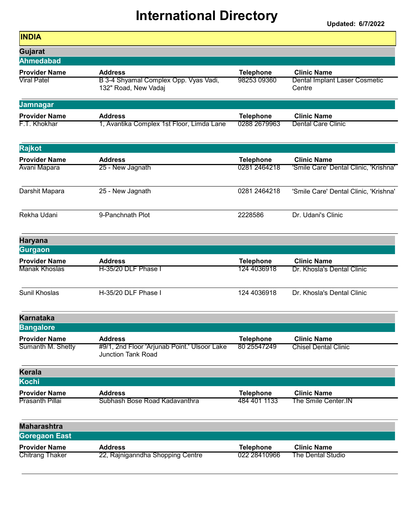| <b>Address</b>            | <b>Telephone</b>                                                                                                                                                                                                                                 | <b>Clinic Name</b>                                                                                                                |
|---------------------------|--------------------------------------------------------------------------------------------------------------------------------------------------------------------------------------------------------------------------------------------------|-----------------------------------------------------------------------------------------------------------------------------------|
| 132" Road, New Vadaj      |                                                                                                                                                                                                                                                  | <b>Dental Implant Laser Cosmetic</b><br>Centre                                                                                    |
|                           |                                                                                                                                                                                                                                                  |                                                                                                                                   |
| <b>Address</b>            | <b>Telephone</b>                                                                                                                                                                                                                                 | <b>Clinic Name</b>                                                                                                                |
|                           |                                                                                                                                                                                                                                                  | <b>Dental Care Clinic</b>                                                                                                         |
|                           |                                                                                                                                                                                                                                                  |                                                                                                                                   |
| <b>Address</b>            |                                                                                                                                                                                                                                                  | <b>Clinic Name</b>                                                                                                                |
| 25 - New Jagnath          | 0281 2464218                                                                                                                                                                                                                                     | 'Smile Care' Dental Clinic, 'Krishna'                                                                                             |
| 25 - New Jagnath          | 0281 2464218                                                                                                                                                                                                                                     | 'Smile Care' Dental Clinic, 'Krishna'                                                                                             |
| 9-Panchnath Plot          | 2228586                                                                                                                                                                                                                                          | Dr. Udani's Clinic                                                                                                                |
|                           |                                                                                                                                                                                                                                                  |                                                                                                                                   |
|                           |                                                                                                                                                                                                                                                  |                                                                                                                                   |
| <b>Address</b>            | <b>Telephone</b>                                                                                                                                                                                                                                 | <b>Clinic Name</b>                                                                                                                |
|                           |                                                                                                                                                                                                                                                  | Dr. Khosla's Dental Clinic                                                                                                        |
| H-35/20 DLF Phase I       | 124 4036918                                                                                                                                                                                                                                      | Dr. Khosla's Dental Clinic                                                                                                        |
|                           |                                                                                                                                                                                                                                                  |                                                                                                                                   |
|                           |                                                                                                                                                                                                                                                  |                                                                                                                                   |
| <b>Address</b>            | <b>Telephone</b>                                                                                                                                                                                                                                 | <b>Clinic Name</b>                                                                                                                |
| <b>Junction Tank Road</b> |                                                                                                                                                                                                                                                  | <b>Chisel Dental Clinic</b>                                                                                                       |
|                           |                                                                                                                                                                                                                                                  |                                                                                                                                   |
|                           |                                                                                                                                                                                                                                                  |                                                                                                                                   |
|                           |                                                                                                                                                                                                                                                  | <b>Clinic Name</b>                                                                                                                |
|                           |                                                                                                                                                                                                                                                  | The Smile Center.IN                                                                                                               |
|                           |                                                                                                                                                                                                                                                  |                                                                                                                                   |
|                           |                                                                                                                                                                                                                                                  |                                                                                                                                   |
| <b>Address</b>            | <b>Telephone</b>                                                                                                                                                                                                                                 | <b>Clinic Name</b>                                                                                                                |
|                           |                                                                                                                                                                                                                                                  | The Dental Studio                                                                                                                 |
|                           | B 3-4 Shyamal Complex Opp. Vyas Vadi,<br>1, Avantika Complex 1st Floor, Limda Lane<br>H-35/20 DLF Phase I<br>#9/1, 2nd Floor 'Arjunab Point.' Ulsoor Lake<br><b>Address</b><br>Subhash Bose Road Kadavanthra<br>22, Rajniganndha Shopping Centre | 98253 09360<br>0288 2679963<br><b>Telephone</b><br>124 4036918<br>80 25547249<br><b>Telephone</b><br>484 401 1133<br>022 28410966 |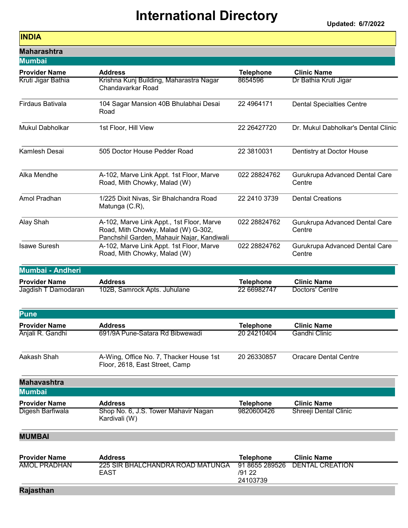1

#### INDIA

| <b>Maharashtra</b>      |                                                                                                                                |                                      |                                          |
|-------------------------|--------------------------------------------------------------------------------------------------------------------------------|--------------------------------------|------------------------------------------|
| <b>Mumbai</b>           |                                                                                                                                |                                      |                                          |
| <b>Provider Name</b>    | <b>Address</b>                                                                                                                 | <b>Telephone</b>                     | <b>Clinic Name</b>                       |
| Kruti Jigar Bathia      | Krishna Kunj Building, Maharastra Nagar<br>Chandavarkar Road                                                                   | 8654596                              | Dr Bathia Kruti Jigar                    |
| <b>Firdaus Bativala</b> | 104 Sagar Mansion 40B Bhulabhai Desai<br>Road                                                                                  | 22 49 64 171                         | <b>Dental Specialties Centre</b>         |
| <b>Mukul Dabholkar</b>  | 1st Floor, Hill View                                                                                                           | 22 26427720                          | Dr. Mukul Dabholkar's Dental Clinic      |
| Kamlesh Desai           | 505 Doctor House Pedder Road                                                                                                   | 22 3810031                           | Dentistry at Doctor House                |
| Alka Mendhe             | A-102, Marve Link Appt. 1st Floor, Marve<br>Road, Mith Chowky, Malad (W)                                                       | 022 28824762                         | Gurukrupa Advanced Dental Care<br>Centre |
| Amol Pradhan            | 1/225 Dixit Nivas, Sir Bhalchandra Road<br>Matunga (C.R),                                                                      | 22 2410 3739                         | <b>Dental Creations</b>                  |
| Alay Shah               | A-102, Marve Link Appt., 1st Floor, Marve<br>Road, Mith Chowky, Malad (W) G-302,<br>Panchshil Garden, Mahauir Najar, Kandiwali | 022 28824762                         | Gurukrupa Advanced Dental Care<br>Centre |
| <b>Isawe Suresh</b>     | A-102, Marve Link Appt. 1st Floor, Marve<br>Road, Mith Chowky, Malad (W)                                                       | 022 28824762                         | Gurukrupa Advanced Dental Care<br>Centre |
| Mumbai - Andheri        |                                                                                                                                |                                      |                                          |
| <b>Provider Name</b>    | <b>Address</b>                                                                                                                 | <b>Telephone</b>                     | <b>Clinic Name</b>                       |
| Jagdish T Damodaran     | 102B, Samrock Apts. Juhulane                                                                                                   | 22 66982747                          | Doctors' Centre                          |
| <b>Pune</b>             |                                                                                                                                |                                      |                                          |
| <b>Provider Name</b>    | <b>Address</b>                                                                                                                 | <b>Telephone</b>                     | <b>Clinic Name</b>                       |
| Anjali R. Gandhi        | 691/9A Pune-Satara Rd Bibwewadi                                                                                                | 20 24210404                          | <b>Gandhi Clinic</b>                     |
| Aakash Shah             | A-Wing, Office No. 7, Thacker House 1st<br>Floor, 2618, East Street, Camp                                                      | 20 26330857                          | <b>Oracare Dental Centre</b>             |
| <b>Mahavashtra</b>      |                                                                                                                                |                                      |                                          |
| <b>Mumbai</b>           |                                                                                                                                |                                      |                                          |
| <b>Provider Name</b>    | <b>Address</b>                                                                                                                 | <b>Telephone</b>                     | <b>Clinic Name</b>                       |
| Digesh Barfiwala        | Shop No. 6, J.S. Tower Mahavir Nagan<br>Kardivali (W)                                                                          | 9820600426                           | Shreeji Dental Clinic                    |
| <b>MUMBAI</b>           |                                                                                                                                |                                      |                                          |
| <b>Provider Name</b>    | <b>Address</b>                                                                                                                 | <b>Telephone</b>                     | <b>Clinic Name</b>                       |
| <b>AMOL PRADHAN</b>     | <u>225 SIR BHALCHANDRA ROAD MATUNGA</u><br>EAST                                                                                | 91 8655 289526<br>/91 22<br>24103739 | <b>DENTAL CREATION</b>                   |

#### Rajasthan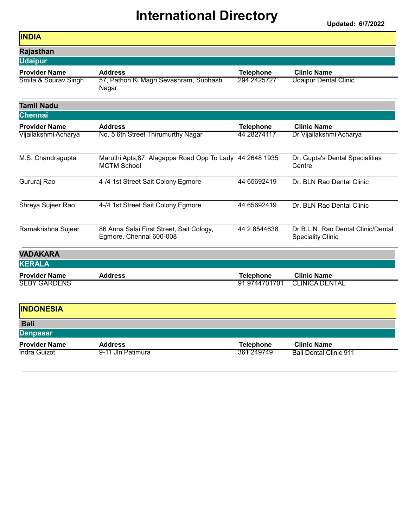| <b>INDIA</b>         |                                                                                |                  |                                                                |
|----------------------|--------------------------------------------------------------------------------|------------------|----------------------------------------------------------------|
| Rajasthan            |                                                                                |                  |                                                                |
| <b>Udaipur</b>       |                                                                                |                  |                                                                |
| <b>Provider Name</b> | <b>Address</b>                                                                 | <b>Telephone</b> | <b>Clinic Name</b>                                             |
| Smita & Sourav Singh | 57, Pathon Ki Magri Sevashram, Subhash<br>Nagar                                | 294 2425727      | <b>Udaipur Dental Clinic</b>                                   |
| <b>Tamil Nadu</b>    |                                                                                |                  |                                                                |
| <b>Chennai</b>       |                                                                                |                  |                                                                |
| <b>Provider Name</b> | <b>Address</b>                                                                 | <b>Telephone</b> | <b>Clinic Name</b>                                             |
| Vijailakshmi Acharya | No. 5 6th Street Thirumurthy Nagar                                             | 44 28274117      | Dr Vijailakshmi Acharya                                        |
| M.S. Chandragupta    | Maruthi Apts, 87, Alagappa Road Opp To Lady 44 2648 1935<br><b>MCTM School</b> |                  | Dr. Gupta's Dental Specialities<br>Centre                      |
| Gururaj Rao          | 4-/4 1st Street Sait Colony Egmore                                             | 44 65692419      | Dr. BLN Rao Dental Clinic                                      |
| Shreya Sujeer Rao    | 4-/4 1st Street Sait Colony Egmore                                             | 44 65692419      | Dr. BLN Rao Dental Clinic                                      |
| Ramakrishna Sujeer   | 86 Anna Salai First Street, Sait Cology,<br>Egmore, Chennai 600-008            | 44 2 8544638     | Dr B.L.N. Rao Dental Clinic/Dental<br><b>Speciality Clinic</b> |
| <b>VADAKARA</b>      |                                                                                |                  |                                                                |
| <b>KERALA</b>        |                                                                                |                  |                                                                |
| <b>Provider Name</b> | <b>Address</b>                                                                 | <b>Telephone</b> | <b>Clinic Name</b>                                             |
| <b>SEBY GARDENS</b>  |                                                                                | 91 9744701701    | <b>CLINICA DENTAL</b>                                          |
| <b>INDONESIA</b>     |                                                                                |                  |                                                                |
| <b>Bali</b>          |                                                                                |                  |                                                                |
| <b>Denpasar</b>      |                                                                                |                  |                                                                |
| <b>Provider Name</b> | <b>Address</b>                                                                 | <b>Telephone</b> | <b>Clinic Name</b>                                             |
| Indra Guizot         | 9-11 Jln Patimura                                                              | 361 249749       | <b>Bali Dental Clinic 911</b>                                  |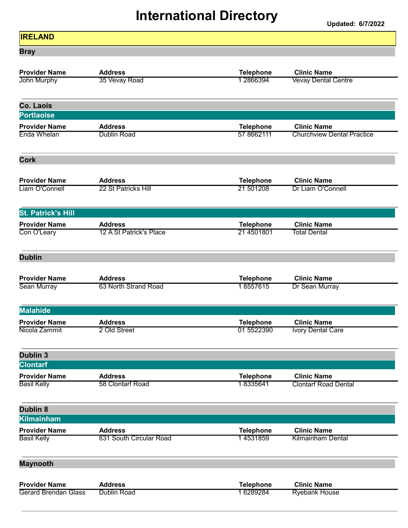Updated: 6/7/2022

٦

| <b>IRELAND</b>                             |                                    |                               |                                                   |
|--------------------------------------------|------------------------------------|-------------------------------|---------------------------------------------------|
| <b>Bray</b>                                |                                    |                               |                                                   |
| <b>Provider Name</b><br>John Murphy        | <b>Address</b><br>35 Vevay Road    | <b>Telephone</b><br>1 2866394 | <b>Clinic Name</b><br><b>Vevay Dental Centre</b>  |
|                                            |                                    |                               |                                                   |
| Co. Laois<br><b>Portlaoise</b>             |                                    |                               |                                                   |
| <b>Provider Name</b>                       | <b>Address</b>                     | <b>Telephone</b>              | <b>Clinic Name</b>                                |
| <b>Enda Whelan</b>                         | <b>Dublin Road</b>                 | 57 8662111                    | <b>Churchview Dental Practice</b>                 |
| <b>Cork</b>                                |                                    |                               |                                                   |
| <b>Provider Name</b>                       | <b>Address</b>                     | <b>Telephone</b>              | <b>Clinic Name</b>                                |
| Liam O'Connell                             | 22 St Patricks Hill                | 21 501208                     | Dr Liam O'Connell                                 |
| <b>St. Patrick's Hill</b>                  |                                    |                               |                                                   |
| <b>Provider Name</b>                       | <b>Address</b>                     | <b>Telephone</b>              | <b>Clinic Name</b>                                |
| Con O'Leary                                | 12 A St Patrick's Place            | 21 4501801                    | <b>Total Dental</b>                               |
| <b>Dublin</b>                              |                                    |                               |                                                   |
| <b>Provider Name</b>                       | <b>Address</b>                     | <b>Telephone</b>              | <b>Clinic Name</b>                                |
| Sean Murray                                | 63 North Strand Road               | 18557615                      | Dr Sean Murray                                    |
| <b>Malahide</b>                            |                                    |                               |                                                   |
| <b>Provider Name</b>                       | <b>Address</b>                     | <b>Telephone</b>              | <b>Clinic Name</b>                                |
| Nicola Zammit                              | 2 Old Street                       | 01 5522390                    | <b>Ivory Dental Care</b>                          |
| Dublin <sub>3</sub>                        |                                    |                               |                                                   |
| <b>Clontarf</b>                            |                                    |                               |                                                   |
| <b>Provider Name</b><br><b>Basil Kelly</b> | <b>Address</b><br>58 Clontarf Road | <b>Telephone</b><br>18335641  | <b>Clinic Name</b><br><b>Clontarf Road Dental</b> |
| <b>Dublin 8</b>                            |                                    |                               |                                                   |
| <b>Kilmainham</b>                          |                                    |                               |                                                   |
| <b>Provider Name</b>                       | <b>Address</b>                     | <b>Telephone</b>              | <b>Clinic Name</b>                                |
| <b>Basil Kelly</b>                         | 631 South Circular Road            | 14531859                      | <b>Kilmainham Dental</b>                          |
| <b>Maynooth</b>                            |                                    |                               |                                                   |
| <b>Provider Name</b>                       | <b>Address</b>                     | <b>Telephone</b>              | <b>Clinic Name</b>                                |
| <b>Gerard Brendan Glass</b>                | <b>Dublin Road</b>                 | 16289284                      | <b>Ryebank House</b>                              |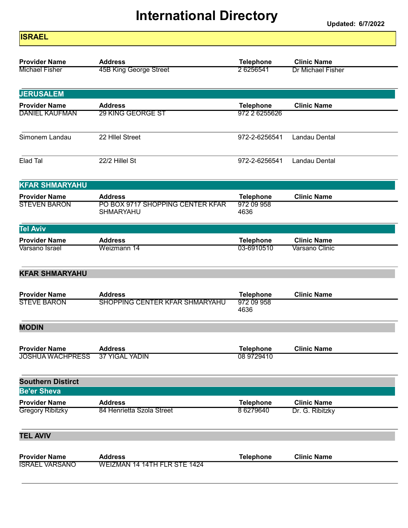| <b>ISRAEL</b>            |                                  |                    |                    |
|--------------------------|----------------------------------|--------------------|--------------------|
| <b>Provider Name</b>     | <b>Address</b>                   | <b>Telephone</b>   | <b>Clinic Name</b> |
| <b>Michael Fisher</b>    | 45B King George Street           | 2 6256541          | Dr Michael Fisher  |
|                          |                                  |                    |                    |
| <b>JERUSALEM</b>         |                                  |                    |                    |
| <b>Provider Name</b>     | <b>Address</b>                   | <b>Telephone</b>   | <b>Clinic Name</b> |
| <b>DANIEL KAUFMAN</b>    | 29 KING GEORGE ST                | 972 2 6255626      |                    |
| Simonem Landau           | 22 Hilel Street                  | 972-2-6256541      | Landau Dental      |
| Elad Tal                 | 22/2 Hillel St                   | 972-2-6256541      | Landau Dental      |
| <b>KFAR SHMARYAHU</b>    |                                  |                    |                    |
| <b>Provider Name</b>     | <b>Address</b>                   | <b>Telephone</b>   | <b>Clinic Name</b> |
| <b>STEVEN BARON</b>      | PO BOX 9717 SHOPPING CENTER KFAR | 972 09 958         |                    |
|                          | SHMARYAHU                        | 4636               |                    |
| <b>Tel Aviv</b>          |                                  |                    |                    |
| <b>Provider Name</b>     | <b>Address</b>                   | <b>Telephone</b>   | <b>Clinic Name</b> |
| Varsano Israel           | Weizmann 14                      | 03-6910510         | Varsano Clinic     |
| <b>KFAR SHMARYAHU</b>    |                                  |                    |                    |
| <b>Provider Name</b>     | <b>Address</b>                   | <b>Telephone</b>   | <b>Clinic Name</b> |
| <b>STEVE BARON</b>       | SHOPPING CENTER KFAR SHMARYAHU   | 972 09 958<br>4636 |                    |
| <b>MODIN</b>             |                                  |                    |                    |
| <b>Provider Name</b>     | <b>Address</b>                   | <b>Telephone</b>   | <b>Clinic Name</b> |
| <b>JOSHUA WACHPRESS</b>  | <b>37 YIGAL YADIN</b>            | 08 9729410         |                    |
| <b>Southern Distirct</b> |                                  |                    |                    |
| <b>Be'er Sheva</b>       |                                  |                    |                    |
| <b>Provider Name</b>     | <b>Address</b>                   | <b>Telephone</b>   | <b>Clinic Name</b> |
| <b>Gregory Ribitzky</b>  | 84 Henrietta Szola Street        | 8 6279640          | Dr. G. Ribitzky    |
| <b>TEL AVIV</b>          |                                  |                    |                    |
| <b>Provider Name</b>     | <b>Address</b>                   | <b>Telephone</b>   | <b>Clinic Name</b> |
| <b>ISRAEL VARSANO</b>    | WEIZMAN 14 14TH FLR STE 1424     |                    |                    |
|                          |                                  |                    |                    |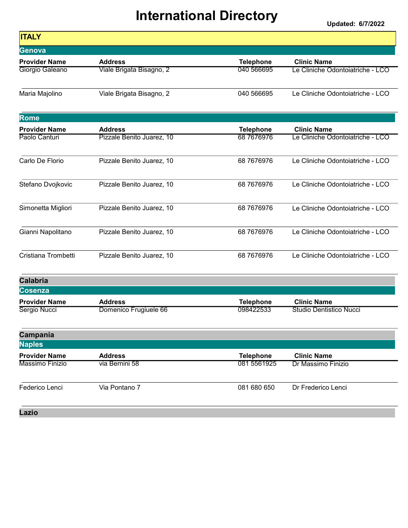Updated: 6/7/2022

| <b>ITALY</b>                         |                                         |                               |                                               |
|--------------------------------------|-----------------------------------------|-------------------------------|-----------------------------------------------|
| Genova                               |                                         |                               |                                               |
| <b>Provider Name</b>                 | <b>Address</b>                          | <b>Telephone</b>              | <b>Clinic Name</b>                            |
| Giorgio Galeano                      | Viale Brigata Bisagno, 2                | 040 566695                    | Le Cliniche Odontoiatriche - LCO              |
| Maria Majolino                       | Viale Brigata Bisagno, 2                | 040 566695                    | Le Cliniche Odontoiatriche - LCO              |
| Rome                                 |                                         |                               |                                               |
| <b>Provider Name</b>                 | <b>Address</b>                          | <b>Telephone</b>              | <b>Clinic Name</b>                            |
| Paolo Canturi                        | Pizzale Benito Juarez, 10               | 68 76 769 76                  | Le Cliniche Odontoiatriche - LCO              |
| Carlo De Florio                      | Pizzale Benito Juarez, 10               | 68 76 769 76                  | Le Cliniche Odontoiatriche - LCO              |
| Stefano Dvojkovic                    | Pizzale Benito Juarez, 10               | 68 76 769 76                  | Le Cliniche Odontoiatriche - LCO              |
| Simonetta Migliori                   | Pizzale Benito Juarez, 10               | 68 76 769 76                  | Le Cliniche Odontoiatriche - LCO              |
| Gianni Napolitano                    | Pizzale Benito Juarez, 10               | 68 76 769 76                  | Le Cliniche Odontoiatriche - LCO              |
| Cristiana Trombetti                  | Pizzale Benito Juarez, 10               | 68 76 769 76                  | Le Cliniche Odontoiatriche - LCO              |
| <b>Calabria</b>                      |                                         |                               |                                               |
| <b>Cosenza</b>                       |                                         |                               |                                               |
| <b>Provider Name</b><br>Sergio Nucci | <b>Address</b><br>Domenico Frugiuele 66 | <b>Telephone</b><br>098422533 | <b>Clinic Name</b><br>Studio Dentistico Nucci |
| Campania                             |                                         |                               |                                               |
| <b>Naples</b>                        |                                         |                               |                                               |
| <b>Provider Name</b>                 | <b>Address</b>                          | <b>Telephone</b>              | <b>Clinic Name</b>                            |
| Massimo Finizio                      | via Bernini 58                          | 081 5561925                   | Dr Massimo Finizio                            |
| Federico Lenci                       | Via Pontano 7                           | 081 680 650                   | Dr Frederico Lenci                            |
|                                      |                                         |                               |                                               |

Lazio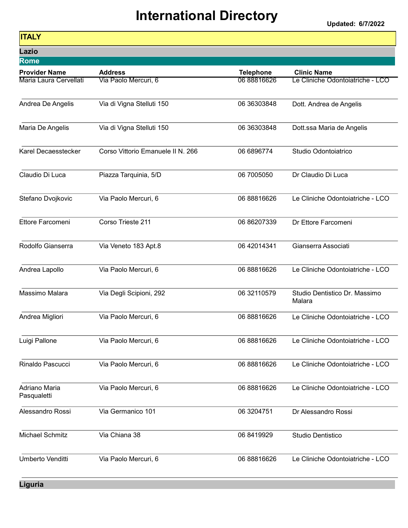Updated: 6/7/2022

| <b>Contract Contract Contract Contract Contract Contract Contract Contract Contract Contract Contract Contract Co</b><br><b>Contract Contract Contract Contract Contract Contract Contract Contract Contract Contract Contract Contract Co</b><br><b>Contract Contract Contract Contract Contract Contract Contract Contract Contract Contract Contract Contract Co</b><br><b>Contract Contract Contract Contract Contract Contract Contract Contract Contract Contract Contract Contract Co</b><br><b>Contract Contract Contract Contract Contract Contract Contract Contract Contract Contract Contract Contract Co</b> | <b>Contract Contract Contract Contract Contract Contract Contract Contract Contract Contract Contract Contract Co</b> | <b>Service Service</b><br><b>Contract Contract Contract Contract Contract Contract Contract Contract Contract Contract Contract Contract Co</b> | <b>Service Service</b><br>and the state of the state of the state of the state of the state of the state of the state of the state of th |
|---------------------------------------------------------------------------------------------------------------------------------------------------------------------------------------------------------------------------------------------------------------------------------------------------------------------------------------------------------------------------------------------------------------------------------------------------------------------------------------------------------------------------------------------------------------------------------------------------------------------------|-----------------------------------------------------------------------------------------------------------------------|-------------------------------------------------------------------------------------------------------------------------------------------------|------------------------------------------------------------------------------------------------------------------------------------------|
|---------------------------------------------------------------------------------------------------------------------------------------------------------------------------------------------------------------------------------------------------------------------------------------------------------------------------------------------------------------------------------------------------------------------------------------------------------------------------------------------------------------------------------------------------------------------------------------------------------------------------|-----------------------------------------------------------------------------------------------------------------------|-------------------------------------------------------------------------------------------------------------------------------------------------|------------------------------------------------------------------------------------------------------------------------------------------|

| Lazio                        |                                   |                  |                                         |
|------------------------------|-----------------------------------|------------------|-----------------------------------------|
| <b>Rome</b>                  |                                   |                  |                                         |
| <b>Provider Name</b>         | <b>Address</b>                    | <b>Telephone</b> | <b>Clinic Name</b>                      |
| Maria Laura Cervellati       | Via Paolo Mercuri, 6              | 06 88816626      | Le Cliniche Odontoiatriche - LCO        |
| Andrea De Angelis            | Via di Vigna Stelluti 150         | 06 36303848      | Dott. Andrea de Angelis                 |
| Maria De Angelis             | Via di Vigna Stelluti 150         | 06 36303848      | Dott.ssa Maria de Angelis               |
| Karel Decaesstecker          | Corso Vittorio Emanuele II N. 266 | 06 6896774       | Studio Odontoiatrico                    |
| Claudio Di Luca              | Piazza Tarquinia, 5/D             | 06 7005050       | Dr Claudio Di Luca                      |
| Stefano Dvojkovic            | Via Paolo Mercuri, 6              | 06 88816626      | Le Cliniche Odontoiatriche - LCO        |
| Ettore Farcomeni             | Corso Trieste 211                 | 06 86207339      | Dr Ettore Farcomeni                     |
| Rodolfo Gianserra            | Via Veneto 183 Apt.8              | 06 42014341      | Gianserra Associati                     |
| Andrea Lapollo               | Via Paolo Mercuri, 6              | 06 88816626      | Le Cliniche Odontoiatriche - LCO        |
| Massimo Malara               | Via Degli Scipioni, 292           | 06 32110579      | Studio Dentistico Dr. Massimo<br>Malara |
| Andrea Migliori              | Via Paolo Mercuri, 6              | 06 88816626      | Le Cliniche Odontoiatriche - LCO        |
| Luigi Pallone                | Via Paolo Mercuri, 6              | 06 88816626      | Le Cliniche Odontoiatriche - LCO        |
| Rinaldo Pascucci             | Via Paolo Mercuri, 6              | 06 88816626      | Le Cliniche Odontoiatriche - LCO        |
| Adriano Maria<br>Pasqualetti | Via Paolo Mercuri, 6              | 06 88816626      | Le Cliniche Odontoiatriche - LCO        |
| Alessandro Rossi             | Via Germanico 101                 | 06 3204751       | Dr Alessandro Rossi                     |
| <b>Michael Schmitz</b>       | Via Chiana 38                     | 06 8419929       | Studio Dentistico                       |
| Umberto Venditti             | Via Paolo Mercuri, 6              | 06 88816626      | Le Cliniche Odontoiatriche - LCO        |

Liguria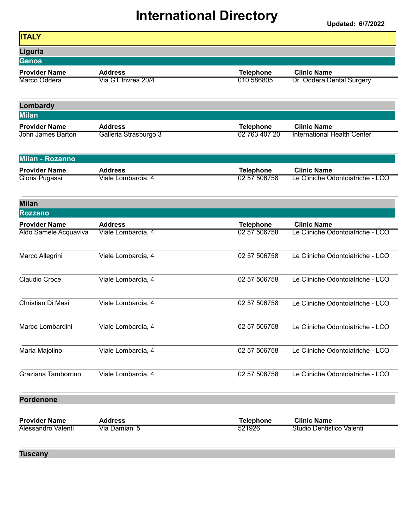Updated: 6/7/2022

| <b>ITALY</b>             |                       |                  |                                    |
|--------------------------|-----------------------|------------------|------------------------------------|
| Liguria                  |                       |                  |                                    |
| Genoa                    |                       |                  |                                    |
| <b>Provider Name</b>     | <b>Address</b>        | <b>Telephone</b> | <b>Clinic Name</b>                 |
| Marco Oddera             | Via GT Invrea 20/4    | 010 586805       | Dr. Oddera Dental Surgery          |
| Lombardy                 |                       |                  |                                    |
| <b>Milan</b>             |                       |                  |                                    |
| <b>Provider Name</b>     | <b>Address</b>        | <b>Telephone</b> | <b>Clinic Name</b>                 |
| <b>John James Barton</b> | Galleria Strasburgo 3 | 02 763 407 20    | <b>International Health Center</b> |
| Milan - Rozanno          |                       |                  |                                    |
| <b>Provider Name</b>     | <b>Address</b>        | <b>Telephone</b> | <b>Clinic Name</b>                 |
| Gloria Pugassi           | Viale Lombardia, 4    | 02 57 506758     | Le Cliniche Odontoiatriche - LCO   |
| <b>Milan</b>             |                       |                  |                                    |
| <b>Rozzano</b>           |                       |                  |                                    |
| <b>Provider Name</b>     | <b>Address</b>        | <b>Telephone</b> | <b>Clinic Name</b>                 |
| Aldo Samele Acquaviva    | Viale Lombardia, 4    | 02 57 506758     | Le Cliniche Odontoiatriche - LCO   |
| Marco Allegrini          | Viale Lombardia, 4    | 02 57 506758     | Le Cliniche Odontoiatriche - LCO   |
| Claudio Croce            | Viale Lombardia, 4    | 02 57 506758     | Le Cliniche Odontoiatriche - LCO   |
| Christian Di Masi        | Viale Lombardia, 4    | 02 57 506758     | Le Cliniche Odontoiatriche - LCO   |
| Marco Lombardini         | Viale Lombardia, 4    | 02 57 506758     | Le Cliniche Odontoiatriche - LCO   |
| Maria Majolino           | Viale Lombardia, 4    | 02 57 506758     | Le Cliniche Odontoiatriche - LCO   |
| Graziana Tamborrino      | Viale Lombardia, 4    | 02 57 506758     | Le Cliniche Odontoiatriche - LCO   |
| <b>Pordenone</b>         |                       |                  |                                    |
| <b>Provider Name</b>     | <b>Address</b>        | <b>Telephone</b> | <b>Clinic Name</b>                 |
| Alessandro Valenti       | Via Damiani 5         | 521926           | Studio Dentistico Valenti          |

Tuscany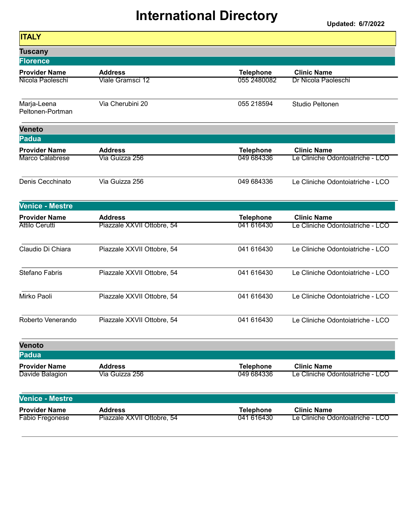| <b>ITALY</b>                    |                            |                  |                                  |
|---------------------------------|----------------------------|------------------|----------------------------------|
| <b>Tuscany</b>                  |                            |                  |                                  |
| <b>Florence</b>                 |                            |                  |                                  |
| <b>Provider Name</b>            | <b>Address</b>             | <b>Telephone</b> | <b>Clinic Name</b>               |
| Nicola Paoleschi                | Viale Gramsci 12           | 055 2480082      | Dr Nicola Paoleschi              |
| Marja-Leena<br>Peltonen-Portman | Via Cherubini 20           | 055 218594       | Studio Peltonen                  |
| <b>Veneto</b>                   |                            |                  |                                  |
| Padua                           |                            |                  |                                  |
| <b>Provider Name</b>            | <b>Address</b>             | <b>Telephone</b> | <b>Clinic Name</b>               |
| Marco Calabrese                 | Via Guizza 256             | 049 684336       | Le Cliniche Odontoiatriche - LCO |
| Denis Cecchinato                | Via Guizza 256             | 049 684336       | Le Cliniche Odontoiatriche - LCO |
| <b>Venice - Mestre</b>          |                            |                  |                                  |
| <b>Provider Name</b>            | <b>Address</b>             | <b>Telephone</b> | <b>Clinic Name</b>               |
| <b>Attilo Cerutti</b>           | Piazzale XXVII Ottobre, 54 | 041 616430       | Le Cliniche Odontoiatriche - LCO |
| Claudio Di Chiara               | Piazzale XXVII Ottobre, 54 | 041 616430       | Le Cliniche Odontoiatriche - LCO |
| <b>Stefano Fabris</b>           | Piazzale XXVII Ottobre, 54 | 041 616430       | Le Cliniche Odontoiatriche - LCO |
| Mirko Paoli                     | Piazzale XXVII Ottobre, 54 | 041 616430       | Le Cliniche Odontoiatriche - LCO |
| Roberto Venerando               | Piazzale XXVII Ottobre, 54 | 041 616430       | Le Cliniche Odontoiatriche - LCO |
| <b>Venoto</b>                   |                            |                  |                                  |
| <b>Padua</b>                    |                            |                  |                                  |
| <b>Provider Name</b>            | <b>Address</b>             | <b>Telephone</b> | <b>Clinic Name</b>               |
| Davide Balagion                 | Via Guizza 256             | 049 684336       | Le Cliniche Odontoiatriche - LCO |
| <b>Venice - Mestre</b>          |                            |                  |                                  |
| <b>Provider Name</b>            | <b>Address</b>             | <b>Telephone</b> | <b>Clinic Name</b>               |
| <b>Fabio Fregonese</b>          | Piazzale XXVII Ottobre, 54 | 041 616430       | Le Cliniche Odontoiatriche - LCO |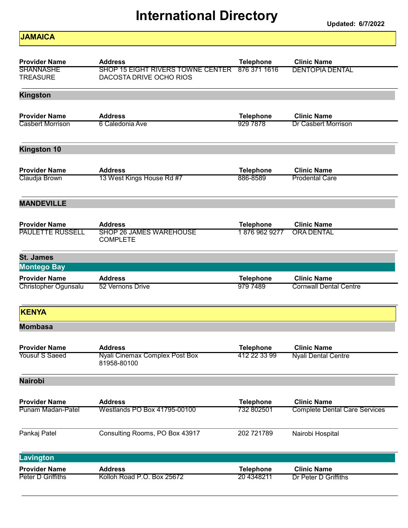Updated: 6/7/2022

#### **JAMAICA**

| <b>Provider Name</b>    | <b>Address</b>                                       |                                  | <b>Clinic Name</b>                   |
|-------------------------|------------------------------------------------------|----------------------------------|--------------------------------------|
| <b>SHANNASHE</b>        | <b>SHOP 15 EIGHT RIVERS TOWNE CENTER</b>             | <b>Telephone</b><br>876 371 1616 | <b>DENTOPIA DENTAL</b>               |
| <b>TREASURE</b>         | DACOSTA DRIVE OCHO RIOS                              |                                  |                                      |
| <b>Kingston</b>         |                                                      |                                  |                                      |
| <b>Provider Name</b>    | <b>Address</b>                                       | <b>Telephone</b>                 | <b>Clinic Name</b>                   |
| <b>Casbert Morrison</b> | 6 Caledonia Ave                                      | 929 7878                         | <b>Dr Casbert Morrison</b>           |
| <b>Kingston 10</b>      |                                                      |                                  |                                      |
| <b>Provider Name</b>    | <b>Address</b>                                       | <b>Telephone</b>                 | <b>Clinic Name</b>                   |
| Claudja Brown           | 13 West Kings House Rd #7                            | 886-8589                         | <b>Prodental Care</b>                |
| <b>MANDEVILLE</b>       |                                                      |                                  |                                      |
| <b>Provider Name</b>    | <b>Address</b>                                       | <b>Telephone</b>                 | <b>Clinic Name</b>                   |
| <b>PAULETTE RUSSELL</b> | <b>SHOP 26 JAMES WAREHOUSE</b><br><b>COMPLETE</b>    | 18769629277                      | <b>ORA DENTAL</b>                    |
| <b>St. James</b>        |                                                      |                                  |                                      |
| <b>Montego Bay</b>      |                                                      |                                  |                                      |
| <b>Provider Name</b>    | <b>Address</b>                                       | <b>Telephone</b>                 | <b>Clinic Name</b>                   |
| Christopher Ogunsalu    | 52 Vernons Drive                                     | 979 7489                         | <b>Cornwall Dental Centre</b>        |
| <b>KENYA</b>            |                                                      |                                  |                                      |
| <b>Mombasa</b>          |                                                      |                                  |                                      |
| <b>Provider Name</b>    | <b>Address</b>                                       | Telephone                        | <b>Clinic Name</b>                   |
| <b>Yousuf S Saeed</b>   | <b>Nyali Cinemax Complex Post Box</b><br>81958-80100 | 412 22 33 99                     | Nyali Dental Centre                  |
| <b>Nairobi</b>          |                                                      |                                  |                                      |
| <b>Provider Name</b>    | <b>Address</b>                                       | <b>Telephone</b>                 | <b>Clinic Name</b>                   |
| Punam Madan-Patel       | <b>Westlands PO Box 41795-00100</b>                  | 732 802501                       | <b>Complete Dental Care Services</b> |
| Pankaj Patel            | Consulting Rooms, PO Box 43917                       | 202 721789                       | Nairobi Hospital                     |
| <b>Lavington</b>        |                                                      |                                  |                                      |
| <b>Provider Name</b>    | <b>Address</b>                                       | <b>Telephone</b>                 | <b>Clinic Name</b>                   |
| Peter D Griffiths       | Kolloh Road P.O. Box 25672                           | 20 4348211                       | Dr Peter D Griffiths                 |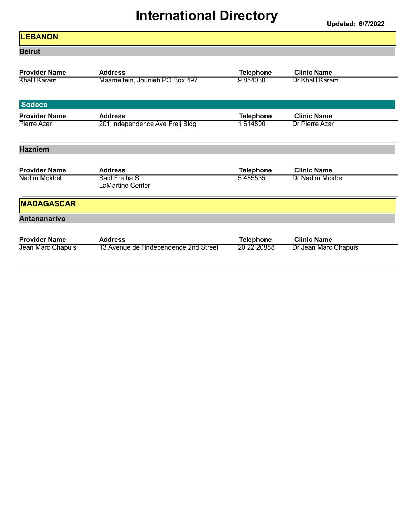| <b>LEBANON</b>                       |                                                  |                             |                                       |
|--------------------------------------|--------------------------------------------------|-----------------------------|---------------------------------------|
| <b>Beirut</b>                        |                                                  |                             |                                       |
| <b>Provider Name</b><br>Khalil Karam | <b>Address</b><br>Maameltein, Jounieh PO Box 497 | <b>Telephone</b><br>9854030 | <b>Clinic Name</b><br>Dr Khalil Karam |
| <b>Sodeco</b>                        |                                                  |                             |                                       |
| <b>Provider Name</b>                 | <b>Address</b>                                   | <b>Telephone</b>            | <b>Clinic Name</b>                    |
| Pierre Azar                          | 201 Independence Ave Freij Bldg                  | 1614800                     | Dr Pierre Azar                        |
| <b>Hazniem</b>                       |                                                  |                             |                                       |
| <b>Provider Name</b>                 | <b>Address</b>                                   | <b>Telephone</b>            | <b>Clinic Name</b>                    |
| Nadim Mokbel                         | Said Freiha St<br><b>LaMartine Center</b>        | 5455535                     | Dr Nadim Mokbel                       |
| <b>MADAGASCAR</b>                    |                                                  |                             |                                       |
| <b>Antananarivo</b>                  |                                                  |                             |                                       |
| <b>Provider Name</b>                 | <b>Address</b>                                   | <b>Telephone</b>            | <b>Clinic Name</b>                    |
| Jean Marc Chapuis                    | 13 Avenue de l'Independence 2nd Street           | 20 22 20888                 | Dr Jean Marc Chapuis                  |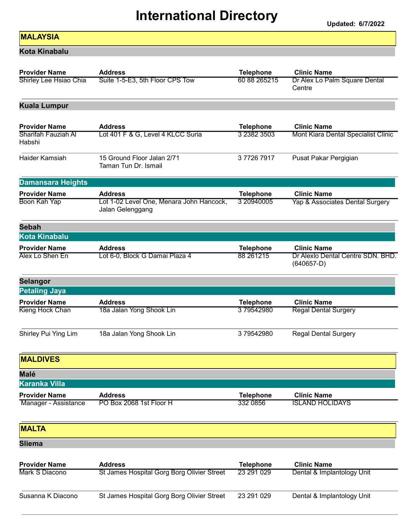Updated: 6/7/2022

#### **MALAYSIA**

Kota Kinabalu

| <b>Provider Name</b>                                  | <b>Address</b>                                               | <b>Telephone</b>                | <b>Clinic Name</b>                                        |
|-------------------------------------------------------|--------------------------------------------------------------|---------------------------------|-----------------------------------------------------------|
| Shirley Lee Hsiao Chia                                | Suite 1-5-E3, 5th Floor CPS Tow                              | 60 88 265215                    | Dr Alex Lo Palm Square Dental<br>Centre                   |
| <b>Kuala Lumpur</b>                                   |                                                              |                                 |                                                           |
| <b>Provider Name</b><br>Sharifah Fauziah Al<br>Habshi | <b>Address</b><br>Lot 401 F & G, Level 4 KLCC Suria          | <b>Telephone</b><br>3 2382 3503 | <b>Clinic Name</b><br>Mont Kiara Dental Specialist Clinic |
| Haider Kamsiah                                        | 15 Ground Floor Jalan 2/71<br>Taman Tun Dr. Ismail           | 377267917                       | Pusat Pakar Pergigian                                     |
| <b>Damansara Heights</b>                              |                                                              |                                 |                                                           |
| <b>Provider Name</b>                                  | <b>Address</b>                                               | <b>Telephone</b>                | <b>Clinic Name</b>                                        |
| Boon Kah Yap                                          | Lot 1-02 Level One, Menara John Hancock,<br>Jalan Gelenggang | 3 20940005                      | Yap & Associates Dental Surgery                           |
| <b>Sebah</b>                                          |                                                              |                                 |                                                           |
| Kota Kinabalu                                         |                                                              |                                 |                                                           |
| <b>Provider Name</b>                                  | <b>Address</b>                                               | <b>Telephone</b>                | <b>Clinic Name</b>                                        |
| Alex Lo Shen En                                       | Lot 6-0, Block G Damai Plaza 4                               | 88 261215                       | Dr Alexio Dental Centre SDN. BHD.<br>$(640657-D)$         |
| Selangor                                              |                                                              |                                 |                                                           |
| <b>Petaling Jaya</b>                                  |                                                              |                                 |                                                           |
| <b>Provider Name</b>                                  | <b>Address</b>                                               | <b>Telephone</b>                | <b>Clinic Name</b>                                        |
|                                                       |                                                              |                                 |                                                           |
| Kieng Hock Chan                                       | 18a Jalan Yong Shook Lin                                     | 379542980                       | <b>Regal Dental Surgery</b>                               |
| Shirley Pui Ying Lim                                  | 18a Jalan Yong Shook Lin                                     | 379542980                       | <b>Regal Dental Surgery</b>                               |
| <b>MALDIVES</b>                                       |                                                              |                                 |                                                           |
| <b>Malé</b>                                           |                                                              |                                 |                                                           |
| <b>Karanka Villa</b>                                  |                                                              |                                 |                                                           |
| <b>Provider Name</b><br>Manager - Assistance          | <b>Address</b><br>PO Box 2068 1st Floor H                    | <b>Telephone</b><br>332 0856    | <b>Clinic Name</b><br><b>ISLAND HOLIDAYS</b>              |
| <b>MALTA</b>                                          |                                                              |                                 |                                                           |
| <b>Sliema</b>                                         |                                                              |                                 |                                                           |
| <b>Provider Name</b>                                  | <b>Address</b>                                               | <b>Telephone</b>                | <b>Clinic Name</b>                                        |
| Mark S Diacono                                        | St James Hospital Gorg Borg Olivier Street                   | 23 291 029                      | Dental & Implantology Unit                                |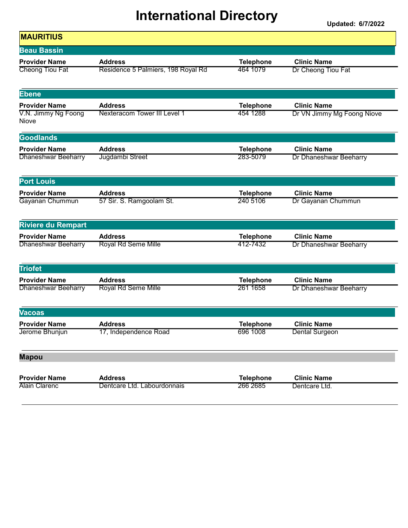| <b>Beau Bassin</b>           |                                    |                  |                            |
|------------------------------|------------------------------------|------------------|----------------------------|
| <b>Provider Name</b>         | <b>Address</b>                     | <b>Telephone</b> | <b>Clinic Name</b>         |
| Cheong Tiou Fat              | Residence 5 Palmiers, 198 Royal Rd | 464 1079         | Dr Cheong Tiou Fat         |
| <b>Ebene</b>                 |                                    |                  |                            |
| <b>Provider Name</b>         | <b>Address</b>                     | <b>Telephone</b> | <b>Clinic Name</b>         |
| V.N. Jimmy Ng Foong<br>Niove | Nexteracom Tower III Level 1       | 454 1288         | Dr VN Jimmy Mg Foong Niove |
| <b>Goodlands</b>             |                                    |                  |                            |
| <b>Provider Name</b>         | <b>Address</b>                     | <b>Telephone</b> | <b>Clinic Name</b>         |
| <b>Dhaneshwar Beeharry</b>   | Jugdambi Street                    | 283-5079         | Dr Dhaneshwar Beeharry     |
| <b>Port Louis</b>            |                                    |                  |                            |
| <b>Provider Name</b>         | <b>Address</b>                     | <b>Telephone</b> | <b>Clinic Name</b>         |
| Gayanan Chummun              | 57 Sir. S. Ramgoolam St.           | 240 5106         | Dr Gayanan Chummun         |
| <b>Riviere du Rempart</b>    |                                    |                  |                            |
| <b>Provider Name</b>         | <b>Address</b>                     | <b>Telephone</b> | <b>Clinic Name</b>         |
| <b>Dhaneshwar Beeharry</b>   | <b>Royal Rd Seme Mille</b>         | 412-7432         | Dr Dhaneshwar Beeharry     |
| <b>Triofet</b>               |                                    |                  |                            |
| <b>Provider Name</b>         | <b>Address</b>                     | <b>Telephone</b> | <b>Clinic Name</b>         |
| Dhaneshwar Beeharry          | Royal Rd Seme Mille                | 261 1658         | Dr Dhaneshwar Beeharry     |
| Vacoas                       |                                    |                  |                            |
| <b>Provider Name</b>         | <b>Address</b>                     | <b>Telephone</b> | <b>Clinic Name</b>         |
| Jerome Bhunjun               | 17, Independence Road              | 696 1008         | <b>Dental Surgeon</b>      |
| <b>Mapou</b>                 |                                    |                  |                            |
| <b>Provider Name</b>         | <b>Address</b>                     | <b>Telephone</b> | <b>Clinic Name</b>         |
| <b>Alain Clarenc</b>         | Dentcare Ltd. Labourdonnais        | 266 2685         | Dentcare Ltd.              |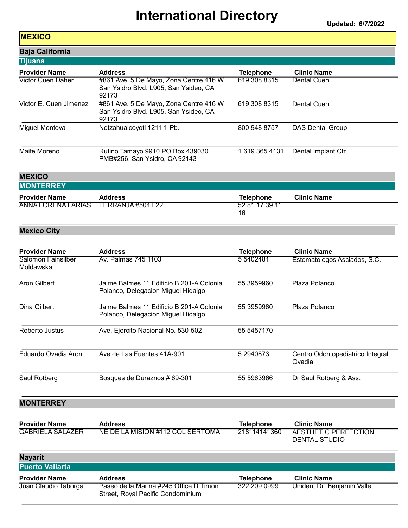Updated: 6/7/2022

#### **MEXICO**

| <b>Baja California</b> |                                                                                          |                  |                         |  |
|------------------------|------------------------------------------------------------------------------------------|------------------|-------------------------|--|
| <b>Tijuana</b>         |                                                                                          |                  |                         |  |
| <b>Provider Name</b>   | <b>Address</b>                                                                           | <b>Telephone</b> | <b>Clinic Name</b>      |  |
| Victor Cuen Daher      | #861 Ave. 5 De Mayo, Zona Centre 416 W<br>San Ysidro Blvd. L905, San Ysideo, CA<br>92173 | 619 308 8315     | Dental Cuen             |  |
| Victor E. Cuen Jimenez | #861 Ave. 5 De Mayo, Zona Centre 416 W<br>San Ysidro Blvd. L905, San Ysideo, CA<br>92173 | 619 308 8315     | Dental Cuen             |  |
| Miguel Montoya         | Netzahualcoyotl 1211 1-Pb.                                                               | 800 948 8757     | <b>DAS Dental Group</b> |  |
| Maite Moreno           | Rufino Tamayo 9910 PO Box 439030<br>PMB#256, San Ysidro, CA 92143                        | 16193654131      | Dental Implant Ctr      |  |

#### **MEXICO MONTEDDEV**

| IWON I ERRET                         |                |                      |                    |  |
|--------------------------------------|----------------|----------------------|--------------------|--|
| <b>Provider Name</b>                 | <b>Address</b> | <b>Telephone</b>     | <b>Clinic Name</b> |  |
| ANNA LORENA FARIAS FERRANJA #504 L22 |                | 52 81 17 39 11<br>16 |                    |  |

#### Mexico City

| <b>Provider Name</b>            | <b>Address</b>                                                                 | <b>Telephone</b> | <b>Clinic Name</b>                         |
|---------------------------------|--------------------------------------------------------------------------------|------------------|--------------------------------------------|
| Salomon Fainsilber<br>Moldawska | Av. Palmas 745 1103                                                            | 5 5402481        | Estomatologos Asciados, S.C.               |
| Aron Gilbert                    | Jaime Balmes 11 Edificio B 201-A Colonia<br>Polanco, Delegacion Miguel Hidalgo | 55 3959960       | Plaza Polanco                              |
| Dina Gilbert                    | Jaime Balmes 11 Edificio B 201-A Colonia<br>Polanco, Delegacion Miguel Hidalgo | 55 3959960       | Plaza Polanco                              |
| Roberto Justus                  | Ave. Ejercito Nacional No. 530-502                                             | 55 5457170       |                                            |
| Eduardo Ovadia Aron             | Ave de Las Fuentes 41A-901                                                     | 5 2940873        | Centro Odontopediatrico Integral<br>Ovadia |
| Saul Rotberg                    | Bosques de Duraznos # 69-301                                                   | 55 5963966       | Dr Saul Rotberg & Ass.                     |

#### **MONTERREY**

| <b>Provider Name</b>    | <b>Address</b>                   | <b>Telephone</b> | <b>Clinic Name</b>   |
|-------------------------|----------------------------------|------------------|----------------------|
| <b>GABRIELA SALAZER</b> | NE DE LA MISION #112 COL SERTOMA | 218114141360     | AESTHETIC PERFECTION |
|                         |                                  |                  | DENTAL STUDIO        |

| <b>Nayarit</b><br><b>Puerto Vallarta</b> |                                                                             |                  |                            |
|------------------------------------------|-----------------------------------------------------------------------------|------------------|----------------------------|
| <b>Provider Name</b>                     | <b>Address</b>                                                              | <b>Telephone</b> | <b>Clinic Name</b>         |
| Juan Claudio Taborga                     | Paseo de la Marina #245 Office D Timon<br>Street, Royal Pacific Condominium | 322 209 0999     | Unident Dr. Benjamin Valle |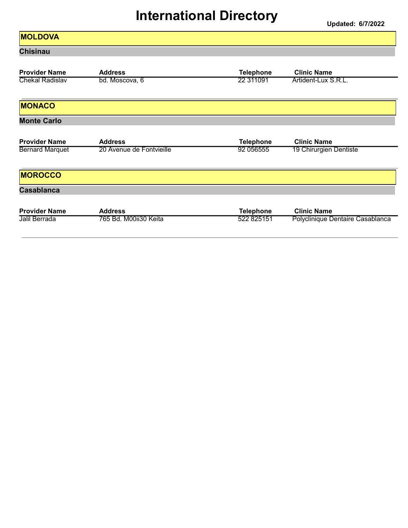#### **MOLDOVA** Chisinau Provider Name Address Address Telephone Clinic Name<br>
Chekal Radislav bd. Moscova, 6 22 311091 Artident-Lux S bd. Moscova, 6 **Artident-Lux S.R.L. 22 311091** Artident-Lux S.R.L. **MONACO** Monte Carlo Provider Name Address And Access Address And Access And Access And Access And Access And Access And Access Access A Bernard Marquet 20 Avenue de Fontvieille 1920 056555 19 Chirurgien Dentiste **MOROCCO Casablanca** Provider Name Address Telephone Clinic Name 765 Bd. M00ii30 Keita **Francisch Berrada 522 825151** Polyclinique Dentaire Casablanca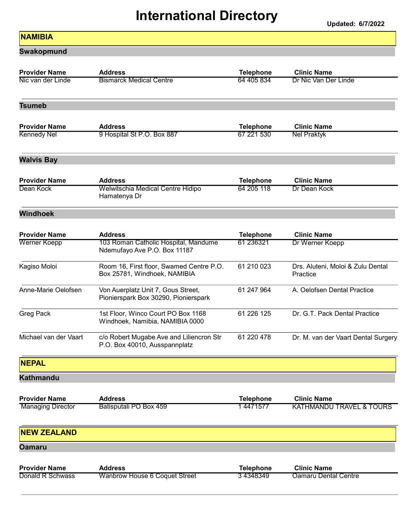Updated: 6/7/2022

#### **NAMIBIA**

Swakopmund

| <b>Provider Name</b>                             | <b>Address</b>                                                             | <b>Telephone</b>             | <b>Clinic Name</b>                                        |
|--------------------------------------------------|----------------------------------------------------------------------------|------------------------------|-----------------------------------------------------------|
| Nic van der Linde                                | <b>Bismarck Medical Centre</b>                                             | 64 405 834                   | Dr Nic Van Der Linde                                      |
| <b>Tsumeb</b>                                    |                                                                            |                              |                                                           |
| <b>Provider Name</b>                             | <b>Address</b>                                                             | <b>Telephone</b>             | <b>Clinic Name</b>                                        |
| <b>Kennedy Nel</b>                               | 9 Hospital St P.O. Box 887                                                 | 67 221 530                   | <b>Nel Praktyk</b>                                        |
| <b>Walvis Bay</b>                                |                                                                            |                              |                                                           |
| <b>Provider Name</b>                             | <b>Address</b>                                                             | <b>Telephone</b>             | <b>Clinic Name</b>                                        |
| Dean Kock                                        | Welwitschia Medical Centre Hidipo<br>Hamatenya Dr                          | 64 205 118                   | Dr Dean Kock                                              |
| <b>Windhoek</b>                                  |                                                                            |                              |                                                           |
| <b>Provider Name</b>                             | <b>Address</b>                                                             | <b>Telephone</b>             | <b>Clinic Name</b>                                        |
| Werner Koepp                                     | 103 Roman Catholic Hospital, Mandume<br>Ndemufayo Ave P.O. Box 11187       | 61 236321                    | Dr Werner Koepp                                           |
| Kagiso Moloi                                     | Room 16, First floor, Swamed Centre P.O.<br>Box 25781, Windhoek, NAMIBIA   | 61 210 023                   | Drs. Aluteni, Moloi & Zulu Dental<br>Practice             |
| Anne-Marie Oelofsen                              | Von Auerplatz Unit 7, Gous Street,<br>Pionierspark Box 30290, Pionierspark | 61 247 964                   | A. Oelofsen Dental Practice                               |
| Greg Pack                                        | 1st Floor, Winco Court PO Box 1168<br>Windhoek, Namibia, NAMIBIA 0000      | 61 226 125                   | Dr. G.T. Pack Dental Practice                             |
| Michael van der Vaart                            | c/o Robert Mugabe Ave and Liliencron Str<br>P.O. Box 40010, Ausspannplatz  | 61 220 478                   | Dr. M. van der Vaart Dental Surgery                       |
| <b>NEPAL</b>                                     |                                                                            |                              |                                                           |
| <b>Kathmandu</b>                                 |                                                                            |                              |                                                           |
| <b>Provider Name</b><br><b>Managing Director</b> | <b>Address</b><br>Batisputali PO Box 459                                   | <b>Telephone</b><br>14471577 | <b>Clinic Name</b><br><b>KATHMANDU TRAVEL &amp; TOURS</b> |
| <b>NEW ZEALAND</b>                               |                                                                            |                              |                                                           |
| Oamaru                                           |                                                                            |                              |                                                           |
| <b>Provider Name</b>                             | <b>Address</b>                                                             | <b>Telephone</b>             | <b>Clinic Name</b>                                        |
| Donald R Schwass                                 | Wanbrow House 6 Coquet Street                                              | 34348349                     | <b>Oamaru Dental Centre</b>                               |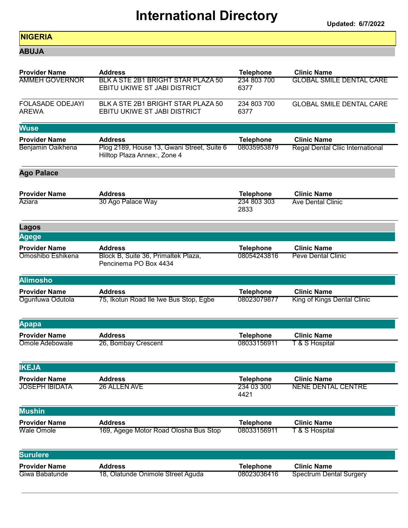Updated: 6/7/2022

#### NIGERIA

ABUJA

| <b>Provider Name</b>                    | <b>Address</b>                                                             | <b>Telephone</b>    | <b>Clinic Name</b>               |
|-----------------------------------------|----------------------------------------------------------------------------|---------------------|----------------------------------|
| <b>AMMEH GOVERNOR</b>                   | BLK A STE 2B1 BRIGHT STAR PLAZA 50<br><b>EBITU UKIWE ST JABI DISTRICT</b>  | 234 803 700<br>6377 | <b>GLOBAL SMILE DENTAL CARE</b>  |
| <b>FOLASADE ODEJAYI</b><br><b>AREWA</b> | BLK A STE 2B1 BRIGHT STAR PLAZA 50<br>EBITU UKIWE ST JABI DISTRICT         | 234 803 700<br>6377 | <b>GLOBAL SMILE DENTAL CARE</b>  |
| <b>Wuse</b>                             |                                                                            |                     |                                  |
| <b>Provider Name</b>                    | <b>Address</b>                                                             | <b>Telephone</b>    | <b>Clinic Name</b>               |
| Benjamin Oaikhena                       | Plog 2189, House 13, Gwani Street, Suite 6<br>Hilltop Plaza Annex:, Zone 4 | 08035953879         | Regal Dental Cliic International |
| <b>Ago Palace</b>                       |                                                                            |                     |                                  |
| <b>Provider Name</b>                    | <b>Address</b>                                                             | <b>Telephone</b>    | <b>Clinic Name</b>               |
| Aziara                                  | 30 Ago Palace Way                                                          | 234 803 303<br>2833 | <b>Ave Dental Clinic</b>         |
| Lagos                                   |                                                                            |                     |                                  |
| Agege                                   |                                                                            |                     |                                  |
| <b>Provider Name</b>                    | <b>Address</b>                                                             | <b>Telephone</b>    | <b>Clinic Name</b>               |
| Omoshibo Eshikena                       | Block B, Suite 36, Primaltek Plaza,<br>Pencinema PO Box 4434               | 08054243816         | <b>Peve Dental Clinic</b>        |
| <b>Alimosho</b>                         |                                                                            |                     |                                  |
| <b>Provider Name</b>                    | <b>Address</b>                                                             | <b>Telephone</b>    | <b>Clinic Name</b>               |
| Ogunfuwa Odutola                        | 75, Ikotun Road Ile Iwe Bus Stop, Egbe                                     | 08023079877         | King of Kings Dental Clinic      |
| Apapa                                   |                                                                            |                     |                                  |
| <b>Provider Name</b>                    | <b>Address</b>                                                             | <b>Telephone</b>    | <b>Clinic Name</b>               |
| Omole Adebowale                         | 26, Bombay Crescent                                                        | 08033156911         | <b>T &amp; S Hospital</b>        |
| <b>IKEJA</b>                            |                                                                            |                     |                                  |
| <b>Provider Name</b>                    | <b>Address</b>                                                             | <b>Telephone</b>    | <b>Clinic Name</b>               |
| JOSEPH IBIDATA                          | 26 ALLEN AVE                                                               | 234 03 300<br>4421  | <b>NENE DENTAL CENTRE</b>        |
| <b>Mushin</b>                           |                                                                            |                     |                                  |
| <b>Provider Name</b>                    | <b>Address</b>                                                             | <b>Telephone</b>    | <b>Clinic Name</b>               |
| <b>Wale Omole</b>                       | 169, Agege Motor Road Olosha Bus Stop                                      | 08033156911         | <b>T &amp; S Hospital</b>        |
| <b>Surulere</b>                         |                                                                            |                     |                                  |
| <b>Provider Name</b>                    | <b>Address</b>                                                             | <b>Telephone</b>    | <b>Clinic Name</b>               |
| Giwa Babatunde                          | 18, Olatunde Onimole Street Aguda                                          | 08023036416         | <b>Spectrum Dental Surgery</b>   |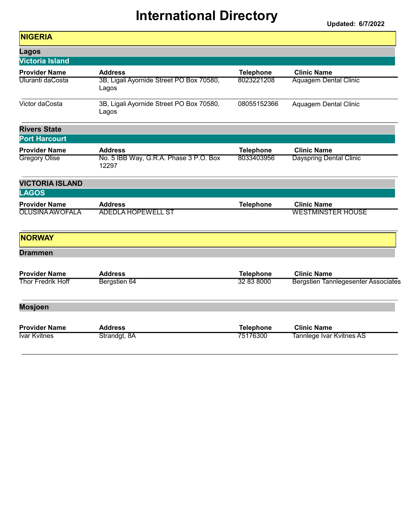| <b>NIGERIA</b>           |                                                   |                  |                                            |
|--------------------------|---------------------------------------------------|------------------|--------------------------------------------|
| <b>Lagos</b>             |                                                   |                  |                                            |
| <b>Victoria Island</b>   |                                                   |                  |                                            |
| <b>Provider Name</b>     | <b>Address</b>                                    | <b>Telephone</b> | <b>Clinic Name</b>                         |
| Uluranti daCosta         | 3B, Ligali Ayornide Street PO Box 70580,<br>Lagos | 8023221208       | <b>Aquagem Dental Clinic</b>               |
| Victor daCosta           | 3B, Ligali Ayornide Street PO Box 70580,<br>Lagos | 08055152366      | Aquagem Dental Clinic                      |
| <b>Rivers State</b>      |                                                   |                  |                                            |
| <b>Port Harcourt</b>     |                                                   |                  |                                            |
| <b>Provider Name</b>     | <b>Address</b>                                    | <b>Telephone</b> | <b>Clinic Name</b>                         |
| <b>Gregory Olise</b>     | No. 5 IBB Way, G.R.A. Phase 3 P.O. Box<br>12297   | 8033403956       | <b>Dayspring Dental Clinic</b>             |
| <b>VICTORIA ISLAND</b>   |                                                   |                  |                                            |
| <b>LAGOS</b>             |                                                   |                  |                                            |
| <b>Provider Name</b>     | <b>Address</b>                                    | <b>Telephone</b> | <b>Clinic Name</b>                         |
| <b>OLUSINA AW OFALA</b>  | <b>ADEDLA HOPEWELL ST</b>                         |                  | <b>WESTMINSTER HOUSE</b>                   |
| <b>NORWAY</b>            |                                                   |                  |                                            |
| <b>Drammen</b>           |                                                   |                  |                                            |
| <b>Provider Name</b>     | <b>Address</b>                                    | <b>Telephone</b> | <b>Clinic Name</b>                         |
| <b>Thor Fredrik Hoff</b> | Bergstien 64                                      | 32 83 8000       | <b>Bergstien Tannlegesenter Associates</b> |
| <b>Mosjoen</b>           |                                                   |                  |                                            |
| <b>Provider Name</b>     | <b>Address</b>                                    | <b>Telephone</b> | <b>Clinic Name</b>                         |
| <b>Ivar Kvitnes</b>      | Strandgt, 8A                                      | 75176300         | Tannlege Ivar Kvitnes AS                   |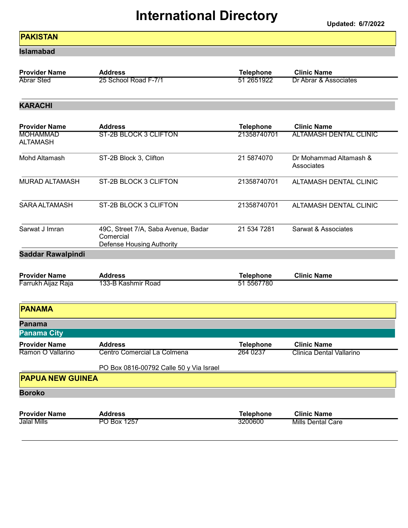#### PAKISTAN

Islamabad

| <b>Provider Name</b> | Address              | Telephone  | <b>Clinic Name</b>    |
|----------------------|----------------------|------------|-----------------------|
| <b>Abrar Sted</b>    | 25 School Road F-7/1 | 51 2651922 | Dr Abrar & Associates |

#### KARACHI

| <b>Provider Name</b>               | <b>Address</b>                                                                | <b>Telephone</b>            | <b>Clinic Name</b>                   |
|------------------------------------|-------------------------------------------------------------------------------|-----------------------------|--------------------------------------|
| <b>MOHAMMAD</b><br><b>ALTAMASH</b> | <b>ST-2B BLOCK 3 CLIFTON</b>                                                  | 21358740701                 | <b>ALTAMASH DENTAL CLINIC</b>        |
| Mohd Altamash                      | ST-2B Block 3, Clifton                                                        | 21 5874070                  | Dr Mohammad Altamash &<br>Associates |
| <b>MURAD ALTAMASH</b>              | ST-2B BLOCK 3 CLIFTON                                                         | 21358740701                 | <b>ALTAMASH DENTAL CLINIC</b>        |
| <b>SARA ALTAMASH</b>               | ST-2B BLOCK 3 CLIFTON                                                         | 21358740701                 | <b>ALTAMASH DENTAL CLINIC</b>        |
| Sarwat J Imran                     | 49C, Street 7/A, Saba Avenue, Badar<br>Comercial<br>Defense Housing Authority | 21 534 7281                 | Sarwat & Associates                  |
| <b>Saddar Rawalpindi</b>           |                                                                               |                             |                                      |
|                                    |                                                                               |                             |                                      |
| <b>Provider Name</b>               | <b>Address</b>                                                                | <b>Telephone</b>            | <b>Clinic Name</b>                   |
| Farrukh Aijaz Raja                 | 133-B Kashmir Road                                                            | 51 5567780                  |                                      |
| <b>PANAMA</b>                      |                                                                               |                             |                                      |
| Panama                             |                                                                               |                             |                                      |
| <b>Panama City</b>                 |                                                                               |                             |                                      |
| <b>Provider Name</b>               | <b>Address</b>                                                                | <b>Telephone</b>            | <b>Clinic Name</b>                   |
| Ramon O Vallarino                  | Centro Comercial La Colmena                                                   | 264 0237                    | <b>Clinica Dental Vallarino</b>      |
|                                    | PO Box 0816-00792 Calle 50 y Via Israel                                       |                             |                                      |
| <b>PAPUA NEW GUINEA</b>            |                                                                               |                             |                                      |
| <b>Boroko</b>                      |                                                                               |                             |                                      |
| <b>Provider Name</b>               | <b>Address</b>                                                                |                             | <b>Clinic Name</b>                   |
| Jalal Mills                        | PO Box 1257                                                                   | <b>Telephone</b><br>3200600 | <b>Mills Dental Care</b>             |
|                                    |                                                                               |                             |                                      |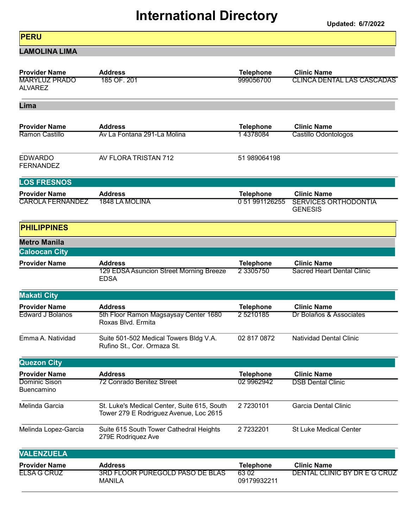Updated: 6/7/2022

#### **PERU**

LAMOLINA LIMA

| <b>Provider Name</b>                            | <b>Address</b>                                                                        | <b>Telephone</b>                 | <b>Clinic Name</b>                                                  |
|-------------------------------------------------|---------------------------------------------------------------------------------------|----------------------------------|---------------------------------------------------------------------|
| <b>MARYLUZ PRADO</b><br><b>ALVAREZ</b>          | 185 OF. 201                                                                           | 999056700                        | <b>CLINCA DENTAL LAS CASCADAS</b>                                   |
| Lima                                            |                                                                                       |                                  |                                                                     |
| <b>Provider Name</b>                            | <b>Address</b>                                                                        | <b>Telephone</b>                 | <b>Clinic Name</b>                                                  |
| Ramon Castillo                                  | Ay La Fontana 291-La Molina                                                           | 14378084                         | Castillo Odontologos                                                |
| <b>EDWARDO</b><br><b>FERNANDEZ</b>              | AV FLORA TRISTAN 712                                                                  | 51 989064198                     |                                                                     |
| <b>LOS FRESNOS</b>                              |                                                                                       |                                  |                                                                     |
| <b>Provider Name</b><br><b>CAROLA FERNANDEZ</b> | <b>Address</b><br><b>1848 LA MOLINA</b>                                               | <b>Telephone</b><br>051991126255 | <b>Clinic Name</b><br><b>SERVICES ORTHODONTIA</b><br><b>GENESIS</b> |
| <b>PHILIPPINES</b>                              |                                                                                       |                                  |                                                                     |
| <b>Metro Manila</b>                             |                                                                                       |                                  |                                                                     |
| <b>Caloocan City</b>                            |                                                                                       |                                  |                                                                     |
| <b>Provider Name</b>                            | <b>Address</b><br>129 EDSA Asuncion Street Morning Breeze<br><b>EDSA</b>              | <b>Telephone</b><br>2 3305750    | <b>Clinic Name</b><br><b>Sacred Heart Dental Clinic</b>             |
| <b>Makati City</b>                              |                                                                                       |                                  |                                                                     |
| <b>Provider Name</b>                            | <b>Address</b>                                                                        | <b>Telephone</b>                 | <b>Clinic Name</b>                                                  |
| <b>Edward J Bolanos</b>                         | 5th Floor Ramon Magsaysay Center 1680<br>Roxas Blvd. Ermita                           | 25210185                         | Dr Bolaños & Associates                                             |
| Emma A. Natividad                               | Suite 501-502 Medical Towers Bldg V.A.<br>Rufino St., Cor. Ormaza St.                 | 02 817 0872                      | <b>Natividad Dental Clinic</b>                                      |
| <b>Quezon City</b>                              |                                                                                       |                                  |                                                                     |
| <b>Provider Name</b>                            | <b>Address</b>                                                                        | <b>Telephone</b>                 | <b>Clinic Name</b>                                                  |
| Dominic Sison<br><b>Buencamino</b>              | 72 Conrado Benitez Street                                                             | 02 9962942                       | <b>DSB Dental Clinic</b>                                            |
| Melinda Garcia                                  | St. Luke's Medical Center, Suite 615, South<br>Tower 279 E Rodriguez Avenue, Loc 2615 | 27230101                         | Garcia Dental Clinic                                                |
| Melinda Lopez-Garcia                            | Suite 615 South Tower Cathedral Heights<br>279E Rodriquez Ave                         | 27232201                         | <b>St Luke Medical Center</b>                                       |
| <b>VALENZUELA</b>                               |                                                                                       |                                  |                                                                     |
| <b>Provider Name</b>                            | <b>Address</b>                                                                        | <b>Telephone</b>                 | <b>Clinic Name</b>                                                  |
| ELSA G CRUZ                                     | 3RD FLOOR PUREGOLD PASO DE BLAS<br><b>MANILA</b>                                      | 6302<br>09179932211              | DENTAL CLINIC BY DR E G CRUZ                                        |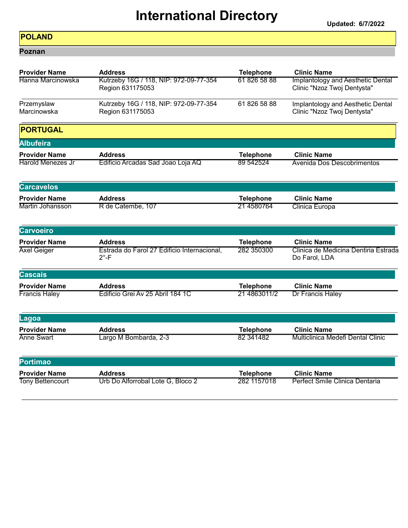#### POLAND

Poznan

| <b>Provider Name</b>      | <b>Address</b>                                                | <b>Telephone</b> | <b>Clinic Name</b>                                               |
|---------------------------|---------------------------------------------------------------|------------------|------------------------------------------------------------------|
| Hanna Marcinowska         | Kutrzeby 16G / 118, NIP: 972-09-77-354<br>Region 631175053    | 618265888        | Implantology and Aesthetic Dental<br>Clinic "Nzoz Twoj Dentysta" |
| Przemyslaw<br>Marcinowska | Kutrzeby 16G / 118, NIP: 972-09-77-354<br>Region 631175053    | 61 826 58 88     | Implantology and Aesthetic Dental<br>Clinic "Nzoz Twoj Dentysta" |
| <b>PORTUGAL</b>           |                                                               |                  |                                                                  |
| <b>Albufeira</b>          |                                                               |                  |                                                                  |
| <b>Provider Name</b>      | <b>Address</b>                                                | <b>Telephone</b> | <b>Clinic Name</b>                                               |
| <b>Harold Menezes Jr</b>  | Edificio Arcadas Sad Joao Loja AQ                             | 89 542524        | Avenida Dos Descobrimentos                                       |
| <b>Carcavelos</b>         |                                                               |                  |                                                                  |
| <b>Provider Name</b>      | <b>Address</b>                                                | <b>Telephone</b> | <b>Clinic Name</b>                                               |
| Martin Johansson          | R de Catembe, 107                                             | 21 4580764       | Clinica Europa                                                   |
| <b>Carvoeiro</b>          |                                                               |                  |                                                                  |
| <b>Provider Name</b>      | <b>Address</b>                                                | <b>Telephone</b> | <b>Clinic Name</b>                                               |
| <b>Axel Geiger</b>        | Estrada do Farol 27 Edificio Internacional,<br>$2^{\circ}$ -F | 282 350300       | Clinica de Medicina Dentiria Estrada<br>Do Farol, LDA            |
| <b>Cascais</b>            |                                                               |                  |                                                                  |
| <b>Provider Name</b>      | <b>Address</b>                                                | <b>Telephone</b> | <b>Clinic Name</b>                                               |
| <b>Francis Haley</b>      | Edificio Grei Av 25 Abril 184 1C                              | 21 4863011/2     | Dr Francis Haley                                                 |
| Lagoa                     |                                                               |                  |                                                                  |
| <b>Provider Name</b>      | <b>Address</b>                                                | <b>Telephone</b> | <b>Clinic Name</b>                                               |
| <b>Anne Swart</b>         | Largo M Bombarda, 2-3                                         | 82 34 14 82      | <b>Multiclinica Medefi Dental Clinic</b>                         |
| <b>Portimao</b>           |                                                               |                  |                                                                  |
| <b>Provider Name</b>      | <b>Address</b>                                                | <b>Telephone</b> | <b>Clinic Name</b>                                               |
| <b>Tony Bettencourt</b>   | Urb Do Alforrobal Lote G, Bloco 2                             | 282 1157018      | Perfect Smile Clinica Dentaria                                   |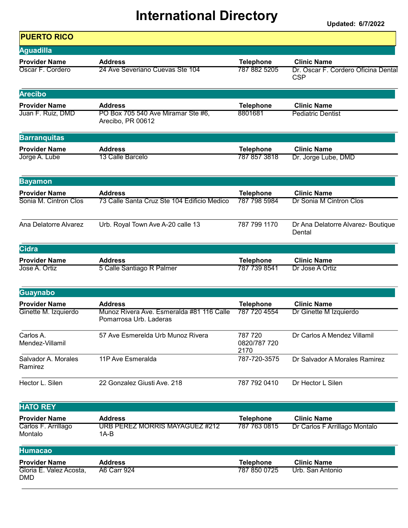| <b>PUERTO RICO</b>                    |                                                                     |                                 |                                                   |
|---------------------------------------|---------------------------------------------------------------------|---------------------------------|---------------------------------------------------|
| <b>Aguadilla</b>                      |                                                                     |                                 |                                                   |
| <b>Provider Name</b>                  | <b>Address</b>                                                      | <b>Telephone</b>                | <b>Clinic Name</b>                                |
| Oscar F. Cordero                      | 24 Ave Severiano Cuevas Ste 104                                     | 787 882 5205                    | Dr. Oscar F. Cordero Oficina Dental<br><b>CSP</b> |
| <b>Arecibo</b>                        |                                                                     |                                 |                                                   |
| <b>Provider Name</b>                  | <b>Address</b>                                                      | <b>Telephone</b>                | <b>Clinic Name</b>                                |
| Juan F. Ruiz, DMD                     | PO Box 705 540 Ave Miramar Ste #6,<br>Arecibo, PR 00612             | 8801681                         | <b>Pediatric Dentist</b>                          |
| <b>Barranquitas</b>                   |                                                                     |                                 |                                                   |
| <b>Provider Name</b>                  | <b>Address</b>                                                      | <b>Telephone</b>                | <b>Clinic Name</b>                                |
| Jorge A. Lube                         | 13 Calle Barcelo                                                    | 787 857 3818                    | Dr. Jorge Lube, DMD                               |
| <b>Bayamon</b>                        |                                                                     |                                 |                                                   |
| <b>Provider Name</b>                  | <b>Address</b>                                                      | <b>Telephone</b>                | <b>Clinic Name</b>                                |
| Sonia M. Cintron Clos                 | 73 Calle Santa Cruz Ste 104 Edificio Medico                         | 787 798 5984                    | Dr Sonia M Cintron Clos                           |
| Ana Delatorre Alvarez                 | Urb. Royal Town Ave A-20 calle 13                                   | 787 799 1170                    | Dr Ana Delatorre Alvarez- Boutique<br>Dental      |
| <b>Cidra</b>                          |                                                                     |                                 |                                                   |
| <b>Provider Name</b>                  | <b>Address</b>                                                      | <b>Telephone</b>                | <b>Clinic Name</b>                                |
| Jose A. Ortiz                         | 5 Calle Santiago R Palmer                                           | 787 739 8541                    | Dr Jose A Ortiz                                   |
| Guaynabo                              |                                                                     |                                 |                                                   |
| <b>Provider Name</b>                  | <b>Address</b>                                                      | <b>Telephone</b>                | <b>Clinic Name</b>                                |
| Ginette M. Izquierdo                  | Munoz Rivera Ave. Esmeralda #81 116 Calle<br>Pomarrosa Urb. Laderas | 787 720 4554                    | Dr Ginette M Izquierdo                            |
| Carlos A.<br>Mendez-Villamil          | 57 Ave Esmerelda Urb Munoz Rivera                                   | 787 720<br>0820/787 720<br>2170 | Dr Carlos A Mendez Villamil                       |
| Salvador A. Morales<br>Ramirez        | 11P Ave Esmeralda                                                   | 787-720-3575                    | Dr Salvador A Morales Ramirez                     |
| Hector L. Silen                       | 22 Gonzalez Giusti Ave. 218                                         | 787 792 0410                    | Dr Hector L Silen                                 |
| <b>HATO REY</b>                       |                                                                     |                                 |                                                   |
| <b>Provider Name</b>                  | <b>Address</b>                                                      | <b>Telephone</b>                | <b>Clinic Name</b>                                |
| Carlos F. Arrillago<br>Montalo        | <b>URB PEREZ MORRIS MAYAGUEZ #212</b><br>$1A-B$                     | 787 763 0815                    | Dr Carlos F Arrillago Montalo                     |
| <b>Humacao</b>                        |                                                                     |                                 |                                                   |
| <b>Provider Name</b>                  | <b>Address</b>                                                      | <b>Telephone</b>                | <b>Clinic Name</b>                                |
| Gloria E. Valez Acosta,<br><b>DMD</b> | <b>A6 Carr 924</b>                                                  | 787 850 0725                    | Urb. San Antonio                                  |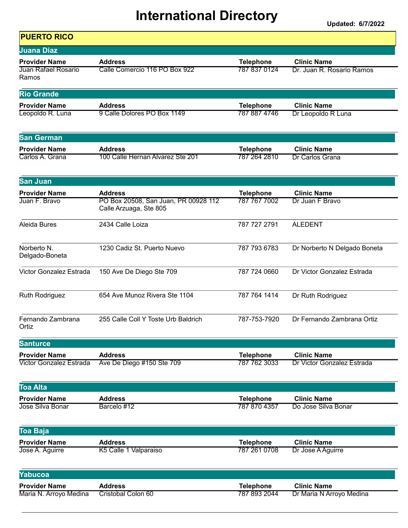| <b>PUERTO RICO</b>            |                                                                |                  |                              |
|-------------------------------|----------------------------------------------------------------|------------------|------------------------------|
| <b>Juana Diaz</b>             |                                                                |                  |                              |
| <b>Provider Name</b>          | <b>Address</b>                                                 | <b>Telephone</b> | <b>Clinic Name</b>           |
| Juan Rafael Rosario<br>Ramos  | Calle Comercio 116 PO Box 922                                  | 787 837 0124     | Dr. Juan R. Rosario Ramos    |
| <b>Rio Grande</b>             |                                                                |                  |                              |
| <b>Provider Name</b>          | <b>Address</b>                                                 | <b>Telephone</b> | <b>Clinic Name</b>           |
| Leopoldo R. Luna              | 9 Calle Dolores PO Box 1149                                    | 787 887 4746     | Dr Leopoldo R Luna           |
| <b>San German</b>             |                                                                |                  |                              |
| <b>Provider Name</b>          | <b>Address</b>                                                 | <b>Telephone</b> | <b>Clinic Name</b>           |
| Carlos A. Grana               | 100 Calle Hernan Alvarez Ste 201                               | 787 264 2810     | Dr Carlos Grana              |
| San Juan                      |                                                                |                  |                              |
| <b>Provider Name</b>          | <b>Address</b>                                                 | <b>Telephone</b> | <b>Clinic Name</b>           |
| Juan F. Bravo                 | PO Box 20508, San Juan, PR 00928 112<br>Calle Arzuaga, Ste 805 | 787 767 7002     | Dr Juan F Bravo              |
| Aleida Bures                  | 2434 Calle Loiza                                               | 787 727 2791     | <b>ALEDENT</b>               |
| Norberto N.<br>Delgado-Boneta | 1230 Cadiz St. Puerto Nuevo                                    | 787 793 6783     | Dr Norberto N Delgado Boneta |
| Victor Gonzalez Estrada       | 150 Ave De Diego Ste 709                                       | 787 724 0660     | Dr Victor Gonzalez Estrada   |
| <b>Ruth Rodriguez</b>         | 654 Ave Munoz Rivera Ste 1104                                  | 787 764 1414     | Dr Ruth Rodriguez            |
| Fernando Zambrana<br>Ortiz    | 255 Calle Coll Y Toste Urb Baldrich                            | 787-753-7920     | Dr Fernando Zambrana Ortiz   |
| <b>Santurce</b>               |                                                                |                  |                              |
| <b>Provider Name</b>          | <b>Address</b>                                                 | <b>Telephone</b> | <b>Clinic Name</b>           |
| Victor Gonzalez Estrada       | Ave De Diego #150 Ste 709                                      | 787 762 3033     | Dr Victor Gonzalez Estrada   |
| <b>Toa Alta</b>               |                                                                |                  |                              |
| <b>Provider Name</b>          | <b>Address</b>                                                 | <b>Telephone</b> | <b>Clinic Name</b>           |
| Jose Silva Bonar              | Barcelo #12                                                    | 787 870 4357     | Do Jose Silva Bonar          |
| <b>Toa Baja</b>               |                                                                |                  |                              |
| <b>Provider Name</b>          | <b>Address</b>                                                 | <b>Telephone</b> | <b>Clinic Name</b>           |
| Jose A. Aguirre               | K5 Calle 1 Valparaiso                                          | 787 261 0708     | Dr Jose A Aguirre            |
| Yabucoa                       |                                                                |                  |                              |
| <b>Provider Name</b>          | <b>Address</b>                                                 | <b>Telephone</b> | <b>Clinic Name</b>           |
| Maria N. Arroyo Medina        | Cristobal Colon 60                                             | 787 893 2044     | Dr Maria N Arroyo Medina     |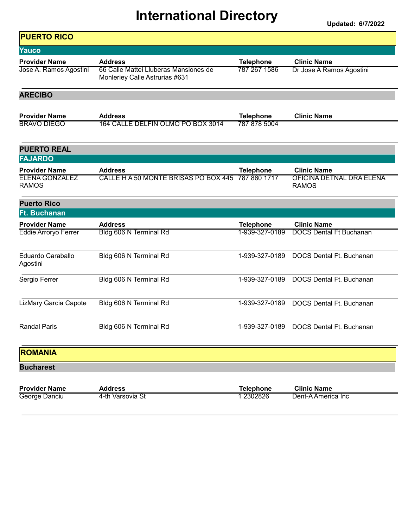Updated: 6/7/2022

٦

| <b>PUERTO RICO</b>                                            |                                                                         |                                  |                                                                |
|---------------------------------------------------------------|-------------------------------------------------------------------------|----------------------------------|----------------------------------------------------------------|
| Yauco                                                         |                                                                         |                                  |                                                                |
| <b>Provider Name</b>                                          | <b>Address</b>                                                          | <b>Telephone</b>                 | <b>Clinic Name</b>                                             |
| Jose A. Ramos Agostini                                        | 66 Calle Mattei Lluberas Mansiones de<br>Monleriey Calle Astrurias #631 | 787 267 1586                     | Dr Jose A Ramos Agostini                                       |
| <b>ARECIBO</b>                                                |                                                                         |                                  |                                                                |
| <b>Provider Name</b>                                          | <b>Address</b>                                                          | <b>Telephone</b>                 | <b>Clinic Name</b>                                             |
| <b>BRAVO DIEGO</b>                                            | 164 CALLE DELFIN OLMO PO BOX 3014                                       | 787 878 5004                     |                                                                |
| <b>PUERTO REAL</b>                                            |                                                                         |                                  |                                                                |
| <b>FAJARDO</b>                                                |                                                                         |                                  |                                                                |
| <b>Provider Name</b><br><b>ELENA GONZALEZ</b><br><b>RAMOS</b> | <b>Address</b><br>CALLE H A 50 MONTE BRISAS PO BOX 445                  | <b>Telephone</b><br>787 860 1717 | <b>Clinic Name</b><br>OFICINA DETNAL DRA ELENA<br><b>RAMOS</b> |
| <b>Puerto Rico</b>                                            |                                                                         |                                  |                                                                |
| <b>Ft. Buchanan</b>                                           |                                                                         |                                  |                                                                |
| <b>Provider Name</b>                                          | <b>Address</b>                                                          | <b>Telephone</b>                 | <b>Clinic Name</b>                                             |
| <b>Eddie Arroryo Ferrer</b>                                   | Bldg 606 N Terminal Rd                                                  | 1-939-327-0189                   | <b>DOCS Dental Ft Buchanan</b>                                 |
|                                                               |                                                                         |                                  |                                                                |
| Eduardo Caraballo<br>Agostini                                 | Bldg 606 N Terminal Rd                                                  | 1-939-327-0189                   | DOCS Dental Ft. Buchanan                                       |
| Sergio Ferrer                                                 | Bldg 606 N Terminal Rd                                                  | 1-939-327-0189                   | DOCS Dental Ft. Buchanan                                       |
| LizMary Garcia Capote                                         | Bldg 606 N Terminal Rd                                                  | 1-939-327-0189                   | DOCS Dental Ft. Buchanan                                       |
| <b>Randal Paris</b>                                           | Bldg 606 N Terminal Rd                                                  | 1-939-327-0189                   | DOCS Dental Ft. Buchanan                                       |
| <b>ROMANIA</b>                                                |                                                                         |                                  |                                                                |
| <b>Bucharest</b>                                              |                                                                         |                                  |                                                                |
| <b>Provider Name</b><br>George Danciu                         | <b>Address</b><br>4-th Varsovia St                                      | <b>Telephone</b><br>1 2302826    | <b>Clinic Name</b><br>Dent-A America Inc                       |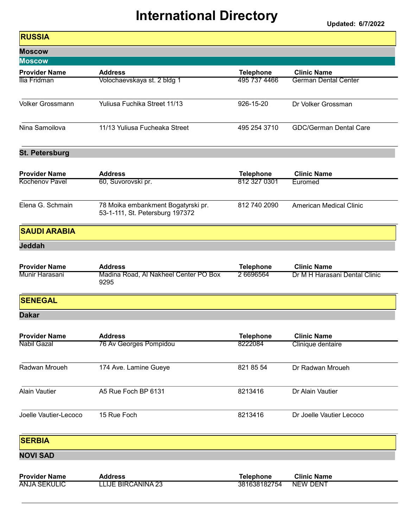| <b>RUSSIA</b>         |                                                                       |                  |                                |
|-----------------------|-----------------------------------------------------------------------|------------------|--------------------------------|
| <b>Moscow</b>         |                                                                       |                  |                                |
| <b>Moscow</b>         |                                                                       |                  |                                |
| <b>Provider Name</b>  | <b>Address</b>                                                        | <b>Telephone</b> | <b>Clinic Name</b>             |
| Ilia Fridman          | Volochaevskaya st. 2 bldg 1                                           | 495 737 4466     | <b>German Dental Center</b>    |
| Volker Grossmann      | Yuliusa Fuchika Street 11/13                                          | 926-15-20        | Dr Volker Grossman             |
| Nina Samoilova        | 11/13 Yuliusa Fucheaka Street                                         | 495 254 3710     | <b>GDC/German Dental Care</b>  |
| <b>St. Petersburg</b> |                                                                       |                  |                                |
| <b>Provider Name</b>  | <b>Address</b>                                                        | <b>Telephone</b> | <b>Clinic Name</b>             |
| <b>Kochenov Pavel</b> | 60, Suvorovski pr.                                                    | 812 327 0301     | Euromed                        |
| Elena G. Schmain      | 78 Moika embankment Bogatyrski pr.<br>53-1-111, St. Petersburg 197372 | 812 740 2090     | <b>American Medical Clinic</b> |
| <b>SAUDI ARABIA</b>   |                                                                       |                  |                                |
| <b>Jeddah</b>         |                                                                       |                  |                                |
| <b>Provider Name</b>  | <b>Address</b>                                                        | <b>Telephone</b> | <b>Clinic Name</b>             |
| Munir Harasani        | Madina Road, Al Nakheel Center PO Box<br>9295                         | 2 6696564        | Dr M H Harasani Dental Clinic  |
| <b>SENEGAL</b>        |                                                                       |                  |                                |
| <b>Dakar</b>          |                                                                       |                  |                                |
| <b>Provider Name</b>  | <b>Address</b>                                                        | <b>Telephone</b> | <b>Clinic Name</b>             |
| Nabil Gazal           | 76 Av Georges Pompidou                                                | 8222084          | Clinique dentaire              |
| Radwan Mroueh         | 174 Ave. Lamine Gueye                                                 | 821 85 54        | Dr Radwan Mroueh               |
| <b>Alain Vautier</b>  | A5 Rue Foch BP 6131                                                   | 8213416          | Dr Alain Vautier               |
| Joelle Vautier-Lecoco | 15 Rue Foch                                                           | 8213416          | Dr Joelle Vautier Lecoco       |
| <b>SERBIA</b>         |                                                                       |                  |                                |
| <b>NOVI SAD</b>       |                                                                       |                  |                                |
| <b>Provider Name</b>  | <b>Address</b>                                                        | <b>Telephone</b> | <b>Clinic Name</b>             |
| <b>ANJA SEKULIC</b>   | <u>LLIJE BIRCANINA 23</u>                                             | 381638182754     | <b>NEW DENT</b>                |
|                       |                                                                       |                  |                                |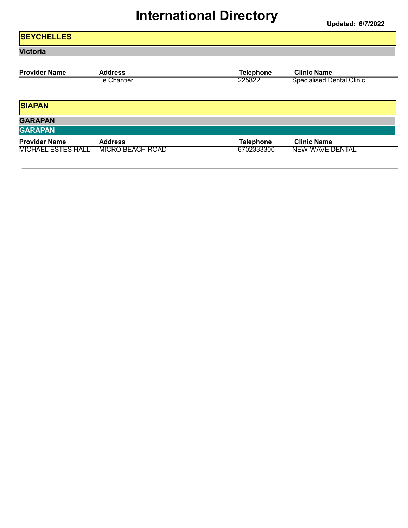#### **SEYCHELLES** Victoria Provider Name Address Address Elinic Name Clinic Name Clinic Name<br>Le Chantier 225822 Specialised De Le Chantier **Specialised Dental Clinic** 225822 Specialised Dental Clinic SIAPAN **GARAPAN GARAPAN** Provider Name Address Address Telephone Clinic Name

MICHAEL ESTES HALL MICRO BEACH ROAD 6702333300 NEW WAVE DENTAL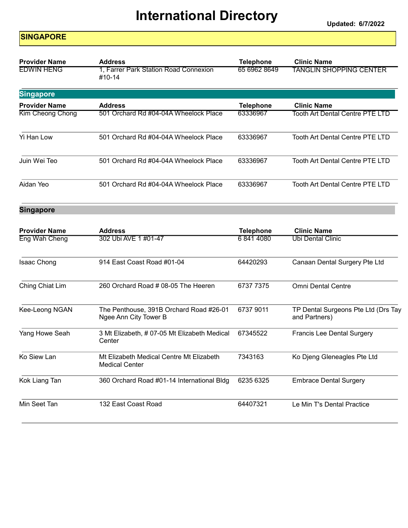Updated: 6/7/2022

#### **SINGAPORE**

| <b>Provider Name</b> | <b>Address</b>                                  | <b>Telephone</b> | <b>Clinic Name</b>                     |
|----------------------|-------------------------------------------------|------------------|----------------------------------------|
| <b>EDWIN HENG</b>    | 1, Farrer Park Station Road Connexion<br>#10-14 | 65 6962 8649     | <b>TANGLIN SHOPPING CENTER</b>         |
| <b>Singapore</b>     |                                                 |                  |                                        |
| <b>Provider Name</b> | <b>Address</b>                                  | <b>Telephone</b> | <b>Clinic Name</b>                     |
| Kim Cheong Chong     | 501 Orchard Rd #04-04A Wheelock Place           | 63336967         | Tooth Art Dental Centre PTE LTD        |
| Yi Han Low           | 501 Orchard Rd #04-04A Wheelock Place           | 63336967         | Tooth Art Dental Centre PTE LTD        |
| Juin Wei Teo         | 501 Orchard Rd #04-04A Wheelock Place           | 63336967         | <b>Tooth Art Dental Centre PTE LTD</b> |
| Aidan Yeo            | 501 Orchard Rd #04-04A Wheelock Place           | 63336967         | Tooth Art Dental Centre PTE LTD        |
| <b>Singapore</b>     |                                                 |                  |                                        |

| <b>Provider Name</b> | <b>Address</b>                                                    | <b>Telephone</b> | <b>Clinic Name</b>                                   |
|----------------------|-------------------------------------------------------------------|------------------|------------------------------------------------------|
| Eng Wah Cheng        | 302 Ubi AVE 1 #01-47                                              | 68414080         | Ubi Dental Clinic                                    |
| Isaac Chong          | 914 East Coast Road #01-04                                        | 64420293         | Canaan Dental Surgery Pte Ltd                        |
| Ching Chiat Lim      | 260 Orchard Road # 08-05 The Heeren                               | 6737 7375        | <b>Omni Dental Centre</b>                            |
| Kee-Leong NGAN       | The Penthouse, 391B Orchard Road #26-01<br>Ngee Ann City Tower B  | 6737 9011        | TP Dental Surgeons Pte Ltd (Drs Tay<br>and Partners) |
| Yang Howe Seah       | 3 Mt Elizabeth, # 07-05 Mt Elizabeth Medical<br>Center            | 67345522         | <b>Francis Lee Dental Surgery</b>                    |
| Ko Siew Lan          | Mt Elizabeth Medical Centre Mt Elizabeth<br><b>Medical Center</b> | 7343163          | Ko Djeng Gleneagles Pte Ltd                          |
| Kok Liang Tan        | 360 Orchard Road #01-14 International Bldg                        | 6235 6325        | <b>Embrace Dental Surgery</b>                        |
| Min Seet Tan         | 132 East Coast Road                                               | 64407321         | Le Min T's Dental Practice                           |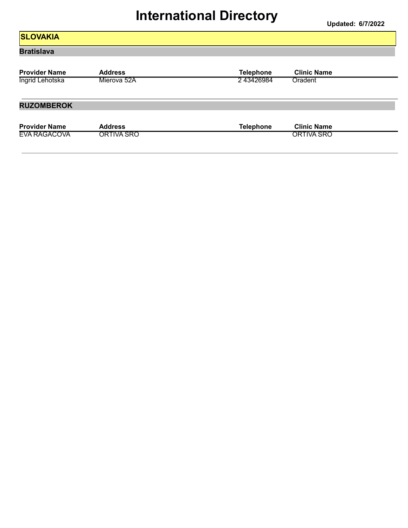#### **SLOVAKIA** Bratislava Provider Name Address Address Telephone Clinic Name Clinic Name Clinic Name Clinic Name Clinic Name Clinic Name<br>
The Clinic Name Clinic Name Clinic Name Clinic Name Clinic Name Clinic Name Clinic Name Clinic Name Clinic Na **Ingrid Lehotska** RUZOMBEROK Provider Name Address<br>
EVA RAGACOVA ORTIVA SRO<br>
CORTIVA SRO<br>
CORTIVA SRO EVA RAGACOVA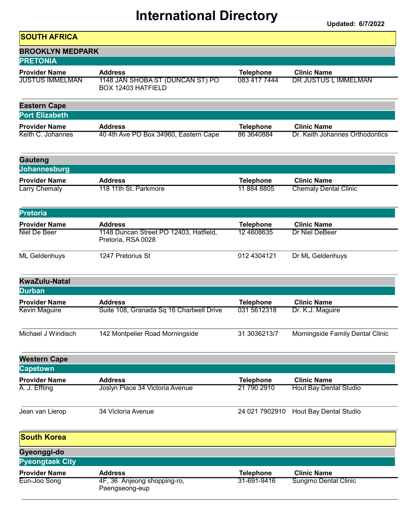| <b>SOUTH AFRICA</b>                            |                                                                          |                                  |                                                       |
|------------------------------------------------|--------------------------------------------------------------------------|----------------------------------|-------------------------------------------------------|
| <b>BROOKLYN MEDPARK</b>                        |                                                                          |                                  |                                                       |
| <b>PRETONIA</b>                                |                                                                          |                                  |                                                       |
| <b>Provider Name</b><br><b>JUSTUS IMMELMAN</b> | <b>Address</b><br>1148 JAN SHOBA ST (DUNCAN ST) PO<br>BOX 12403 HATFIELD | <b>Telephone</b><br>083 417 7444 | <b>Clinic Name</b><br>DR JUSTUS L IMMELMAN            |
| <b>Eastern Cape</b>                            |                                                                          |                                  |                                                       |
| <b>Port Elizabeth</b>                          |                                                                          |                                  |                                                       |
| <b>Provider Name</b><br>Keith C. Johannes      | <b>Address</b><br>40 4th Ave PO Box 34960, Eastern Cape                  | <b>Telephone</b><br>86 364 0884  | <b>Clinic Name</b><br>Dr. Keith Johannes Orthodontics |
| Gauteng                                        |                                                                          |                                  |                                                       |
| Johannesburg                                   |                                                                          |                                  |                                                       |
| <b>Provider Name</b><br>Larry Chemaly          | <b>Address</b><br>118 11th St. Parkmore                                  | <b>Telephone</b><br>11 884 8805  | <b>Clinic Name</b><br><b>Chemaly Dental Clinic</b>    |
| <b>Pretoria</b>                                |                                                                          |                                  |                                                       |
| <b>Provider Name</b>                           | <b>Address</b>                                                           | <b>Telephone</b>                 | <b>Clinic Name</b>                                    |
| <b>Niel De Beer</b>                            | 1148 Duncan Street PO 12403, Hatfield,<br>Pretoria, RSA 0028             | 12 4608635                       | Dr Niel DeBeer                                        |
| ML Geldenhuys                                  | 1247 Pretorius St                                                        | 012 4304121                      | Dr ML Geldenhuys                                      |
| <b>KwaZulu-Natal</b>                           |                                                                          |                                  |                                                       |
| <b>Durban</b>                                  |                                                                          |                                  |                                                       |
| <b>Provider Name</b>                           | <b>Address</b>                                                           | <b>Telephone</b>                 | <b>Clinic Name</b>                                    |
| <b>Kevin Maguire</b>                           | Suite 108, Granada Sq 16 Chartwell Drive                                 | 031 5612318                      | Dr. K.J. Maguire                                      |
| Michael J Windisch                             | 142 Montpelier Road Morningside                                          | 31 3036213/7                     | Morningside Family Dental Clinic                      |
| <b>Western Cape</b>                            |                                                                          |                                  |                                                       |
| <b>Capetown</b>                                |                                                                          |                                  |                                                       |
| <b>Provider Name</b><br>A. J. Effting          | <b>Address</b><br>Joslyn Place 34 Victoria Avenue                        | <b>Telephone</b><br>21 790 2910  | <b>Clinic Name</b><br><b>Hout Bay Dental Studio</b>   |
| Jean van Lierop                                | 34 Victoria Avenue                                                       | 24 021 7902910                   | Hout Bay Dental Studio                                |
| <b>South Korea</b>                             |                                                                          |                                  |                                                       |
| Gyeonggi-do                                    |                                                                          |                                  |                                                       |
| <b>Pyeongtaek City</b>                         |                                                                          |                                  |                                                       |
| <b>Provider Name</b>                           | <b>Address</b>                                                           | <b>Telephone</b>                 | <b>Clinic Name</b>                                    |
| Eun-Joo Song                                   | 4F, 36 Anjeong shopping-ro,<br>Paengseong-eup                            | 31-691-9416                      | <b>Sungmo Dental Clinic</b>                           |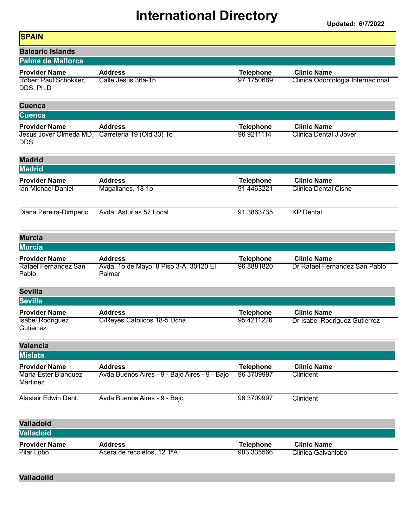| <b>SPAIN</b>                         |                                                  |                  |                                   |
|--------------------------------------|--------------------------------------------------|------------------|-----------------------------------|
| <b>Balearic Islands</b>              |                                                  |                  |                                   |
| <b>Palma de Mallorca</b>             |                                                  |                  |                                   |
| <b>Provider Name</b>                 | <b>Address</b>                                   | <b>Telephone</b> | <b>Clinic Name</b>                |
| Robert Paul Schokker,<br>DDS. Ph.D   | Calle Jesus 36a-1b                               | 97 1750689       | Clinica Odontologia Internacional |
| <b>Cuenca</b>                        |                                                  |                  |                                   |
| <b>Cuenca</b>                        |                                                  |                  |                                   |
| <b>Provider Name</b>                 | <b>Address</b>                                   | <b>Telephone</b> | <b>Clinic Name</b>                |
| <b>DDS</b>                           | Jesus Jover Olmeda MD, Carreteria 19 (Old 33) 1o | 96 9211114       | <b>Clinica Dental J Jover</b>     |
| <b>Madrid</b>                        |                                                  |                  |                                   |
| <b>Madrid</b>                        |                                                  |                  |                                   |
| <b>Provider Name</b>                 | <b>Address</b>                                   | <b>Telephone</b> | <b>Clinic Name</b>                |
| <b>Ian Michael Daniel</b>            | Magallanes, 18 1o                                | 91 4463221       | <b>Clinica Dental Cisne</b>       |
| Diana Pereira-Dimperio               | Avda. Asturias 57 Local                          | 91 3863735       | <b>KP</b> Dental                  |
| <b>Murcia</b>                        |                                                  |                  |                                   |
| <b>Murcia</b>                        |                                                  |                  |                                   |
| <b>Provider Name</b>                 | <b>Address</b>                                   | <b>Telephone</b> | <b>Clinic Name</b>                |
| Rafael Fernandez San<br>Pablo        | Avda. 1o de Mayo, 8 Piso 3-A, 30120 El<br>Palmar | 96 8881820       | Dr Rafael Fernandez San Pablo     |
| <b>Sevilla</b>                       |                                                  |                  |                                   |
| <b>Sevilla</b>                       |                                                  |                  |                                   |
| <b>Provider Name</b>                 | <b>Address</b>                                   | <b>Telephone</b> | <b>Clinic Name</b>                |
| <b>Isabel Rodriguez</b><br>Gutierrez | C/Reyes Catolicos 18-5 Dcha                      | 95 4211226       | Dr Isabel Rodriguez Gutierrez     |
| <b>Valencia</b>                      |                                                  |                  |                                   |
| <b>Mislata</b>                       |                                                  |                  |                                   |
| <b>Provider Name</b>                 | <b>Address</b>                                   | <b>Telephone</b> | <b>Clinic Name</b>                |
| Maria Ester Blanquez<br>Martinez     | Avda Buenos Aires - 9 - Bajo Aires - 9 - Bajo    | 96 3709997       | Clinident                         |
| Alastair Edwin Dent.                 | Avda Buenos Aires - 9 - Bajo                     | 96 3709997       | Clinident                         |
| <b>Valladoid</b>                     |                                                  |                  |                                   |
| <b>Valladoid</b>                     |                                                  |                  |                                   |
| <b>Provider Name</b>                 | <b>Address</b>                                   | <b>Telephone</b> | <b>Clinic Name</b>                |
| Pilar Lobo                           | Acera de recoletos, 12 1ºA                       | 983 335566       | Clinica Galvanlobo                |
| <b>Valladolid</b>                    |                                                  |                  |                                   |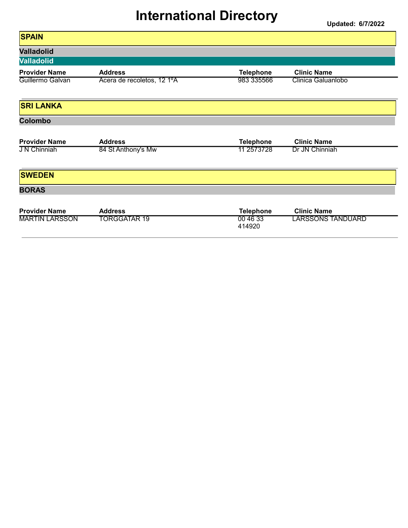| <b>SPAIN</b>          |                            |                    |                          |
|-----------------------|----------------------------|--------------------|--------------------------|
| <b>Valladolid</b>     |                            |                    |                          |
| <b>Valladolid</b>     |                            |                    |                          |
| <b>Provider Name</b>  | <b>Address</b>             | <b>Telephone</b>   | <b>Clinic Name</b>       |
| Guillermo Galvan      | Acera de recoletos, 12 1ºA | 983 335566         | Clinica Galuanlobo       |
| <b>SRI LANKA</b>      |                            |                    |                          |
| <b>Colombo</b>        |                            |                    |                          |
| <b>Provider Name</b>  | <b>Address</b>             | <b>Telephone</b>   | <b>Clinic Name</b>       |
| <b>JN Chinniah</b>    | 84 St Anthony's Mw         | 11 2573728         | Dr JN Chinniah           |
| <b>SWEDEN</b>         |                            |                    |                          |
| <b>BORAS</b>          |                            |                    |                          |
| <b>Provider Name</b>  | <b>Address</b>             | <b>Telephone</b>   | <b>Clinic Name</b>       |
| <b>MARTIN LARSSON</b> | TORGGATAR 19               | 00 46 33<br>414920 | <b>LARSSONS TANDUARD</b> |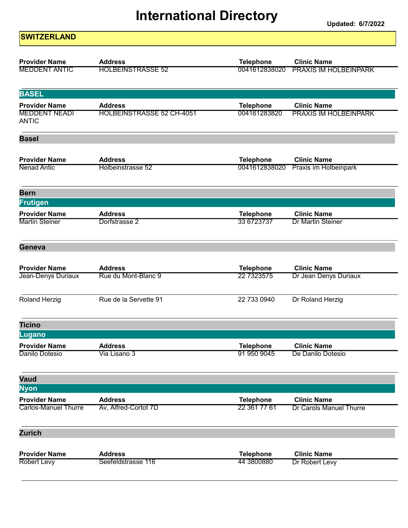| <b>SWITZERLAND</b>                   |                                  |                  |                              |
|--------------------------------------|----------------------------------|------------------|------------------------------|
| <b>Provider Name</b>                 | <b>Address</b>                   | <b>Telephone</b> | <b>Clinic Name</b>           |
| <b>MEDDENT ANTIC</b>                 | <b>HOLBEINSTRASSE 52</b>         | 0041612838020    | <b>PRAXIS IM HOLBEINPARK</b> |
| <b>BASEL</b>                         |                                  |                  |                              |
| <b>Provider Name</b>                 | <b>Address</b>                   | <b>Telephone</b> | <b>Clinic Name</b>           |
| <b>MEDDENT NEADI</b><br><b>ANTIC</b> | <b>HOLBEINSTRASSE 52 CH-4051</b> | 004161283820     | <b>PRAXIS IM HOLBEINPARK</b> |
| <b>Basel</b>                         |                                  |                  |                              |
| <b>Provider Name</b>                 | <b>Address</b>                   | <b>Telephone</b> | <b>Clinic Name</b>           |
| <b>Nenad Antic</b>                   | Holbeinstrasse 52                | 0041612838020    | Praxis im Holbeinpark        |
| <b>Bern</b>                          |                                  |                  |                              |
| Frutigen                             |                                  |                  |                              |
| <b>Provider Name</b>                 | <b>Address</b>                   | <b>Telephone</b> | <b>Clinic Name</b>           |
| <b>Martin Steiner</b>                | Dorfstrasse 2                    | 33 6723737       | <b>Dr Martin Steiner</b>     |
| Geneva                               |                                  |                  |                              |
| <b>Provider Name</b>                 | <b>Address</b>                   | <b>Telephone</b> | <b>Clinic Name</b>           |
| Jean-Denys Duriaux                   | Rue du Mont-Blanc 9              | 22 7323575       | Dr Jean Denys Duriaux        |
| <b>Roland Herzig</b>                 | Rue de la Servette 91            | 22 733 0940      | Dr Roland Herzig             |
| <b>Ticino</b>                        |                                  |                  |                              |
| Lugano                               |                                  |                  |                              |
| <b>Provider Name</b>                 | <b>Address</b>                   | <b>Telephone</b> | <b>Clinic Name</b>           |
| Danilo Dotesio                       | Via Lisano 3                     | 91 950 9045      | De Danilo Dotesio            |
| Vaud                                 |                                  |                  |                              |
| <b>Nyon</b>                          |                                  |                  |                              |
| <b>Provider Name</b>                 | <b>Address</b>                   | <b>Telephone</b> | <b>Clinic Name</b>           |
| <b>Carlos-Manuel Thurre</b>          | Av, Alfred-Cortot 7D             | 22 361 77 61     | Dr Carols Manuel Thurre      |
| <b>Zurich</b>                        |                                  |                  |                              |
| <b>Provider Name</b>                 | <b>Address</b>                   | <b>Telephone</b> | <b>Clinic Name</b>           |
| <b>Robert Levy</b>                   | Seefeldstrasse 116               | 44 3800880       | Dr Robert Levy               |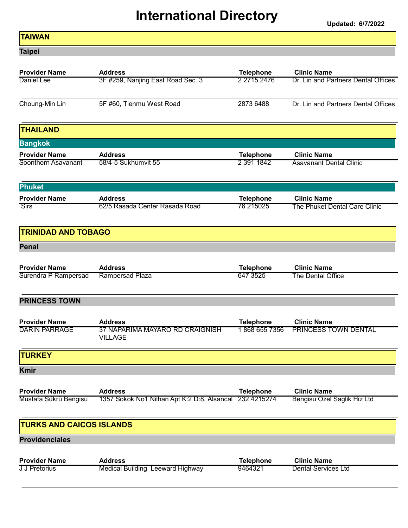Updated: 6/7/2022

| TAIWAN |
|--------|
|        |
|        |
|        |

Taipei

| <b>Provider Name</b>            | <b>Address</b>                                          | <b>Telephone</b> | <b>Clinic Name</b>                  |
|---------------------------------|---------------------------------------------------------|------------------|-------------------------------------|
| Daniel Lee                      | 3F #259, Nanjing East Road Sec. 3                       | 2 2715 2476      | Dr. Lin and Partners Dental Offices |
| Choung-Min Lin                  | 5F #60, Tienmu West Road                                | 2873 6488        | Dr. Lin and Partners Dental Offices |
| <b>THAILAND</b>                 |                                                         |                  |                                     |
| <b>Bangkok</b>                  |                                                         |                  |                                     |
| <b>Provider Name</b>            | <b>Address</b>                                          | <b>Telephone</b> | <b>Clinic Name</b>                  |
| Soonthorn Asavanant             | 58/4-5 Sukhumvit 55                                     | 2 391 1842       | <b>Asavanant Dental Clinic</b>      |
| <b>Phuket</b>                   |                                                         |                  |                                     |
| <b>Provider Name</b>            | <b>Address</b>                                          | <b>Telephone</b> | <b>Clinic Name</b>                  |
| <b>Sirs</b>                     | 62/5 Rasada Center Rasada Road                          | 76 215025        | The Phuket Dental Care Clinic       |
| <b>TRINIDAD AND TOBAGO</b>      |                                                         |                  |                                     |
| <b>Penal</b>                    |                                                         |                  |                                     |
| <b>Provider Name</b>            | <b>Address</b>                                          | <b>Telephone</b> | <b>Clinic Name</b>                  |
| Surendra P Rampersad            | <b>Rampersad Plaza</b>                                  | 647 3525         | The Dental Office                   |
| <b>PRINCESS TOWN</b>            |                                                         |                  |                                     |
| <b>Provider Name</b>            | <b>Address</b>                                          | <b>Telephone</b> | <b>Clinic Name</b>                  |
| <b>DARIN PARRAGE</b>            | 37 NAPARIMA MAYARO RD CRAIGNISH<br><b>VILLAGE</b>       | 1868 655 7356    | PRINCESS TOWN DENTAL                |
| <b>TURKEY</b>                   |                                                         |                  |                                     |
| <b>Kmir</b>                     |                                                         |                  |                                     |
| <b>Provider Name</b>            | <b>Address</b>                                          | <b>Telephone</b> | <b>Clinic Name</b>                  |
| Mustafa Sükrü Bengisu           | 1357 Sokok No1 Nilhan Apt K:2 D:8, Alsancal 232 4215274 |                  | Bengisu Ozel Saglik Hiz Ltd         |
| <b>TURKS AND CAICOS ISLANDS</b> |                                                         |                  |                                     |
| <b>Providenciales</b>           |                                                         |                  |                                     |
| <b>Provider Name</b>            | <b>Address</b>                                          | <b>Telephone</b> | <b>Clinic Name</b>                  |
| <b>J J Pretorius</b>            | Medical Building Leeward Highway                        | 9464321          | <b>Dental Services Ltd</b>          |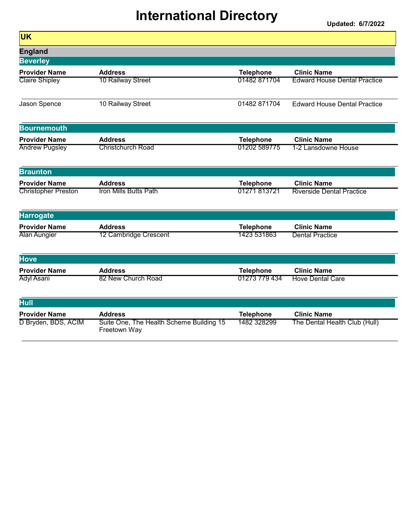Updated: 6/7/2022

| <b>UK</b>                           |                                                          |                  |                                     |
|-------------------------------------|----------------------------------------------------------|------------------|-------------------------------------|
| <b>England</b>                      |                                                          |                  |                                     |
| <b>Beverley</b>                     |                                                          |                  |                                     |
| <b>Provider Name</b>                | <b>Address</b>                                           | <b>Telephone</b> | <b>Clinic Name</b>                  |
| <b>Claire Shipley</b>               | 10 Railway Street                                        | 01482871704      | <b>Edward House Dental Practice</b> |
| Jason Spence                        | 10 Railway Street                                        | 01482 871704     | <b>Edward House Dental Practice</b> |
| <b>Bournemouth</b>                  |                                                          |                  |                                     |
| <b>Provider Name</b>                | <b>Address</b>                                           | <b>Telephone</b> | <b>Clinic Name</b>                  |
| <b>Andrew Pugsley</b>               | <b>Christchurch Road</b>                                 | 01202 589775     | 1-2 Lansdowne House                 |
| <b>Braunton</b>                     |                                                          |                  |                                     |
| <b>Provider Name</b>                | <b>Address</b>                                           | <b>Telephone</b> | <b>Clinic Name</b>                  |
| <b>Christopher Preston</b>          | <b>Iron Mills Butts Path</b>                             | 01271 813721     | <b>Riverside Dental Practice</b>    |
| <b>Harrogate</b>                    |                                                          |                  |                                     |
| <b>Provider Name</b>                | <b>Address</b>                                           | <b>Telephone</b> | <b>Clinic Name</b>                  |
| Alan Aungier                        | 12 Cambridge Crescent                                    | 1423 531863      | <b>Dental Practice</b>              |
| <b>Hove</b>                         |                                                          |                  |                                     |
| <b>Provider Name</b>                | <b>Address</b>                                           | <b>Telephone</b> | <b>Clinic Name</b>                  |
| <b>Adyl Asani</b>                   | 82 New Church Road                                       | 01273 779 434    | <b>Hove Dental Care</b>             |
| <b>Hull</b><br><b>Provider Name</b> | <b>Address</b>                                           | <b>Telephone</b> | <b>Clinic Name</b>                  |
| D Bryden, BDS, ACIM                 | Suite One, The Health Scheme Building 15<br>Freetown Way | 1482 328299      | The Dental Health Club (Hull)       |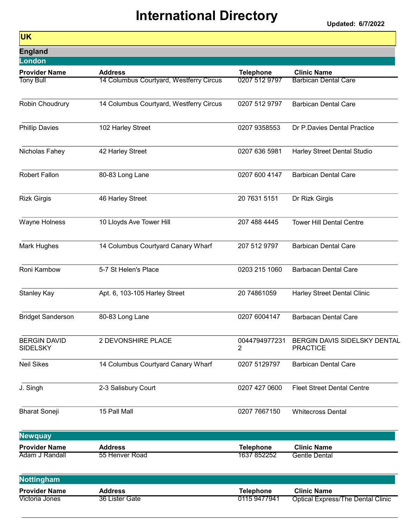| <b>UK</b>                              |                                         |                                 |                                                 |
|----------------------------------------|-----------------------------------------|---------------------------------|-------------------------------------------------|
| <b>England</b>                         |                                         |                                 |                                                 |
| <b>London</b>                          |                                         |                                 |                                                 |
| <b>Provider Name</b>                   | <b>Address</b>                          | <b>Telephone</b>                | <b>Clinic Name</b>                              |
| <b>Tony Bull</b>                       | 14 Columbus Courtyard, Westferry Circus | 0207 512 9797                   | <b>Barbican Dental Care</b>                     |
| Robin Choudrury                        | 14 Columbus Courtyard, Westferry Circus | 0207 512 9797                   | <b>Barbican Dental Care</b>                     |
| <b>Phillip Davies</b>                  | 102 Harley Street                       | 0207 9358553                    | Dr P.Davies Dental Practice                     |
| Nicholas Fahey                         | 42 Harley Street                        | 0207 636 5981                   | Harley Street Dental Studio                     |
| Robert Fallon                          | 80-83 Long Lane                         | 0207 600 4147                   | <b>Barbican Dental Care</b>                     |
| <b>Rizk Girgis</b>                     | 46 Harley Street                        | 20 7631 5151                    | Dr Rizk Girgis                                  |
| Wayne Holness                          | 10 Lloyds Ave Tower Hill                | 207 488 4445                    | <b>Tower Hill Dental Centre</b>                 |
| Mark Hughes                            | 14 Columbus Courtyard Canary Wharf      | 207 512 9797                    | <b>Barbican Dental Care</b>                     |
| Roni Kambow                            | 5-7 St Helen's Place                    | 0203 215 1060                   | <b>Barbacan Dental Care</b>                     |
| Stanley Kay                            | Apt. 6, 103-105 Harley Street           | 20 74861059                     | Harley Street Dental Clinic                     |
| <b>Bridget Sanderson</b>               | 80-83 Long Lane                         | 0207 6004147                    | <b>Barbacan Dental Care</b>                     |
| <b>BERGIN DAVID</b><br><b>SIDELSKY</b> | 2 DEVONSHIRE PLACE                      | 0044794977231<br>$\overline{c}$ | BERGIN DAVIS SIDELSKY DENTAL<br><b>PRACTICE</b> |
| <b>Neil Sikes</b>                      | 14 Columbus Courtyard Canary Wharf      | 0207 5129797                    | <b>Barbican Dental Care</b>                     |
| J. Singh                               | 2-3 Salisbury Court                     | 0207 427 0600                   | <b>Fleet Street Dental Centre</b>               |
| <b>Bharat Soneji</b>                   | 15 Pall Mall                            | 0207 7667150                    | <b>Whitecross Dental</b>                        |
| <b>Newquay</b>                         |                                         |                                 |                                                 |
| <b>Provider Name</b><br>Adam J Randall | <b>Address</b><br>55 Henver Road        | <b>Telephone</b><br>1637 852252 | <b>Clinic Name</b><br><b>Gentle Dental</b>      |
| <b>Nottingham</b>                      |                                         |                                 |                                                 |
| <b>Provider Name</b>                   | <b>Address</b>                          | <b>Telephone</b>                | <b>Clinic Name</b>                              |
| Victoria Jones                         | 36 Lister Gate                          | 0115 9477941                    | <b>Optical Express/The Dental Clinic</b>        |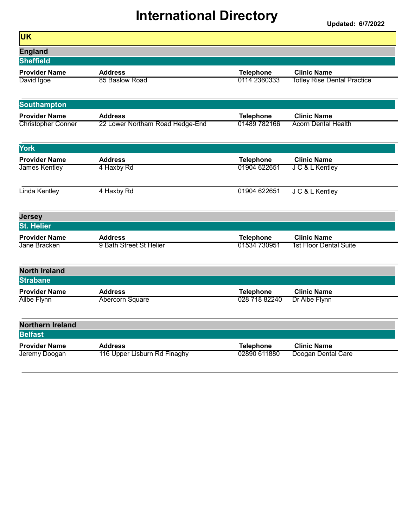| <b>UK</b>                                 |                                           |                                  |                                              |
|-------------------------------------------|-------------------------------------------|----------------------------------|----------------------------------------------|
| <b>England</b>                            |                                           |                                  |                                              |
| <b>Sheffield</b>                          |                                           |                                  |                                              |
| <b>Provider Name</b>                      | <b>Address</b>                            | <b>Telephone</b>                 | <b>Clinic Name</b>                           |
| David Igoe                                | 85 Baslow Road                            | 0114 2360333                     | <b>Totley Rise Dental Practice</b>           |
| <b>Southampton</b>                        |                                           |                                  |                                              |
| <b>Provider Name</b>                      | <b>Address</b>                            | <b>Telephone</b>                 | <b>Clinic Name</b>                           |
| <b>Christopher Conner</b>                 | 22 Lower Northam Road Hedge-End           | 01489 782166                     | <b>Acorn Dental Health</b>                   |
| <b>York</b>                               |                                           |                                  |                                              |
| <b>Provider Name</b>                      | <b>Address</b>                            | <b>Telephone</b>                 | <b>Clinic Name</b>                           |
| <b>James Kentley</b>                      | 4 Haxby Rd                                | 01904 622651                     | J C & L Kentley                              |
| Linda Kentley                             | 4 Haxby Rd                                | 01904 622651                     | J C & L Kentley                              |
| <b>Jersey</b>                             |                                           |                                  |                                              |
| <b>St. Helier</b>                         |                                           |                                  |                                              |
| <b>Provider Name</b><br>Jane Bracken      | <b>Address</b><br>9 Bath Street St Helier | <b>Telephone</b><br>01534 730951 | <b>Clinic Name</b><br>1st Floor Dental Suite |
|                                           |                                           |                                  |                                              |
| <b>North Ireland</b>                      |                                           |                                  |                                              |
| <b>Strabane</b>                           |                                           |                                  |                                              |
| <b>Provider Name</b>                      | <b>Address</b>                            | <b>Telephone</b>                 | <b>Clinic Name</b>                           |
| <b>Ailbe Flynn</b>                        | Abercorn Square                           | 028 718 82240                    | Dr Aibe Flynn                                |
| <b>Northern Ireland</b><br><b>Belfast</b> |                                           |                                  |                                              |
| <b>Provider Name</b>                      | <b>Address</b>                            |                                  | <b>Clinic Name</b>                           |
| Jeremy Doogan                             | 116 Upper Lisburn Rd Finaghy              | <b>Telephone</b><br>02890 611880 | Doogan Dental Care                           |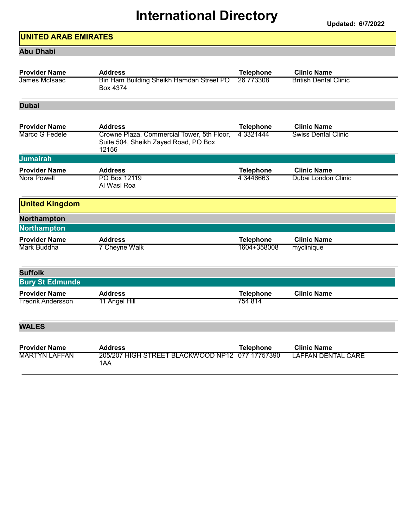#### UNITED ARAB EMIRATES

#### Abu Dhabi

| <b>Provider Name</b>     | <b>Address</b>                                                                              | <b>Telephone</b> | <b>Clinic Name</b>           |
|--------------------------|---------------------------------------------------------------------------------------------|------------------|------------------------------|
| James McIsaac            | Bin Ham Building Sheikh Hamdan Street PO<br>Box 4374                                        | 26 773308        | <b>British Dental Clinic</b> |
| <b>Dubai</b>             |                                                                                             |                  |                              |
| <b>Provider Name</b>     | <b>Address</b>                                                                              | <b>Telephone</b> | <b>Clinic Name</b>           |
| Marco G Fedele           | Crowne Plaza, Commercial Tower, 5th Floor,<br>Suite 504, Sheikh Zayed Road, PO Box<br>12156 | 4 3 3 2 1 4 4 4  | <b>Swiss Dental Clinic</b>   |
| <b>Jumairah</b>          |                                                                                             |                  |                              |
| <b>Provider Name</b>     | <b>Address</b>                                                                              | <b>Telephone</b> | <b>Clinic Name</b>           |
| Nora Powell              | PO Box 12119<br>Al Wasl Roa                                                                 | 4 3446663        | Dubai London Clinic          |
| <b>United Kingdom</b>    |                                                                                             |                  |                              |
| Northampton              |                                                                                             |                  |                              |
| <b>Northampton</b>       |                                                                                             |                  |                              |
| <b>Provider Name</b>     | <b>Address</b>                                                                              | <b>Telephone</b> | <b>Clinic Name</b>           |
| Mark Buddha              | 7 Cheyne Walk                                                                               | 1604+358008      | myclinique                   |
| <b>Suffolk</b>           |                                                                                             |                  |                              |
| <b>Bury St Edmunds</b>   |                                                                                             |                  |                              |
| <b>Provider Name</b>     | <b>Address</b>                                                                              | <b>Telephone</b> | <b>Clinic Name</b>           |
| <b>Fredrik Andersson</b> | 11 Angel Hill                                                                               | 754 814          |                              |
| <b>WALES</b>             |                                                                                             |                  |                              |
| <b>Provider Name</b>     | <b>Address</b>                                                                              | <b>Telephone</b> | <b>Clinic Name</b>           |
| <b>MARTYN LAFFAN</b>     | 205/207 HIGH STREET BLACKWOOD NP12<br>1AA                                                   | 077 17757390     | <b>LAFFAN DENTAL CARE</b>    |